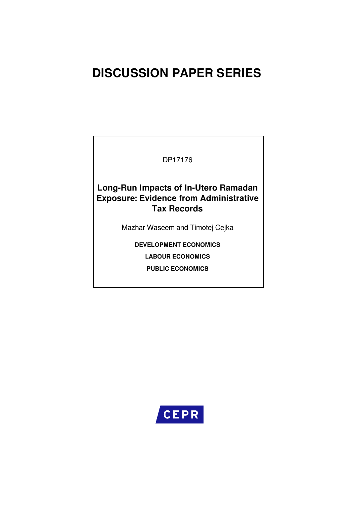# **DISCUSSION PAPER SERIES**

DP17176

**Long-Run Impacts of In-Utero Ramadan Exposure: Evidence from Administrative Tax Records**

Mazhar Waseem and Timotej Cejka

**DEVELOPMENT ECONOMICS**

**LABOUR ECONOMICS**

**PUBLIC ECONOMICS**

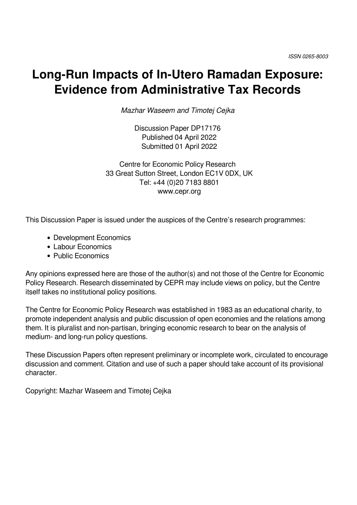# **Long-Run Impacts of In-Utero Ramadan Exposure: Evidence from Administrative Tax Records**

*Mazhar Waseem and Timotej Cejka*

Discussion Paper DP17176 Published 04 April 2022 Submitted 01 April 2022

Centre for Economic Policy Research 33 Great Sutton Street, London EC1V 0DX, UK Tel: +44 (0)20 7183 8801 www.cepr.org

This Discussion Paper is issued under the auspices of the Centre's research programmes:

- Development Economics
- Labour Economics
- Public Economics

Any opinions expressed here are those of the author(s) and not those of the Centre for Economic Policy Research. Research disseminated by CEPR may include views on policy, but the Centre itself takes no institutional policy positions.

The Centre for Economic Policy Research was established in 1983 as an educational charity, to promote independent analysis and public discussion of open economies and the relations among them. It is pluralist and non-partisan, bringing economic research to bear on the analysis of medium- and long-run policy questions.

These Discussion Papers often represent preliminary or incomplete work, circulated to encourage discussion and comment. Citation and use of such a paper should take account of its provisional character.

Copyright: Mazhar Waseem and Timotej Cejka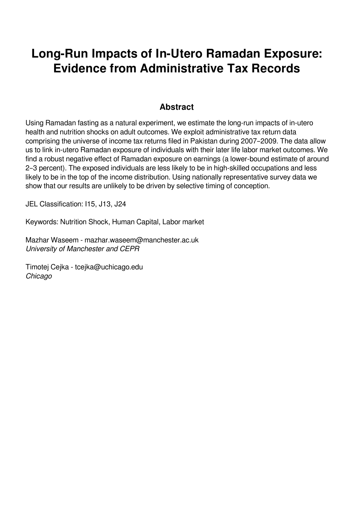# **Long-Run Impacts of In-Utero Ramadan Exposure: Evidence from Administrative Tax Records**

## **Abstract**

Using Ramadan fasting as a natural experiment, we estimate the long-run impacts of in-utero health and nutrition shocks on adult outcomes. We exploit administrative tax return data comprising the universe of income tax returns filed in Pakistan during 2007–2009. The data allow us to link in-utero Ramadan exposure of individuals with their later life labor market outcomes. We find a robust negative effect of Ramadan exposure on earnings (a lower-bound estimate of around 2–3 percent). The exposed individuals are less likely to be in high-skilled occupations and less likely to be in the top of the income distribution. Using nationally representative survey data we show that our results are unlikely to be driven by selective timing of conception.

JEL Classification: I15, J13, J24

Keywords: Nutrition Shock, Human Capital, Labor market

Mazhar Waseem - mazhar.waseem@manchester.ac.uk *University of Manchester and CEPR*

Timotej Cejka - tcejka@uchicago.edu *Chicago*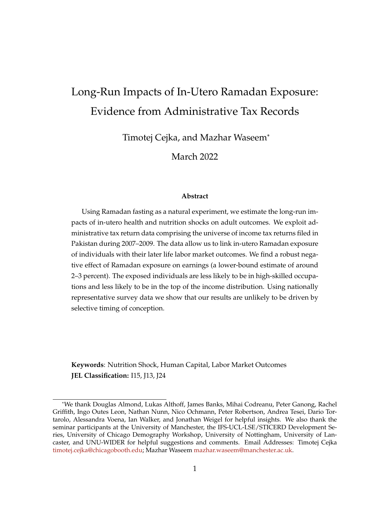# Long-Run Impacts of In-Utero Ramadan Exposure: Evidence from Administrative Tax Records

Timotej Cejka, and Mazhar Waseem\*

March 2022

#### **Abstract**

Using Ramadan fasting as a natural experiment, we estimate the long-run impacts of in-utero health and nutrition shocks on adult outcomes. We exploit administrative tax return data comprising the universe of income tax returns filed in Pakistan during 2007–2009. The data allow us to link in-utero Ramadan exposure of individuals with their later life labor market outcomes. We find a robust negative effect of Ramadan exposure on earnings (a lower-bound estimate of around 2–3 percent). The exposed individuals are less likely to be in high-skilled occupations and less likely to be in the top of the income distribution. Using nationally representative survey data we show that our results are unlikely to be driven by selective timing of conception.

**Keywords**: Nutrition Shock, Human Capital, Labor Market Outcomes **JEL Classification:** I15, J13, J24

<sup>\*</sup>We thank Douglas Almond, Lukas Althoff, James Banks, Mihai Codreanu, Peter Ganong, Rachel Griffith, Ingo Outes Leon, Nathan Nunn, Nico Ochmann, Peter Robertson, Andrea Tesei, Dario Tortarolo, Alessandra Voena, Ian Walker, and Jonathan Weigel for helpful insights. We also thank the seminar participants at the University of Manchester, the IFS-UCL-LSE/STICERD Development Series, University of Chicago Demography Workshop, University of Nottingham, University of Lancaster, and UNU-WIDER for helpful suggestions and comments. Email Addresses: Timotej Cejka timotej.cejka@chicagobooth.edu; Mazhar Waseem mazhar.waseem@manchester.ac.uk.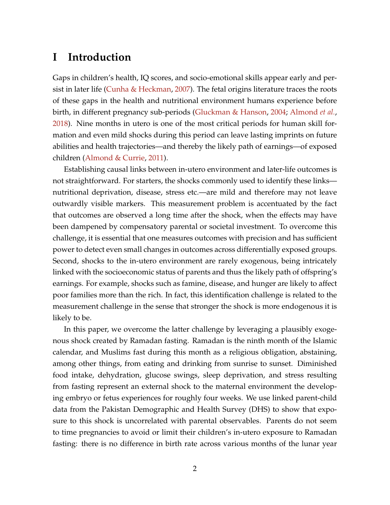## **I Introduction**

Gaps in children's health, IQ scores, and socio-emotional skills appear early and persist in later life (Cunha & Heckman, 2007). The fetal origins literature traces the roots of these gaps in the health and nutritional environment humans experience before birth, in different pregnancy sub-periods (Gluckman & Hanson, 2004; Almond *et al.*, 2018). Nine months in utero is one of the most critical periods for human skill formation and even mild shocks during this period can leave lasting imprints on future abilities and health trajectories—and thereby the likely path of earnings—of exposed children (Almond & Currie, 2011).

Establishing causal links between in-utero environment and later-life outcomes is not straightforward. For starters, the shocks commonly used to identify these links nutritional deprivation, disease, stress etc.—are mild and therefore may not leave outwardly visible markers. This measurement problem is accentuated by the fact that outcomes are observed a long time after the shock, when the effects may have been dampened by compensatory parental or societal investment. To overcome this challenge, it is essential that one measures outcomes with precision and has sufficient power to detect even small changes in outcomes across differentially exposed groups. Second, shocks to the in-utero environment are rarely exogenous, being intricately linked with the socioeconomic status of parents and thus the likely path of offspring's earnings. For example, shocks such as famine, disease, and hunger are likely to affect poor families more than the rich. In fact, this identification challenge is related to the measurement challenge in the sense that stronger the shock is more endogenous it is likely to be.

In this paper, we overcome the latter challenge by leveraging a plausibly exogenous shock created by Ramadan fasting. Ramadan is the ninth month of the Islamic calendar, and Muslims fast during this month as a religious obligation, abstaining, among other things, from eating and drinking from sunrise to sunset. Diminished food intake, dehydration, glucose swings, sleep deprivation, and stress resulting from fasting represent an external shock to the maternal environment the developing embryo or fetus experiences for roughly four weeks. We use linked parent-child data from the Pakistan Demographic and Health Survey (DHS) to show that exposure to this shock is uncorrelated with parental observables. Parents do not seem to time pregnancies to avoid or limit their children's in-utero exposure to Ramadan fasting: there is no difference in birth rate across various months of the lunar year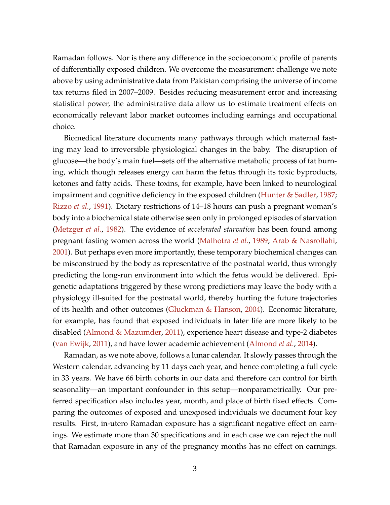Ramadan follows. Nor is there any difference in the socioeconomic profile of parents of differentially exposed children. We overcome the measurement challenge we note above by using administrative data from Pakistan comprising the universe of income tax returns filed in 2007–2009. Besides reducing measurement error and increasing statistical power, the administrative data allow us to estimate treatment effects on economically relevant labor market outcomes including earnings and occupational choice.

Biomedical literature documents many pathways through which maternal fasting may lead to irreversible physiological changes in the baby. The disruption of glucose—the body's main fuel—sets off the alternative metabolic process of fat burning, which though releases energy can harm the fetus through its toxic byproducts, ketones and fatty acids. These toxins, for example, have been linked to neurological impairment and cognitive deficiency in the exposed children (Hunter & Sadler, 1987; Rizzo *et al.*, 1991). Dietary restrictions of 14–18 hours can push a pregnant woman's body into a biochemical state otherwise seen only in prolonged episodes of starvation (Metzger *et al.*, 1982). The evidence of *accelerated starvation* has been found among pregnant fasting women across the world (Malhotra *et al.*, 1989; Arab & Nasrollahi, 2001). But perhaps even more importantly, these temporary biochemical changes can be misconstrued by the body as representative of the postnatal world, thus wrongly predicting the long-run environment into which the fetus would be delivered. Epigenetic adaptations triggered by these wrong predictions may leave the body with a physiology ill-suited for the postnatal world, thereby hurting the future trajectories of its health and other outcomes (Gluckman & Hanson, 2004). Economic literature, for example, has found that exposed individuals in later life are more likely to be disabled (Almond & Mazumder, 2011), experience heart disease and type-2 diabetes (van Ewijk, 2011), and have lower academic achievement (Almond *et al.*, 2014).

Ramadan, as we note above, follows a lunar calendar. It slowly passes through the Western calendar, advancing by 11 days each year, and hence completing a full cycle in 33 years. We have 66 birth cohorts in our data and therefore can control for birth seasonality—an important confounder in this setup—nonparametrically. Our preferred specification also includes year, month, and place of birth fixed effects. Comparing the outcomes of exposed and unexposed individuals we document four key results. First, in-utero Ramadan exposure has a significant negative effect on earnings. We estimate more than 30 specifications and in each case we can reject the null that Ramadan exposure in any of the pregnancy months has no effect on earnings.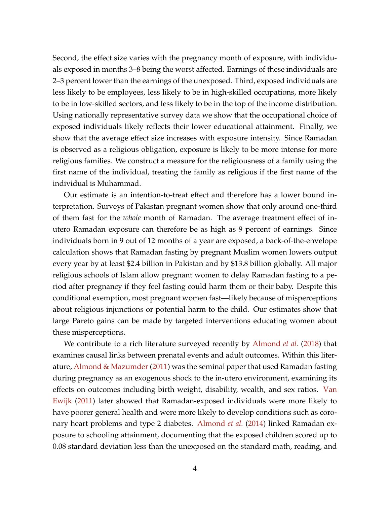Second, the effect size varies with the pregnancy month of exposure, with individuals exposed in months 3–8 being the worst affected. Earnings of these individuals are 2–3 percent lower than the earnings of the unexposed. Third, exposed individuals are less likely to be employees, less likely to be in high-skilled occupations, more likely to be in low-skilled sectors, and less likely to be in the top of the income distribution. Using nationally representative survey data we show that the occupational choice of exposed individuals likely reflects their lower educational attainment. Finally, we show that the average effect size increases with exposure intensity. Since Ramadan is observed as a religious obligation, exposure is likely to be more intense for more religious families. We construct a measure for the religiousness of a family using the first name of the individual, treating the family as religious if the first name of the individual is Muhammad.

Our estimate is an intention-to-treat effect and therefore has a lower bound interpretation. Surveys of Pakistan pregnant women show that only around one-third of them fast for the *whole* month of Ramadan. The average treatment effect of inutero Ramadan exposure can therefore be as high as 9 percent of earnings. Since individuals born in 9 out of 12 months of a year are exposed, a back-of-the-envelope calculation shows that Ramadan fasting by pregnant Muslim women lowers output every year by at least \$2.4 billion in Pakistan and by \$13.8 billion globally. All major religious schools of Islam allow pregnant women to delay Ramadan fasting to a period after pregnancy if they feel fasting could harm them or their baby. Despite this conditional exemption, most pregnant women fast—likely because of misperceptions about religious injunctions or potential harm to the child. Our estimates show that large Pareto gains can be made by targeted interventions educating women about these misperceptions.

We contribute to a rich literature surveyed recently by Almond *et al.* (2018) that examines causal links between prenatal events and adult outcomes. Within this literature, Almond & Mazumder (2011) was the seminal paper that used Ramadan fasting during pregnancy as an exogenous shock to the in-utero environment, examining its effects on outcomes including birth weight, disability, wealth, and sex ratios. Van Ewijk (2011) later showed that Ramadan-exposed individuals were more likely to have poorer general health and were more likely to develop conditions such as coronary heart problems and type 2 diabetes. Almond *et al.* (2014) linked Ramadan exposure to schooling attainment, documenting that the exposed children scored up to 0.08 standard deviation less than the unexposed on the standard math, reading, and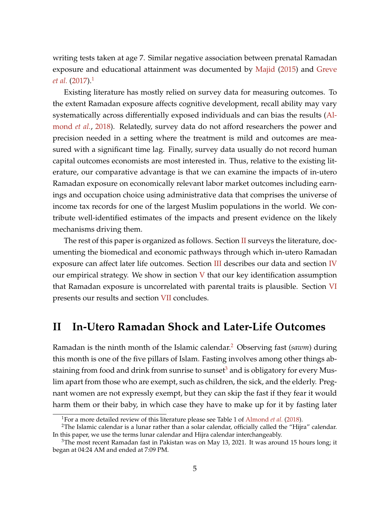writing tests taken at age 7. Similar negative association between prenatal Ramadan exposure and educational attainment was documented by Majid (2015) and Greve *et al.* (2017).<sup>1</sup>

Existing literature has mostly relied on survey data for measuring outcomes. To the extent Ramadan exposure affects cognitive development, recall ability may vary systematically across differentially exposed individuals and can bias the results (Almond *et al.*, 2018). Relatedly, survey data do not afford researchers the power and precision needed in a setting where the treatment is mild and outcomes are measured with a significant time lag. Finally, survey data usually do not record human capital outcomes economists are most interested in. Thus, relative to the existing literature, our comparative advantage is that we can examine the impacts of in-utero Ramadan exposure on economically relevant labor market outcomes including earnings and occupation choice using administrative data that comprises the universe of income tax records for one of the largest Muslim populations in the world. We contribute well-identified estimates of the impacts and present evidence on the likely mechanisms driving them.

The rest of this paper is organized as follows. Section II surveys the literature, documenting the biomedical and economic pathways through which in-utero Ramadan exposure can affect later life outcomes. Section III describes our data and section IV our empirical strategy. We show in section  $V$  that our key identification assumption that Ramadan exposure is uncorrelated with parental traits is plausible. Section VI presents our results and section VII concludes.

# **II In-Utero Ramadan Shock and Later-Life Outcomes**

Ramadan is the ninth month of the Islamic calendar.<sup>2</sup> Observing fast (*sawm*) during this month is one of the five pillars of Islam. Fasting involves among other things abstaining from food and drink from sunrise to sunset<sup>3</sup> and is obligatory for every Muslim apart from those who are exempt, such as children, the sick, and the elderly. Pregnant women are not expressly exempt, but they can skip the fast if they fear it would harm them or their baby, in which case they have to make up for it by fasting later

<sup>1</sup>For a more detailed review of this literature please see Table 1 of Almond *et al.* (2018).

<sup>&</sup>lt;sup>2</sup>The Islamic calendar is a lunar rather than a solar calendar, officially called the "Hijra" calendar. In this paper, we use the terms lunar calendar and Hijra calendar interchangeably.

<sup>&</sup>lt;sup>3</sup>The most recent Ramadan fast in Pakistan was on May 13, 2021. It was around 15 hours long; it began at 04:24 AM and ended at 7:09 PM.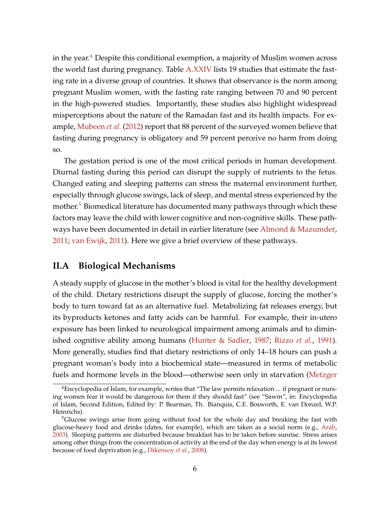in the year.<sup>4</sup> Despite this conditional exemption, a majority of Muslim women across the world fast during pregnancy. Table A.XXIV lists 19 studies that estimate the fasting rate in a diverse group of countries. It shows that observance is the norm among pregnant Muslim women, with the fasting rate ranging between 70 and 90 percent in the high-powered studies. Importantly, these studies also highlight widespread misperceptions about the nature of the Ramadan fast and its health impacts. For example, Mubeen *et al.* (2012) report that 88 percent of the surveyed women believe that fasting during pregnancy is obligatory and 59 percent perceive no harm from doing so.

The gestation period is one of the most critical periods in human development. Diurnal fasting during this period can disrupt the supply of nutrients to the fetus. Changed eating and sleeping patterns can stress the maternal environment further, especially through glucose swings, lack of sleep, and mental stress experienced by the mother.<sup>5</sup> Biomedical literature has documented many pathways through which these factors may leave the child with lower cognitive and non-cognitive skills. These pathways have been documented in detail in earlier literature (see Almond & Mazumder, 2011; van Ewijk, 2011). Here we give a brief overview of these pathways.

### **II.A Biological Mechanisms**

A steady supply of glucose in the mother's blood is vital for the healthy development of the child. Dietary restrictions disrupt the supply of glucose, forcing the mother's body to turn toward fat as an alternative fuel. Metabolizing fat releases energy, but its byproducts ketones and fatty acids can be harmful. For example, their in-utero exposure has been linked to neurological impairment among animals and to diminished cognitive ability among humans (Hunter & Sadler, 1987; Rizzo *et al.*, 1991). More generally, studies find that dietary restrictions of only 14–18 hours can push a pregnant woman's body into a biochemical state—measured in terms of metabolic fuels and hormone levels in the blood—otherwise seen only in starvation (Metzger

<sup>&</sup>lt;sup>4</sup>Encyclopedia of Islam, for example, writes that "The law permits relaxation ... if pregnant or nursing women fear it would be dangerous for them if they should fast" (see "Sawm", in: Encyclopedia of Islam, Second Edition, Edited by: P. Bearman, Th. Bianquis, C.E. Bosworth, E. van Donzel, W.P. Heinrichs).

<sup>&</sup>lt;sup>5</sup>Glucose swings arise from going without food for the whole day and breaking the fast with glucose-heavy food and drinks (dates, for example), which are taken as a social norm (e.g., Arab, 2003). Sleeping patterns are disturbed because breakfast has to be taken before sunrise. Stress arises among other things from the concentration of activity at the end of the day when energy is at its lowest because of food deprivation (e.g., Dikensoy *et al.*, 2008).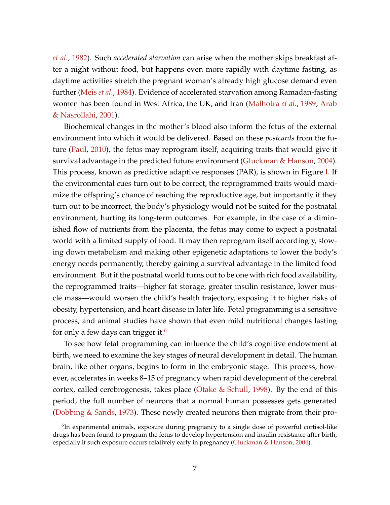*et al.*, 1982). Such *accelerated starvation* can arise when the mother skips breakfast after a night without food, but happens even more rapidly with daytime fasting, as daytime activities stretch the pregnant woman's already high glucose demand even further (Meis *et al.*, 1984). Evidence of accelerated starvation among Ramadan-fasting women has been found in West Africa, the UK, and Iran (Malhotra *et al.*, 1989; Arab & Nasrollahi, 2001).

Biochemical changes in the mother's blood also inform the fetus of the external environment into which it would be delivered. Based on these *postcards* from the future (Paul, 2010), the fetus may reprogram itself, acquiring traits that would give it survival advantage in the predicted future environment (Gluckman & Hanson, 2004). This process, known as predictive adaptive responses (PAR), is shown in Figure I. If the environmental cues turn out to be correct, the reprogrammed traits would maximize the offspring's chance of reaching the reproductive age, but importantly if they turn out to be incorrect, the body's physiology would not be suited for the postnatal environment, hurting its long-term outcomes. For example, in the case of a diminished flow of nutrients from the placenta, the fetus may come to expect a postnatal world with a limited supply of food. It may then reprogram itself accordingly, slowing down metabolism and making other epigenetic adaptations to lower the body's energy needs permanently, thereby gaining a survival advantage in the limited food environment. But if the postnatal world turns out to be one with rich food availability, the reprogrammed traits—higher fat storage, greater insulin resistance, lower muscle mass—would worsen the child's health trajectory, exposing it to higher risks of obesity, hypertension, and heart disease in later life. Fetal programming is a sensitive process, and animal studies have shown that even mild nutritional changes lasting for only a few days can trigger it.<sup>6</sup>

To see how fetal programming can influence the child's cognitive endowment at birth, we need to examine the key stages of neural development in detail. The human brain, like other organs, begins to form in the embryonic stage. This process, however, accelerates in weeks 8–15 of pregnancy when rapid development of the cerebral cortex, called cerebrogenesis, takes place (Otake & Schull, 1998). By the end of this period, the full number of neurons that a normal human possesses gets generated (Dobbing & Sands, 1973). These newly created neurons then migrate from their pro-

<sup>&</sup>lt;sup>6</sup>In experimental animals, exposure during pregnancy to a single dose of powerful cortisol-like drugs has been found to program the fetus to develop hypertension and insulin resistance after birth, especially if such exposure occurs relatively early in pregnancy (Gluckman & Hanson, 2004).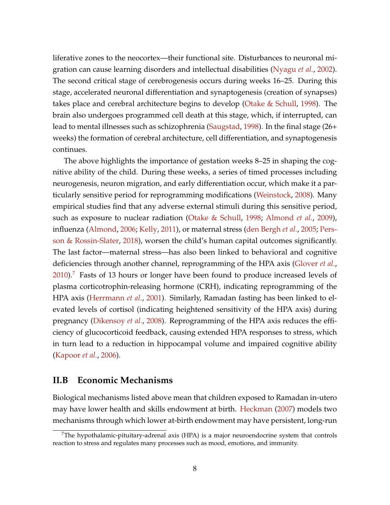liferative zones to the neocortex—their functional site. Disturbances to neuronal migration can cause learning disorders and intellectual disabilities (Nyagu *et al.*, 2002). The second critical stage of cerebrogenesis occurs during weeks 16–25. During this stage, accelerated neuronal differentiation and synaptogenesis (creation of synapses) takes place and cerebral architecture begins to develop (Otake & Schull, 1998). The brain also undergoes programmed cell death at this stage, which, if interrupted, can lead to mental illnesses such as schizophrenia (Saugstad, 1998). In the final stage (26+ weeks) the formation of cerebral architecture, cell differentiation, and synaptogenesis continues.

The above highlights the importance of gestation weeks 8–25 in shaping the cognitive ability of the child. During these weeks, a series of timed processes including neurogenesis, neuron migration, and early differentiation occur, which make it a particularly sensitive period for reprogramming modifications (Weinstock, 2008). Many empirical studies find that any adverse external stimuli during this sensitive period, such as exposure to nuclear radiation (Otake & Schull, 1998; Almond *et al.*, 2009), influenza (Almond, 2006; Kelly, 2011), or maternal stress (den Bergh *et al.*, 2005; Persson & Rossin-Slater, 2018), worsen the child's human capital outcomes significantly. The last factor—maternal stress—has also been linked to behavioral and cognitive deficiencies through another channel, reprogramming of the HPA axis (Glover *et al.*, 2010).<sup>7</sup> Fasts of 13 hours or longer have been found to produce increased levels of plasma corticotrophin-releasing hormone (CRH), indicating reprogramming of the HPA axis (Herrmann *et al.*, 2001). Similarly, Ramadan fasting has been linked to elevated levels of cortisol (indicating heightened sensitivity of the HPA axis) during pregnancy (Dikensoy *et al.*, 2008). Reprogramming of the HPA axis reduces the efficiency of glucocorticoid feedback, causing extended HPA responses to stress, which in turn lead to a reduction in hippocampal volume and impaired cognitive ability (Kapoor *et al.*, 2006).

#### **II.B Economic Mechanisms**

Biological mechanisms listed above mean that children exposed to Ramadan in-utero may have lower health and skills endowment at birth. Heckman (2007) models two mechanisms through which lower at-birth endowment may have persistent, long-run

 $7$ The hypothalamic-pituitary-adrenal axis (HPA) is a major neuroendocrine system that controls reaction to stress and regulates many processes such as mood, emotions, and immunity.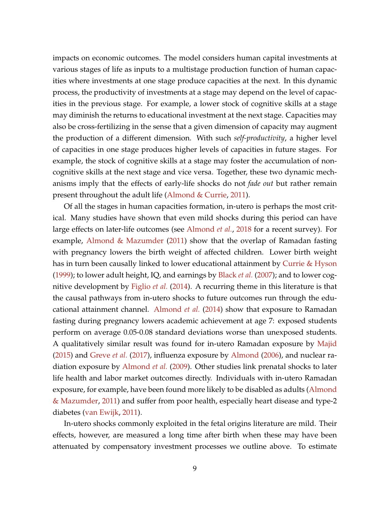impacts on economic outcomes. The model considers human capital investments at various stages of life as inputs to a multistage production function of human capacities where investments at one stage produce capacities at the next. In this dynamic process, the productivity of investments at a stage may depend on the level of capacities in the previous stage. For example, a lower stock of cognitive skills at a stage may diminish the returns to educational investment at the next stage. Capacities may also be cross-fertilizing in the sense that a given dimension of capacity may augment the production of a different dimension. With such *self-productivity*, a higher level of capacities in one stage produces higher levels of capacities in future stages. For example, the stock of cognitive skills at a stage may foster the accumulation of noncognitive skills at the next stage and vice versa. Together, these two dynamic mechanisms imply that the effects of early-life shocks do not *fade out* but rather remain present throughout the adult life (Almond & Currie, 2011).

Of all the stages in human capacities formation, in-utero is perhaps the most critical. Many studies have shown that even mild shocks during this period can have large effects on later-life outcomes (see Almond *et al.*, 2018 for a recent survey). For example, Almond & Mazumder (2011) show that the overlap of Ramadan fasting with pregnancy lowers the birth weight of affected children. Lower birth weight has in turn been causally linked to lower educational attainment by Currie & Hyson (1999); to lower adult height, IQ, and earnings by Black *et al.* (2007); and to lower cognitive development by Figlio *et al.* (2014). A recurring theme in this literature is that the causal pathways from in-utero shocks to future outcomes run through the educational attainment channel. Almond *et al.* (2014) show that exposure to Ramadan fasting during pregnancy lowers academic achievement at age 7: exposed students perform on average 0.05-0.08 standard deviations worse than unexposed students. A qualitatively similar result was found for in-utero Ramadan exposure by Majid (2015) and Greve *et al.* (2017), influenza exposure by Almond (2006), and nuclear radiation exposure by Almond *et al.* (2009). Other studies link prenatal shocks to later life health and labor market outcomes directly. Individuals with in-utero Ramadan exposure, for example, have been found more likely to be disabled as adults (Almond & Mazumder, 2011) and suffer from poor health, especially heart disease and type-2 diabetes (van Ewijk, 2011).

In-utero shocks commonly exploited in the fetal origins literature are mild. Their effects, however, are measured a long time after birth when these may have been attenuated by compensatory investment processes we outline above. To estimate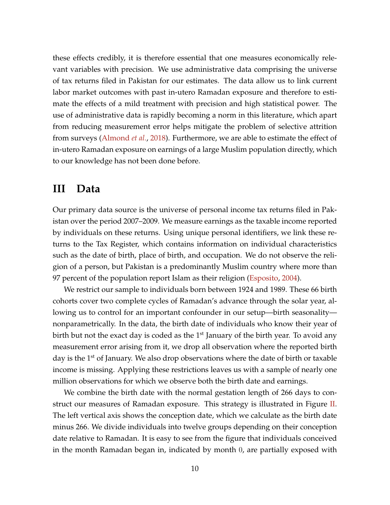these effects credibly, it is therefore essential that one measures economically relevant variables with precision. We use administrative data comprising the universe of tax returns filed in Pakistan for our estimates. The data allow us to link current labor market outcomes with past in-utero Ramadan exposure and therefore to estimate the effects of a mild treatment with precision and high statistical power. The use of administrative data is rapidly becoming a norm in this literature, which apart from reducing measurement error helps mitigate the problem of selective attrition from surveys (Almond *et al.*, 2018). Furthermore, we are able to estimate the effect of in-utero Ramadan exposure on earnings of a large Muslim population directly, which to our knowledge has not been done before.

## **III Data**

Our primary data source is the universe of personal income tax returns filed in Pakistan over the period 2007–2009. We measure earnings as the taxable income reported by individuals on these returns. Using unique personal identifiers, we link these returns to the Tax Register, which contains information on individual characteristics such as the date of birth, place of birth, and occupation. We do not observe the religion of a person, but Pakistan is a predominantly Muslim country where more than 97 percent of the population report Islam as their religion (Esposito, 2004).

We restrict our sample to individuals born between 1924 and 1989. These 66 birth cohorts cover two complete cycles of Ramadan's advance through the solar year, allowing us to control for an important confounder in our setup—birth seasonality nonparametrically. In the data, the birth date of individuals who know their year of birth but not the exact day is coded as the  $1<sup>st</sup>$  January of the birth year. To avoid any measurement error arising from it, we drop all observation where the reported birth day is the 1<sup>st</sup> of January. We also drop observations where the date of birth or taxable income is missing. Applying these restrictions leaves us with a sample of nearly one million observations for which we observe both the birth date and earnings.

We combine the birth date with the normal gestation length of 266 days to construct our measures of Ramadan exposure. This strategy is illustrated in Figure II. The left vertical axis shows the conception date, which we calculate as the birth date minus 266. We divide individuals into twelve groups depending on their conception date relative to Ramadan. It is easy to see from the figure that individuals conceived in the month Ramadan began in, indicated by month 0, are partially exposed with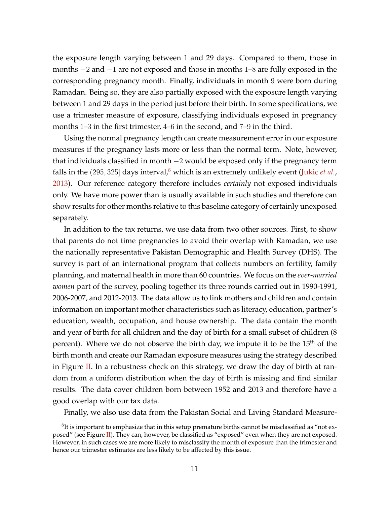the exposure length varying between 1 and 29 days. Compared to them, those in months −2 and −1 are not exposed and those in months 1–8 are fully exposed in the corresponding pregnancy month. Finally, individuals in month 9 were born during Ramadan. Being so, they are also partially exposed with the exposure length varying between 1 and 29 days in the period just before their birth. In some specifications, we use a trimester measure of exposure, classifying individuals exposed in pregnancy months 1–3 in the first trimester, 4–6 in the second, and 7–9 in the third.

Using the normal pregnancy length can create measurement error in our exposure measures if the pregnancy lasts more or less than the normal term. Note, however, that individuals classified in month −2 would be exposed only if the pregnancy term falls in the  $(295, 325)$  days interval,<sup>8</sup> which is an extremely unlikely event (Jukic *et al.*, 2013). Our reference category therefore includes *certainly* not exposed individuals only. We have more power than is usually available in such studies and therefore can show results for other months relative to this baseline category of certainly unexposed separately.

In addition to the tax returns, we use data from two other sources. First, to show that parents do not time pregnancies to avoid their overlap with Ramadan, we use the nationally representative Pakistan Demographic and Health Survey (DHS). The survey is part of an international program that collects numbers on fertility, family planning, and maternal health in more than 60 countries. We focus on the *ever-married women* part of the survey, pooling together its three rounds carried out in 1990-1991, 2006-2007, and 2012-2013. The data allow us to link mothers and children and contain information on important mother characteristics such as literacy, education, partner's education, wealth, occupation, and house ownership. The data contain the month and year of birth for all children and the day of birth for a small subset of children (8 percent). Where we do not observe the birth day, we impute it to be the  $15<sup>th</sup>$  of the birth month and create our Ramadan exposure measures using the strategy described in Figure II. In a robustness check on this strategy, we draw the day of birth at random from a uniform distribution when the day of birth is missing and find similar results. The data cover children born between 1952 and 2013 and therefore have a good overlap with our tax data.

Finally, we also use data from the Pakistan Social and Living Standard Measure-

 ${}^{8}$ It is important to emphasize that in this setup premature births cannot be misclassified as "not exposed" (see Figure II). They can, however, be classified as "exposed" even when they are not exposed. However, in such cases we are more likely to misclassify the month of exposure than the trimester and hence our trimester estimates are less likely to be affected by this issue.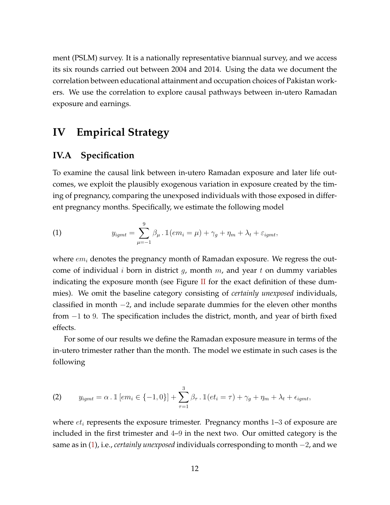ment (PSLM) survey. It is a nationally representative biannual survey, and we access its six rounds carried out between 2004 and 2014. Using the data we document the correlation between educational attainment and occupation choices of Pakistan workers. We use the correlation to explore causal pathways between in-utero Ramadan exposure and earnings.

# **IV Empirical Strategy**

## **IV.A Specification**

To examine the causal link between in-utero Ramadan exposure and later life outcomes, we exploit the plausibly exogenous variation in exposure created by the timing of pregnancy, comparing the unexposed individuals with those exposed in different pregnancy months. Specifically, we estimate the following model

(1) 
$$
y_{igm} = \sum_{\mu=-1}^{9} \beta_{\mu} \cdot \mathbb{1}(em_i = \mu) + \gamma_g + \eta_m + \lambda_t + \varepsilon_{igm},
$$

where  $em_i$  denotes the pregnancy month of Ramadan exposure. We regress the outcome of individual i born in district g, month  $m$ , and year t on dummy variables indicating the exposure month (see Figure II for the exact definition of these dummies). We omit the baseline category consisting of *certainly unexposed* individuals, classified in month −2, and include separate dummies for the eleven other months from −1 to 9. The specification includes the district, month, and year of birth fixed effects.

For some of our results we define the Ramadan exposure measure in terms of the in-utero trimester rather than the month. The model we estimate in such cases is the following

(2) 
$$
y_{igm} = \alpha \cdot \mathbb{1} [em_i \in \{-1, 0\}] + \sum_{\tau=1}^{3} \beta_{\tau} \cdot \mathbb{1} (et_i = \tau) + \gamma_g + \eta_m + \lambda_t + \epsilon_{igm},
$$

where  $et_i$  represents the exposure trimester. Pregnancy months  $1-3$  of exposure are included in the first trimester and 4–9 in the next two. Our omitted category is the same as in (1), i.e., *certainly unexposed* individuals corresponding to month −2, and we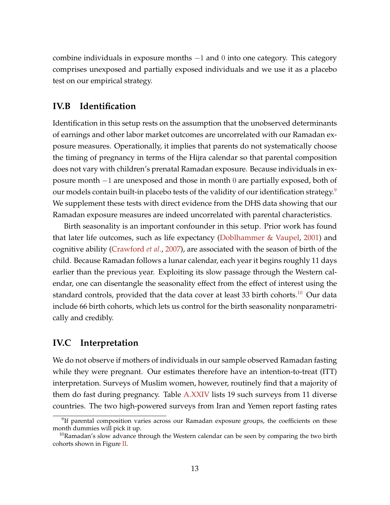combine individuals in exposure months −1 and 0 into one category. This category comprises unexposed and partially exposed individuals and we use it as a placebo test on our empirical strategy.

### **IV.B Identification**

Identification in this setup rests on the assumption that the unobserved determinants of earnings and other labor market outcomes are uncorrelated with our Ramadan exposure measures. Operationally, it implies that parents do not systematically choose the timing of pregnancy in terms of the Hijra calendar so that parental composition does not vary with children's prenatal Ramadan exposure. Because individuals in exposure month −1 are unexposed and those in month 0 are partially exposed, both of our models contain built-in placebo tests of the validity of our identification strategy.<sup>9</sup> We supplement these tests with direct evidence from the DHS data showing that our Ramadan exposure measures are indeed uncorrelated with parental characteristics.

Birth seasonality is an important confounder in this setup. Prior work has found that later life outcomes, such as life expectancy (Doblhammer & Vaupel, 2001) and cognitive ability (Crawford *et al.*, 2007), are associated with the season of birth of the child. Because Ramadan follows a lunar calendar, each year it begins roughly 11 days earlier than the previous year. Exploiting its slow passage through the Western calendar, one can disentangle the seasonality effect from the effect of interest using the standard controls, provided that the data cover at least 33 birth cohorts.<sup>10</sup> Our data include 66 birth cohorts, which lets us control for the birth seasonality nonparametrically and credibly.

#### **IV.C Interpretation**

We do not observe if mothers of individuals in our sample observed Ramadan fasting while they were pregnant. Our estimates therefore have an intention-to-treat (ITT) interpretation. Surveys of Muslim women, however, routinely find that a majority of them do fast during pregnancy. Table A.XXIV lists 19 such surveys from 11 diverse countries. The two high-powered surveys from Iran and Yemen report fasting rates

<sup>&</sup>lt;sup>9</sup>If parental composition varies across our Ramadan exposure groups, the coefficients on these month dummies will pick it up.

 $10$ Ramadan's slow advance through the Western calendar can be seen by comparing the two birth cohorts shown in Figure II.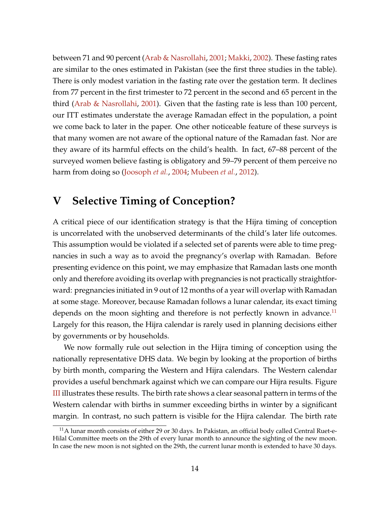between 71 and 90 percent (Arab & Nasrollahi, 2001; Makki, 2002). These fasting rates are similar to the ones estimated in Pakistan (see the first three studies in the table). There is only modest variation in the fasting rate over the gestation term. It declines from 77 percent in the first trimester to 72 percent in the second and 65 percent in the third (Arab & Nasrollahi, 2001). Given that the fasting rate is less than 100 percent, our ITT estimates understate the average Ramadan effect in the population, a point we come back to later in the paper. One other noticeable feature of these surveys is that many women are not aware of the optional nature of the Ramadan fast. Nor are they aware of its harmful effects on the child's health. In fact, 67–88 percent of the surveyed women believe fasting is obligatory and 59–79 percent of them perceive no harm from doing so (Joosoph *et al.*, 2004; Mubeen *et al.*, 2012).

## **V Selective Timing of Conception?**

A critical piece of our identification strategy is that the Hijra timing of conception is uncorrelated with the unobserved determinants of the child's later life outcomes. This assumption would be violated if a selected set of parents were able to time pregnancies in such a way as to avoid the pregnancy's overlap with Ramadan. Before presenting evidence on this point, we may emphasize that Ramadan lasts one month only and therefore avoiding its overlap with pregnancies is not practically straightforward: pregnancies initiated in 9 out of 12 months of a year will overlap with Ramadan at some stage. Moreover, because Ramadan follows a lunar calendar, its exact timing depends on the moon sighting and therefore is not perfectly known in advance.<sup>11</sup> Largely for this reason, the Hijra calendar is rarely used in planning decisions either by governments or by households.

We now formally rule out selection in the Hijra timing of conception using the nationally representative DHS data. We begin by looking at the proportion of births by birth month, comparing the Western and Hijra calendars. The Western calendar provides a useful benchmark against which we can compare our Hijra results. Figure III illustrates these results. The birth rate shows a clear seasonal pattern in terms of the Western calendar with births in summer exceeding births in winter by a significant margin. In contrast, no such pattern is visible for the Hijra calendar. The birth rate

 $<sup>11</sup>A$  lunar month consists of either 29 or 30 days. In Pakistan, an official body called Central Ruet-e-</sup> Hilal Committee meets on the 29th of every lunar month to announce the sighting of the new moon. In case the new moon is not sighted on the 29th, the current lunar month is extended to have 30 days.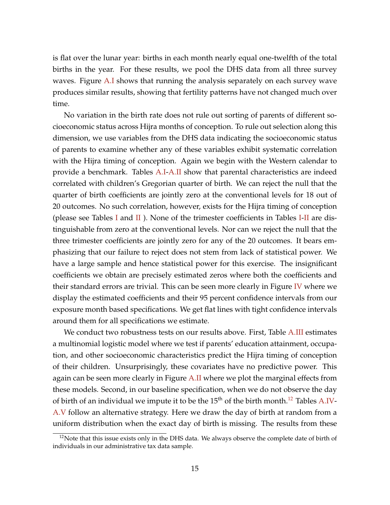is flat over the lunar year: births in each month nearly equal one-twelfth of the total births in the year. For these results, we pool the DHS data from all three survey waves. Figure A.I shows that running the analysis separately on each survey wave produces similar results, showing that fertility patterns have not changed much over time.

No variation in the birth rate does not rule out sorting of parents of different socioeconomic status across Hijra months of conception. To rule out selection along this dimension, we use variables from the DHS data indicating the socioeconomic status of parents to examine whether any of these variables exhibit systematic correlation with the Hijra timing of conception. Again we begin with the Western calendar to provide a benchmark. Tables A.I-A.II show that parental characteristics are indeed correlated with children's Gregorian quarter of birth. We can reject the null that the quarter of birth coefficients are jointly zero at the conventional levels for 18 out of 20 outcomes. No such correlation, however, exists for the Hijra timing of conception (please see Tables I and II). None of the trimester coefficients in Tables I-II are distinguishable from zero at the conventional levels. Nor can we reject the null that the three trimester coefficients are jointly zero for any of the 20 outcomes. It bears emphasizing that our failure to reject does not stem from lack of statistical power. We have a large sample and hence statistical power for this exercise. The insignificant coefficients we obtain are precisely estimated zeros where both the coefficients and their standard errors are trivial. This can be seen more clearly in Figure IV where we display the estimated coefficients and their 95 percent confidence intervals from our exposure month based specifications. We get flat lines with tight confidence intervals around them for all specifications we estimate.

We conduct two robustness tests on our results above. First, Table A.III estimates a multinomial logistic model where we test if parents' education attainment, occupation, and other socioeconomic characteristics predict the Hijra timing of conception of their children. Unsurprisingly, these covariates have no predictive power. This again can be seen more clearly in Figure A.II where we plot the marginal effects from these models. Second, in our baseline specification, when we do not observe the day of birth of an individual we impute it to be the  $15<sup>th</sup>$  of the birth month.<sup>12</sup> Tables A.IV-A.V follow an alternative strategy. Here we draw the day of birth at random from a uniform distribution when the exact day of birth is missing. The results from these

<sup>&</sup>lt;sup>12</sup>Note that this issue exists only in the DHS data. We always observe the complete date of birth of individuals in our administrative tax data sample.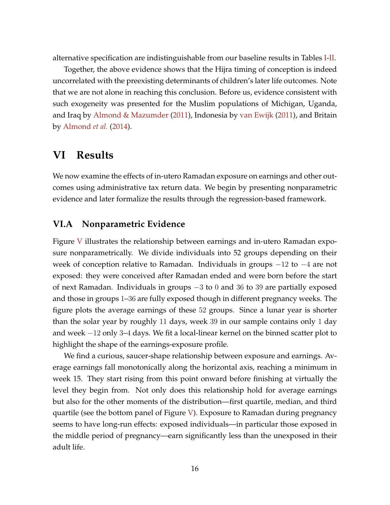alternative specification are indistinguishable from our baseline results in Tables I-II.

Together, the above evidence shows that the Hijra timing of conception is indeed uncorrelated with the preexisting determinants of children's later life outcomes. Note that we are not alone in reaching this conclusion. Before us, evidence consistent with such exogeneity was presented for the Muslim populations of Michigan, Uganda, and Iraq by Almond & Mazumder (2011), Indonesia by van Ewijk (2011), and Britain by Almond *et al.* (2014).

## **VI Results**

We now examine the effects of in-utero Ramadan exposure on earnings and other outcomes using administrative tax return data. We begin by presenting nonparametric evidence and later formalize the results through the regression-based framework.

#### **VI.A Nonparametric Evidence**

Figure V illustrates the relationship between earnings and in-utero Ramadan exposure nonparametrically. We divide individuals into 52 groups depending on their week of conception relative to Ramadan. Individuals in groups  $-12$  to  $-4$  are not exposed: they were conceived after Ramadan ended and were born before the start of next Ramadan. Individuals in groups −3 to 0 and 36 to 39 are partially exposed and those in groups 1–36 are fully exposed though in different pregnancy weeks. The figure plots the average earnings of these 52 groups. Since a lunar year is shorter than the solar year by roughly 11 days, week 39 in our sample contains only 1 day and week −12 only 3–4 days. We fit a local-linear kernel on the binned scatter plot to highlight the shape of the earnings-exposure profile.

We find a curious, saucer-shape relationship between exposure and earnings. Average earnings fall monotonically along the horizontal axis, reaching a minimum in week 15. They start rising from this point onward before finishing at virtually the level they begin from. Not only does this relationship hold for average earnings but also for the other moments of the distribution—first quartile, median, and third quartile (see the bottom panel of Figure V). Exposure to Ramadan during pregnancy seems to have long-run effects: exposed individuals—in particular those exposed in the middle period of pregnancy—earn significantly less than the unexposed in their adult life.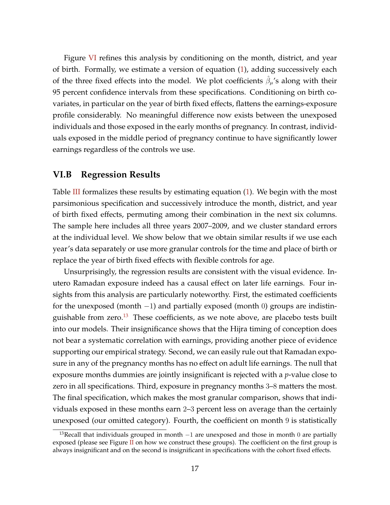Figure VI refines this analysis by conditioning on the month, district, and year of birth. Formally, we estimate a version of equation (1), adding successively each of the three fixed effects into the model. We plot coefficients  $\hat{\beta}_{\mu}$ 's along with their 95 percent confidence intervals from these specifications. Conditioning on birth covariates, in particular on the year of birth fixed effects, flattens the earnings-exposure profile considerably. No meaningful difference now exists between the unexposed individuals and those exposed in the early months of pregnancy. In contrast, individuals exposed in the middle period of pregnancy continue to have significantly lower earnings regardless of the controls we use.

#### **VI.B Regression Results**

Table  $III$  formalizes these results by estimating equation  $(1)$ . We begin with the most parsimonious specification and successively introduce the month, district, and year of birth fixed effects, permuting among their combination in the next six columns. The sample here includes all three years 2007–2009, and we cluster standard errors at the individual level. We show below that we obtain similar results if we use each year's data separately or use more granular controls for the time and place of birth or replace the year of birth fixed effects with flexible controls for age.

Unsurprisingly, the regression results are consistent with the visual evidence. Inutero Ramadan exposure indeed has a causal effect on later life earnings. Four insights from this analysis are particularly noteworthy. First, the estimated coefficients for the unexposed (month  $-1$ ) and partially exposed (month 0) groups are indistinguishable from zero. $13$  These coefficients, as we note above, are placebo tests built into our models. Their insignificance shows that the Hijra timing of conception does not bear a systematic correlation with earnings, providing another piece of evidence supporting our empirical strategy. Second, we can easily rule out that Ramadan exposure in any of the pregnancy months has no effect on adult life earnings. The null that exposure months dummies are jointly insignificant is rejected with a *p*-value close to zero in all specifications. Third, exposure in pregnancy months 3–8 matters the most. The final specification, which makes the most granular comparison, shows that individuals exposed in these months earn 2–3 percent less on average than the certainly unexposed (our omitted category). Fourth, the coefficient on month 9 is statistically

<sup>&</sup>lt;sup>13</sup>Recall that individuals grouped in month  $-1$  are unexposed and those in month 0 are partially exposed (please see Figure  $II$  on how we construct these groups). The coefficient on the first group is always insignificant and on the second is insignificant in specifications with the cohort fixed effects.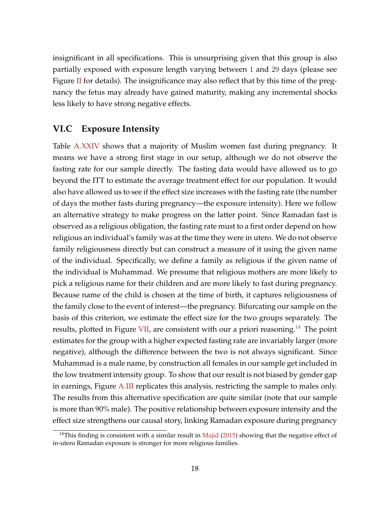insignificant in all specifications. This is unsurprising given that this group is also partially exposed with exposure length varying between 1 and 29 days (please see Figure II for details). The insignificance may also reflect that by this time of the pregnancy the fetus may already have gained maturity, making any incremental shocks less likely to have strong negative effects.

## **VI.C Exposure Intensity**

Table A.XXIV shows that a majority of Muslim women fast during pregnancy. It means we have a strong first stage in our setup, although we do not observe the fasting rate for our sample directly. The fasting data would have allowed us to go beyond the ITT to estimate the average treatment effect for our population. It would also have allowed us to see if the effect size increases with the fasting rate (the number of days the mother fasts during pregnancy—the exposure intensity). Here we follow an alternative strategy to make progress on the latter point. Since Ramadan fast is observed as a religious obligation, the fasting rate must to a first order depend on how religious an individual's family was at the time they were in utero. We do not observe family religiousness directly but can construct a measure of it using the given name of the individual. Specifically, we define a family as religious if the given name of the individual is Muhammad. We presume that religious mothers are more likely to pick a religious name for their children and are more likely to fast during pregnancy. Because name of the child is chosen at the time of birth, it captures religiousness of the family close to the event of interest—the pregnancy. Bifurcating our sample on the basis of this criterion, we estimate the effect size for the two groups separately. The results, plotted in Figure VII, are consistent with our a priori reasoning.<sup>14</sup> The point estimates for the group with a higher expected fasting rate are invariably larger (more negative), although the difference between the two is not always significant. Since Muhammad is a male name, by construction all females in our sample get included in the low treatment intensity group. To show that our result is not biased by gender gap in earnings, Figure A.III replicates this analysis, restricting the sample to males only. The results from this alternative specification are quite similar (note that our sample is more than 90% male). The positive relationship between exposure intensity and the effect size strengthens our causal story, linking Ramadan exposure during pregnancy

<sup>&</sup>lt;sup>14</sup>This finding is consistent with a similar result in Majid (2015) showing that the negative effect of in-utero Ramadan exposure is stronger for more religious families.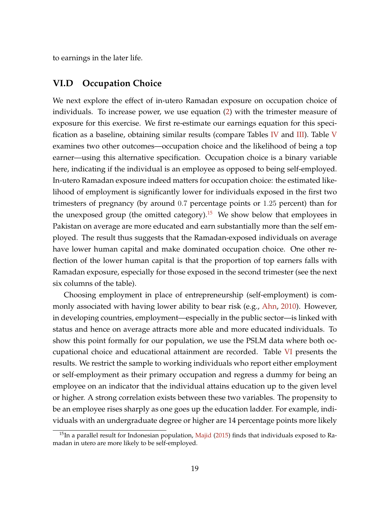to earnings in the later life.

#### **VI.D Occupation Choice**

We next explore the effect of in-utero Ramadan exposure on occupation choice of individuals. To increase power, we use equation (2) with the trimester measure of exposure for this exercise. We first re-estimate our earnings equation for this specification as a baseline, obtaining similar results (compare Tables IV and III). Table V examines two other outcomes—occupation choice and the likelihood of being a top earner—using this alternative specification. Occupation choice is a binary variable here, indicating if the individual is an employee as opposed to being self-employed. In-utero Ramadan exposure indeed matters for occupation choice: the estimated likelihood of employment is significantly lower for individuals exposed in the first two trimesters of pregnancy (by around 0.7 percentage points or 1.25 percent) than for the unexposed group (the omitted category).<sup>15</sup> We show below that employees in Pakistan on average are more educated and earn substantially more than the self employed. The result thus suggests that the Ramadan-exposed individuals on average have lower human capital and make dominated occupation choice. One other reflection of the lower human capital is that the proportion of top earners falls with Ramadan exposure, especially for those exposed in the second trimester (see the next six columns of the table).

Choosing employment in place of entrepreneurship (self-employment) is commonly associated with having lower ability to bear risk (e.g., Ahn, 2010). However, in developing countries, employment—especially in the public sector—is linked with status and hence on average attracts more able and more educated individuals. To show this point formally for our population, we use the PSLM data where both occupational choice and educational attainment are recorded. Table VI presents the results. We restrict the sample to working individuals who report either employment or self-employment as their primary occupation and regress a dummy for being an employee on an indicator that the individual attains education up to the given level or higher. A strong correlation exists between these two variables. The propensity to be an employee rises sharply as one goes up the education ladder. For example, individuals with an undergraduate degree or higher are 14 percentage points more likely

 $15$ In a parallel result for Indonesian population, Majid (2015) finds that individuals exposed to Ramadan in utero are more likely to be self-employed.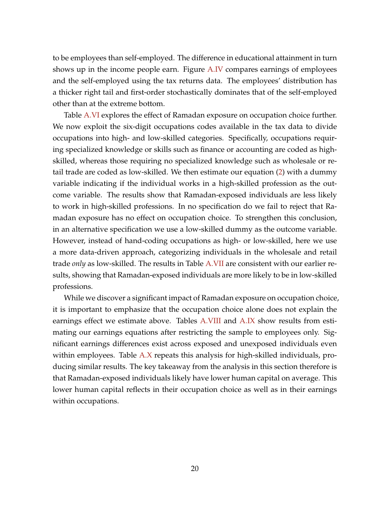to be employees than self-employed. The difference in educational attainment in turn shows up in the income people earn. Figure A.IV compares earnings of employees and the self-employed using the tax returns data. The employees' distribution has a thicker right tail and first-order stochastically dominates that of the self-employed other than at the extreme bottom.

Table A.VI explores the effect of Ramadan exposure on occupation choice further. We now exploit the six-digit occupations codes available in the tax data to divide occupations into high- and low-skilled categories. Specifically, occupations requiring specialized knowledge or skills such as finance or accounting are coded as highskilled, whereas those requiring no specialized knowledge such as wholesale or retail trade are coded as low-skilled. We then estimate our equation (2) with a dummy variable indicating if the individual works in a high-skilled profession as the outcome variable. The results show that Ramadan-exposed individuals are less likely to work in high-skilled professions. In no specification do we fail to reject that Ramadan exposure has no effect on occupation choice. To strengthen this conclusion, in an alternative specification we use a low-skilled dummy as the outcome variable. However, instead of hand-coding occupations as high- or low-skilled, here we use a more data-driven approach, categorizing individuals in the wholesale and retail trade *only* as low-skilled. The results in Table A.VII are consistent with our earlier results, showing that Ramadan-exposed individuals are more likely to be in low-skilled professions.

While we discover a significant impact of Ramadan exposure on occupation choice, it is important to emphasize that the occupation choice alone does not explain the earnings effect we estimate above. Tables A.VIII and A.IX show results from estimating our earnings equations after restricting the sample to employees only. Significant earnings differences exist across exposed and unexposed individuals even within employees. Table A.X repeats this analysis for high-skilled individuals, producing similar results. The key takeaway from the analysis in this section therefore is that Ramadan-exposed individuals likely have lower human capital on average. This lower human capital reflects in their occupation choice as well as in their earnings within occupations.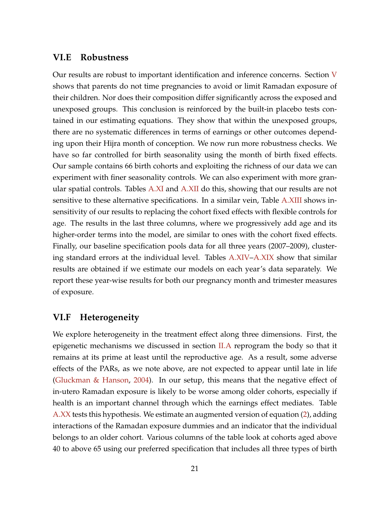#### **VI.E Robustness**

Our results are robust to important identification and inference concerns. Section V shows that parents do not time pregnancies to avoid or limit Ramadan exposure of their children. Nor does their composition differ significantly across the exposed and unexposed groups. This conclusion is reinforced by the built-in placebo tests contained in our estimating equations. They show that within the unexposed groups, there are no systematic differences in terms of earnings or other outcomes depending upon their Hijra month of conception. We now run more robustness checks. We have so far controlled for birth seasonality using the month of birth fixed effects. Our sample contains 66 birth cohorts and exploiting the richness of our data we can experiment with finer seasonality controls. We can also experiment with more granular spatial controls. Tables A.XI and A.XII do this, showing that our results are not sensitive to these alternative specifications. In a similar vein, Table A.XIII shows insensitivity of our results to replacing the cohort fixed effects with flexible controls for age. The results in the last three columns, where we progressively add age and its higher-order terms into the model, are similar to ones with the cohort fixed effects. Finally, our baseline specification pools data for all three years (2007–2009), clustering standard errors at the individual level. Tables A.XIV–A.XIX show that similar results are obtained if we estimate our models on each year's data separately. We report these year-wise results for both our pregnancy month and trimester measures of exposure.

### **VI.F Heterogeneity**

We explore heterogeneity in the treatment effect along three dimensions. First, the epigenetic mechanisms we discussed in section  $II.A$  reprogram the body so that it remains at its prime at least until the reproductive age. As a result, some adverse effects of the PARs, as we note above, are not expected to appear until late in life (Gluckman & Hanson, 2004). In our setup, this means that the negative effect of in-utero Ramadan exposure is likely to be worse among older cohorts, especially if health is an important channel through which the earnings effect mediates. Table A.XX tests this hypothesis. We estimate an augmented version of equation (2), adding interactions of the Ramadan exposure dummies and an indicator that the individual belongs to an older cohort. Various columns of the table look at cohorts aged above 40 to above 65 using our preferred specification that includes all three types of birth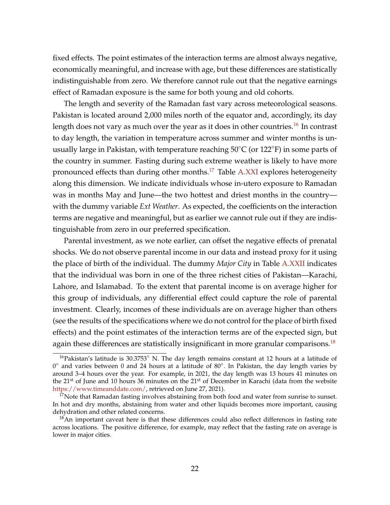fixed effects. The point estimates of the interaction terms are almost always negative, economically meaningful, and increase with age, but these differences are statistically indistinguishable from zero. We therefore cannot rule out that the negative earnings effect of Ramadan exposure is the same for both young and old cohorts.

The length and severity of the Ramadan fast vary across meteorological seasons. Pakistan is located around 2,000 miles north of the equator and, accordingly, its day length does not vary as much over the year as it does in other countries.<sup>16</sup> In contrast to day length, the variation in temperature across summer and winter months is unusually large in Pakistan, with temperature reaching 50°C (or 122°F) in some parts of the country in summer. Fasting during such extreme weather is likely to have more pronounced effects than during other months.<sup>17</sup> Table A.XXI explores heterogeneity along this dimension. We indicate individuals whose in-utero exposure to Ramadan was in months May and June—the two hottest and driest months in the country with the dummy variable *Ext Weather*. As expected, the coefficients on the interaction terms are negative and meaningful, but as earlier we cannot rule out if they are indistinguishable from zero in our preferred specification.

Parental investment, as we note earlier, can offset the negative effects of prenatal shocks. We do not observe parental income in our data and instead proxy for it using the place of birth of the individual. The dummy *Major City* in Table A.XXII indicates that the individual was born in one of the three richest cities of Pakistan—Karachi, Lahore, and Islamabad. To the extent that parental income is on average higher for this group of individuals, any differential effect could capture the role of parental investment. Clearly, incomes of these individuals are on average higher than others (see the results of the specifications where we do not control for the place of birth fixed effects) and the point estimates of the interaction terms are of the expected sign, but again these differences are statistically insignificant in more granular comparisons.<sup>18</sup>

 $16P$ akistan's latitude is 30.3753° N. The day length remains constant at 12 hours at a latitude of 0° and varies between 0 and 24 hours at a latitude of 80°. In Pakistan, the day length varies by around 3–4 hours over the year. For example, in 2021, the day length was 13 hours 41 minutes on the  $21<sup>st</sup>$  of June and 10 hours 36 minutes on the  $21<sup>st</sup>$  of December in Karachi (data from the website https://www.timeanddate.com/, retrieved on June 27, 2021).

 $17$ Note that Ramadan fasting involves abstaining from both food and water from sunrise to sunset. In hot and dry months, abstaining from water and other liquids becomes more important, causing dehydration and other related concerns.

 $18$ An important caveat here is that these differences could also reflect differences in fasting rate across locations. The positive difference, for example, may reflect that the fasting rate on average is lower in major cities.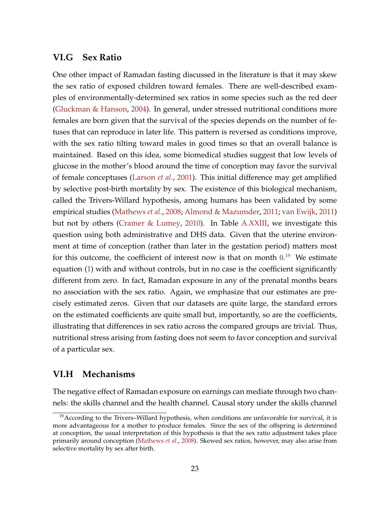### **VI.G Sex Ratio**

One other impact of Ramadan fasting discussed in the literature is that it may skew the sex ratio of exposed children toward females. There are well-described examples of environmentally-determined sex ratios in some species such as the red deer (Gluckman & Hanson, 2004). In general, under stressed nutritional conditions more females are born given that the survival of the species depends on the number of fetuses that can reproduce in later life. This pattern is reversed as conditions improve, with the sex ratio tilting toward males in good times so that an overall balance is maintained. Based on this idea, some biomedical studies suggest that low levels of glucose in the mother's blood around the time of conception may favor the survival of female conceptuses (Larson *et al.*, 2001). This initial difference may get amplified by selective post-birth mortality by sex. The existence of this biological mechanism, called the Trivers-Willard hypothesis, among humans has been validated by some empirical studies (Mathews *et al.*, 2008; Almond & Mazumder, 2011; van Ewijk, 2011) but not by others (Cramer & Lumey, 2010). In Table A.XXIII, we investigate this question using both administrative and DHS data. Given that the uterine environment at time of conception (rather than later in the gestation period) matters most for this outcome, the coefficient of interest now is that on month  $0.^{19}$  We estimate equation (1) with and without controls, but in no case is the coefficient significantly different from zero. In fact, Ramadan exposure in any of the prenatal months bears no association with the sex ratio. Again, we emphasize that our estimates are precisely estimated zeros. Given that our datasets are quite large, the standard errors on the estimated coefficients are quite small but, importantly, so are the coefficients, illustrating that differences in sex ratio across the compared groups are trivial. Thus, nutritional stress arising from fasting does not seem to favor conception and survival of a particular sex.

#### **VI.H Mechanisms**

The negative effect of Ramadan exposure on earnings can mediate through two channels: the skills channel and the health channel. Causal story under the skills channel

<sup>&</sup>lt;sup>19</sup> According to the Trivers-Willard hypothesis, when conditions are unfavorable for survival, it is more advantageous for a mother to produce females. Since the sex of the offspring is determined at conception, the usual interpretation of this hypothesis is that the sex ratio adjustment takes place primarily around conception (Mathews *et al.*, 2008). Skewed sex ratios, however, may also arise from selective mortality by sex after birth.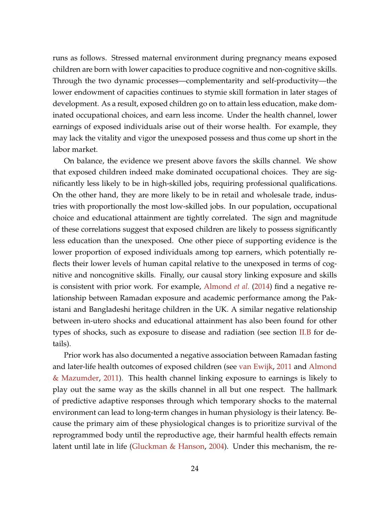runs as follows. Stressed maternal environment during pregnancy means exposed children are born with lower capacities to produce cognitive and non-cognitive skills. Through the two dynamic processes—complementarity and self-productivity—the lower endowment of capacities continues to stymie skill formation in later stages of development. As a result, exposed children go on to attain less education, make dominated occupational choices, and earn less income. Under the health channel, lower earnings of exposed individuals arise out of their worse health. For example, they may lack the vitality and vigor the unexposed possess and thus come up short in the labor market.

On balance, the evidence we present above favors the skills channel. We show that exposed children indeed make dominated occupational choices. They are significantly less likely to be in high-skilled jobs, requiring professional qualifications. On the other hand, they are more likely to be in retail and wholesale trade, industries with proportionally the most low-skilled jobs. In our population, occupational choice and educational attainment are tightly correlated. The sign and magnitude of these correlations suggest that exposed children are likely to possess significantly less education than the unexposed. One other piece of supporting evidence is the lower proportion of exposed individuals among top earners, which potentially reflects their lower levels of human capital relative to the unexposed in terms of cognitive and noncognitive skills. Finally, our causal story linking exposure and skills is consistent with prior work. For example, Almond *et al.* (2014) find a negative relationship between Ramadan exposure and academic performance among the Pakistani and Bangladeshi heritage children in the UK. A similar negative relationship between in-utero shocks and educational attainment has also been found for other types of shocks, such as exposure to disease and radiation (see section II.B for details).

Prior work has also documented a negative association between Ramadan fasting and later-life health outcomes of exposed children (see van Ewijk, 2011 and Almond & Mazumder, 2011). This health channel linking exposure to earnings is likely to play out the same way as the skills channel in all but one respect. The hallmark of predictive adaptive responses through which temporary shocks to the maternal environment can lead to long-term changes in human physiology is their latency. Because the primary aim of these physiological changes is to prioritize survival of the reprogrammed body until the reproductive age, their harmful health effects remain latent until late in life (Gluckman & Hanson, 2004). Under this mechanism, the re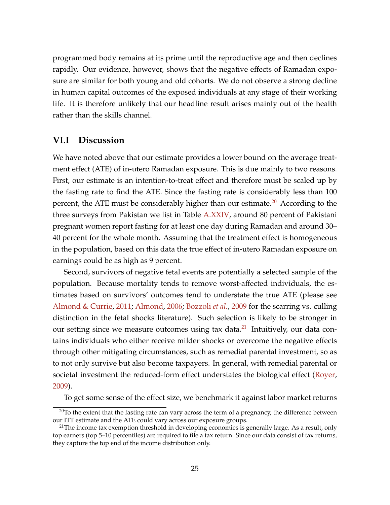programmed body remains at its prime until the reproductive age and then declines rapidly. Our evidence, however, shows that the negative effects of Ramadan exposure are similar for both young and old cohorts. We do not observe a strong decline in human capital outcomes of the exposed individuals at any stage of their working life. It is therefore unlikely that our headline result arises mainly out of the health rather than the skills channel.

### **VI.I Discussion**

We have noted above that our estimate provides a lower bound on the average treatment effect (ATE) of in-utero Ramadan exposure. This is due mainly to two reasons. First, our estimate is an intention-to-treat effect and therefore must be scaled up by the fasting rate to find the ATE. Since the fasting rate is considerably less than 100 percent, the ATE must be considerably higher than our estimate.<sup>20</sup> According to the three surveys from Pakistan we list in Table A.XXIV, around 80 percent of Pakistani pregnant women report fasting for at least one day during Ramadan and around 30– 40 percent for the whole month. Assuming that the treatment effect is homogeneous in the population, based on this data the true effect of in-utero Ramadan exposure on earnings could be as high as 9 percent.

Second, survivors of negative fetal events are potentially a selected sample of the population. Because mortality tends to remove worst-affected individuals, the estimates based on survivors' outcomes tend to understate the true ATE (please see Almond & Currie, 2011; Almond, 2006; Bozzoli *et al.*, 2009 for the scarring vs. culling distinction in the fetal shocks literature). Such selection is likely to be stronger in our setting since we measure outcomes using tax data. $^{21}$  Intuitively, our data contains individuals who either receive milder shocks or overcome the negative effects through other mitigating circumstances, such as remedial parental investment, so as to not only survive but also become taxpayers. In general, with remedial parental or societal investment the reduced-form effect understates the biological effect (Royer, 2009).

To get some sense of the effect size, we benchmark it against labor market returns

 $20$ To the extent that the fasting rate can vary across the term of a pregnancy, the difference between our ITT estimate and the ATE could vary across our exposure groups.

 $21$ The income tax exemption threshold in developing economies is generally large. As a result, only top earners (top 5–10 percentiles) are required to file a tax return. Since our data consist of tax returns, they capture the top end of the income distribution only.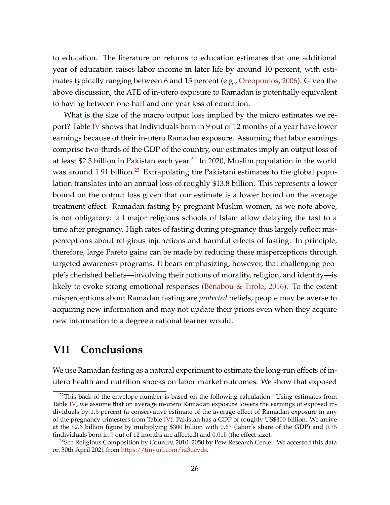to education. The literature on returns to education estimates that one additional year of education raises labor income in later life by around 10 percent, with estimates typically ranging between 6 and 15 percent (e.g., Oreopoulos, 2006). Given the above discussion, the ATE of in-utero exposure to Ramadan is potentially equivalent to having between one-half and one year less of education.

What is the size of the macro output loss implied by the micro estimates we report? Table IV shows that Individuals born in 9 out of 12 months of a year have lower earnings because of their in-utero Ramadan exposure. Assuming that labor earnings comprise two-thirds of the GDP of the country, our estimates imply an output loss of at least \$2.3 billion in Pakistan each year.<sup>22</sup> In 2020, Muslim population in the world was around 1.91 billion.<sup>23</sup> Extrapolating the Pakistani estimates to the global population translates into an annual loss of roughly \$13.8 billion. This represents a lower bound on the output loss given that our estimate is a lower bound on the average treatment effect. Ramadan fasting by pregnant Muslim women, as we note above, is not obligatory: all major religious schools of Islam allow delaying the fast to a time after pregnancy. High rates of fasting during pregnancy thus largely reflect misperceptions about religious injunctions and harmful effects of fasting. In principle, therefore, large Pareto gains can be made by reducing these misperceptions through targeted awareness programs. It bears emphasizing, however, that challenging people's cherished beliefs—involving their notions of morality, religion, and identity—is likely to evoke strong emotional responses (Bénabou & Tirole, 2016). To the extent misperceptions about Ramadan fasting are *protected* beliefs, people may be averse to acquiring new information and may not update their priors even when they acquire new information to a degree a rational learner would.

# **VII Conclusions**

We use Ramadan fasting as a natural experiment to estimate the long-run effects of inutero health and nutrition shocks on labor market outcomes. We show that exposed

 $22$ This back-of-the-envelope number is based on the following calculation. Using estimates from Table IV, we assume that on average in-utero Ramadan exposure lowers the earnings of exposed individuals by 1.5 percent (a conservative estimate of the average effect of Ramadan exposure in any of the pregnancy trimesters from Table IV). Pakistan has a GDP of roughly US\$300 billion. We arrive at the \$2.3 billion figure by multiplying \$300 billion with 0.67 (labor's share of the GDP) and 0.75 (individuals born in 9 out of 12 months are affected) and 0.015 (the effect size).

<sup>&</sup>lt;sup>23</sup>See Religious Composition by Country, 2010–2050 by Pew Research Center. We accessed this data on 30th April 2021 from https://tinyurl.com/rz3ucvds.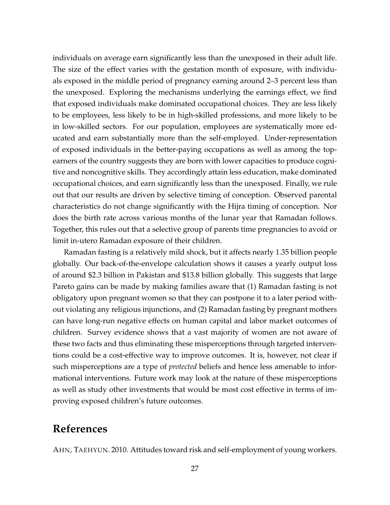individuals on average earn significantly less than the unexposed in their adult life. The size of the effect varies with the gestation month of exposure, with individuals exposed in the middle period of pregnancy earning around 2–3 percent less than the unexposed. Exploring the mechanisms underlying the earnings effect, we find that exposed individuals make dominated occupational choices. They are less likely to be employees, less likely to be in high-skilled professions, and more likely to be in low-skilled sectors. For our population, employees are systematically more educated and earn substantially more than the self-employed. Under-representation of exposed individuals in the better-paying occupations as well as among the topearners of the country suggests they are born with lower capacities to produce cognitive and noncognitive skills. They accordingly attain less education, make dominated occupational choices, and earn significantly less than the unexposed. Finally, we rule out that our results are driven by selective timing of conception. Observed parental characteristics do not change significantly with the Hijra timing of conception. Nor does the birth rate across various months of the lunar year that Ramadan follows. Together, this rules out that a selective group of parents time pregnancies to avoid or limit in-utero Ramadan exposure of their children.

Ramadan fasting is a relatively mild shock, but it affects nearly 1.35 billion people globally. Our back-of-the-envelope calculation shows it causes a yearly output loss of around \$2.3 billion in Pakistan and \$13.8 billion globally. This suggests that large Pareto gains can be made by making families aware that (1) Ramadan fasting is not obligatory upon pregnant women so that they can postpone it to a later period without violating any religious injunctions, and (2) Ramadan fasting by pregnant mothers can have long-run negative effects on human capital and labor market outcomes of children. Survey evidence shows that a vast majority of women are not aware of these two facts and thus eliminating these misperceptions through targeted interventions could be a cost-effective way to improve outcomes. It is, however, not clear if such misperceptions are a type of *protected* beliefs and hence less amenable to informational interventions. Future work may look at the nature of these misperceptions as well as study other investments that would be most cost effective in terms of improving exposed children's future outcomes.

# **References**

AHN, TAEHYUN. 2010. Attitudes toward risk and self-employment of young workers.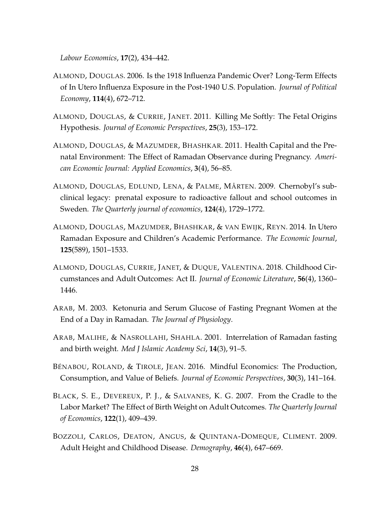*Labour Economics*, **17**(2), 434–442.

- ALMOND, DOUGLAS. 2006. Is the 1918 Influenza Pandemic Over? Long-Term Effects of In Utero Influenza Exposure in the Post-1940 U.S. Population. *Journal of Political Economy*, **114**(4), 672–712.
- ALMOND, DOUGLAS, & CURRIE, JANET. 2011. Killing Me Softly: The Fetal Origins Hypothesis. *Journal of Economic Perspectives*, **25**(3), 153–172.
- ALMOND, DOUGLAS, & MAZUMDER, BHASHKAR. 2011. Health Capital and the Prenatal Environment: The Effect of Ramadan Observance during Pregnancy. *American Economic Journal: Applied Economics*, **3**(4), 56–85.
- ALMOND, DOUGLAS, EDLUND, LENA, & PALME, MÅRTEN. 2009. Chernobyl's subclinical legacy: prenatal exposure to radioactive fallout and school outcomes in Sweden. *The Quarterly journal of economics*, **124**(4), 1729–1772.
- ALMOND, DOUGLAS, MAZUMDER, BHASHKAR, & VAN EWIJK, REYN. 2014. In Utero Ramadan Exposure and Children's Academic Performance. *The Economic Journal*, **125**(589), 1501–1533.
- ALMOND, DOUGLAS, CURRIE, JANET, & DUQUE, VALENTINA. 2018. Childhood Circumstances and Adult Outcomes: Act II. *Journal of Economic Literature*, **56**(4), 1360– 1446.
- ARAB, M. 2003. Ketonuria and Serum Glucose of Fasting Pregnant Women at the End of a Day in Ramadan. *The Journal of Physiology*.
- ARAB, MALIHE, & NASROLLAHI, SHAHLA. 2001. Interrelation of Ramadan fasting and birth weight. *Med J Islamic Academy Sci*, **14**(3), 91–5.
- BÉNABOU, ROLAND, & TIROLE, JEAN. 2016. Mindful Economics: The Production, Consumption, and Value of Beliefs. *Journal of Economic Perspectives*, **30**(3), 141–164.
- BLACK, S. E., DEVEREUX, P. J., & SALVANES, K. G. 2007. From the Cradle to the Labor Market? The Effect of Birth Weight on Adult Outcomes. *The Quarterly Journal of Economics*, **122**(1), 409–439.
- BOZZOLI, CARLOS, DEATON, ANGUS, & QUINTANA-DOMEQUE, CLIMENT. 2009. Adult Height and Childhood Disease. *Demography*, **46**(4), 647–669.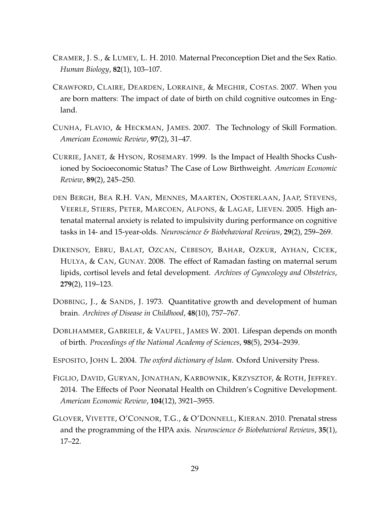- CRAMER, J. S., & LUMEY, L. H. 2010. Maternal Preconception Diet and the Sex Ratio. *Human Biology*, **82**(1), 103–107.
- CRAWFORD, CLAIRE, DEARDEN, LORRAINE, & MEGHIR, COSTAS. 2007. When you are born matters: The impact of date of birth on child cognitive outcomes in England.
- CUNHA, FLAVIO, & HECKMAN, JAMES. 2007. The Technology of Skill Formation. *American Economic Review*, **97**(2), 31–47.
- CURRIE, JANET, & HYSON, ROSEMARY. 1999. Is the Impact of Health Shocks Cushioned by Socioeconomic Status? The Case of Low Birthweight. *American Economic Review*, **89**(2), 245–250.
- DEN BERGH, BEA R.H. VAN, MENNES, MAARTEN, OOSTERLAAN, JAAP, STEVENS, VEERLE, STIERS, PETER, MARCOEN, ALFONS, & LAGAE, LIEVEN. 2005. High antenatal maternal anxiety is related to impulsivity during performance on cognitive tasks in 14- and 15-year-olds. *Neuroscience & Biobehavioral Reviews*, **29**(2), 259–269.
- DIKENSOY, EBRU, BALAT, OZCAN, CEBESOY, BAHAR, OZKUR, AYHAN, CICEK, HULYA, & CAN, GUNAY. 2008. The effect of Ramadan fasting on maternal serum lipids, cortisol levels and fetal development. *Archives of Gynecology and Obstetrics*, **279**(2), 119–123.
- DOBBING, J., & SANDS, J. 1973. Quantitative growth and development of human brain. *Archives of Disease in Childhood*, **48**(10), 757–767.
- DOBLHAMMER, GABRIELE, & VAUPEL, JAMES W. 2001. Lifespan depends on month of birth. *Proceedings of the National Academy of Sciences*, **98**(5), 2934–2939.
- ESPOSITO, JOHN L. 2004. *The oxford dictionary of Islam*. Oxford University Press.
- FIGLIO, DAVID, GURYAN, JONATHAN, KARBOWNIK, KRZYSZTOF, & ROTH, JEFFREY. 2014. The Effects of Poor Neonatal Health on Children's Cognitive Development. *American Economic Review*, **104**(12), 3921–3955.
- GLOVER, VIVETTE, O'CONNOR, T.G., & O'DONNELL, KIERAN. 2010. Prenatal stress and the programming of the HPA axis. *Neuroscience & Biobehavioral Reviews*, **35**(1), 17–22.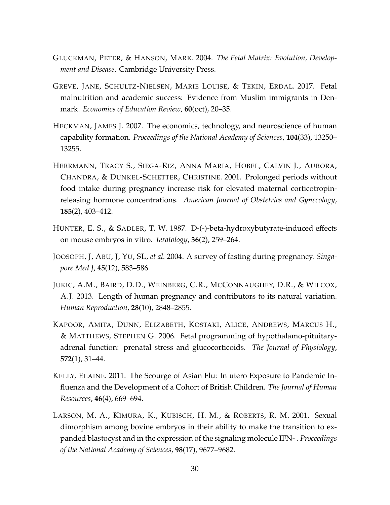- GLUCKMAN, PETER, & HANSON, MARK. 2004. *The Fetal Matrix: Evolution, Development and Disease*. Cambridge University Press.
- GREVE, JANE, SCHULTZ-NIELSEN, MARIE LOUISE, & TEKIN, ERDAL. 2017. Fetal malnutrition and academic success: Evidence from Muslim immigrants in Denmark. *Economics of Education Review*, **60**(oct), 20–35.
- HECKMAN, JAMES J. 2007. The economics, technology, and neuroscience of human capability formation. *Proceedings of the National Academy of Sciences*, **104**(33), 13250– 13255.
- HERRMANN, TRACY S., SIEGA-RIZ, ANNA MARIA, HOBEL, CALVIN J., AURORA, CHANDRA, & DUNKEL-SCHETTER, CHRISTINE. 2001. Prolonged periods without food intake during pregnancy increase risk for elevated maternal corticotropinreleasing hormone concentrations. *American Journal of Obstetrics and Gynecology*, **185**(2), 403–412.
- HUNTER, E. S., & SADLER, T. W. 1987. D-(-)-beta-hydroxybutyrate-induced effects on mouse embryos in vitro. *Teratology*, **36**(2), 259–264.
- JOOSOPH, J, ABU, J, YU, SL, *et al.* 2004. A survey of fasting during pregnancy. *Singapore Med J*, **45**(12), 583–586.
- JUKIC, A.M., BAIRD, D.D., WEINBERG, C.R., MCCONNAUGHEY, D.R., & WILCOX, A.J. 2013. Length of human pregnancy and contributors to its natural variation. *Human Reproduction*, **28**(10), 2848–2855.
- KAPOOR, AMITA, DUNN, ELIZABETH, KOSTAKI, ALICE, ANDREWS, MARCUS H., & MATTHEWS, STEPHEN G. 2006. Fetal programming of hypothalamo-pituitaryadrenal function: prenatal stress and glucocorticoids. *The Journal of Physiology*, **572**(1), 31–44.
- KELLY, ELAINE. 2011. The Scourge of Asian Flu: In utero Exposure to Pandemic Influenza and the Development of a Cohort of British Children. *The Journal of Human Resources*, **46**(4), 669–694.
- LARSON, M. A., KIMURA, K., KUBISCH, H. M., & ROBERTS, R. M. 2001. Sexual dimorphism among bovine embryos in their ability to make the transition to expanded blastocyst and in the expression of the signaling molecule IFN- . *Proceedings of the National Academy of Sciences*, **98**(17), 9677–9682.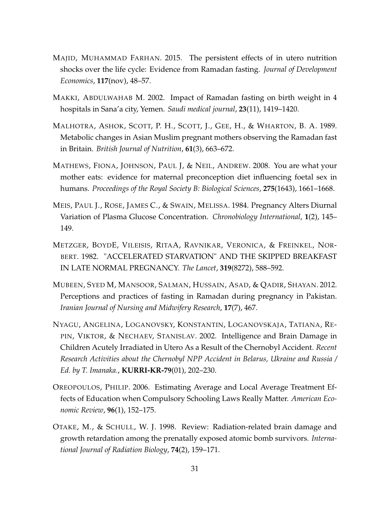- MAJID, MUHAMMAD FARHAN. 2015. The persistent effects of in utero nutrition shocks over the life cycle: Evidence from Ramadan fasting. *Journal of Development Economics*, **117**(nov), 48–57.
- MAKKI, ABDULWAHAB M. 2002. Impact of Ramadan fasting on birth weight in 4 hospitals in Sana'a city, Yemen. *Saudi medical journal*, **23**(11), 1419–1420.
- MALHOTRA, ASHOK, SCOTT, P. H., SCOTT, J., GEE, H., & WHARTON, B. A. 1989. Metabolic changes in Asian Muslim pregnant mothers observing the Ramadan fast in Britain. *British Journal of Nutrition*, **61**(3), 663–672.
- MATHEWS, FIONA, JOHNSON, PAUL J, & NEIL, ANDREW. 2008. You are what your mother eats: evidence for maternal preconception diet influencing foetal sex in humans. *Proceedings of the Royal Society B: Biological Sciences*, **275**(1643), 1661–1668.
- MEIS, PAUL J., ROSE, JAMES C., & SWAIN, MELISSA. 1984. Pregnancy Alters Diurnal Variation of Plasma Glucose Concentration. *Chronobiology International*, **1**(2), 145– 149.
- METZGER, BOYDE, VILEISIS, RITAA, RAVNIKAR, VERONICA, & FREINKEL, NOR-BERT. 1982. "ACCELERATED STARVATION" AND THE SKIPPED BREAKFAST IN LATE NORMAL PREGNANCY. *The Lancet*, **319**(8272), 588–592.
- MUBEEN, SYED M, MANSOOR, SALMAN, HUSSAIN, ASAD, & QADIR, SHAYAN. 2012. Perceptions and practices of fasting in Ramadan during pregnancy in Pakistan. *Iranian Journal of Nursing and Midwifery Research*, **17**(7), 467.
- NYAGU, ANGELINA, LOGANOVSKY, KONSTANTIN, LOGANOVSKAJA, TATIANA, RE-PIN, VIKTOR, & NECHAEV, STANISLAV. 2002. Intelligence and Brain Damage in Children Acutely Irradiated in Utero As a Result of the Chernobyl Accident. *Recent Research Activities about the Chernobyl NPP Accident in Belarus, Ukraine and Russia / Ed. by T. Imanaka.*, **KURRI-KR-79**(01), 202–230.
- OREOPOULOS, PHILIP. 2006. Estimating Average and Local Average Treatment Effects of Education when Compulsory Schooling Laws Really Matter. *American Economic Review*, **96**(1), 152–175.
- OTAKE, M., & SCHULL, W. J. 1998. Review: Radiation-related brain damage and growth retardation among the prenatally exposed atomic bomb survivors. *International Journal of Radiation Biology*, **74**(2), 159–171.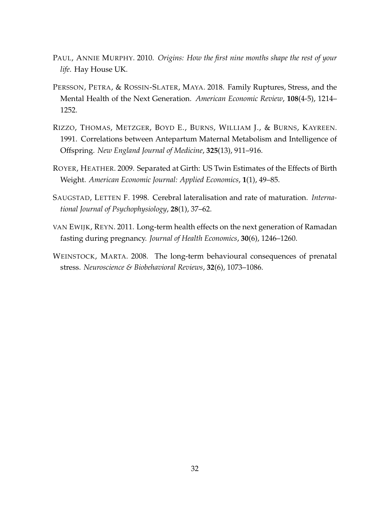- PAUL, ANNIE MURPHY. 2010. *Origins: How the first nine months shape the rest of your life*. Hay House UK.
- PERSSON, PETRA, & ROSSIN-SLATER, MAYA. 2018. Family Ruptures, Stress, and the Mental Health of the Next Generation. *American Economic Review*, **108**(4-5), 1214– 1252.
- RIZZO, THOMAS, METZGER, BOYD E., BURNS, WILLIAM J., & BURNS, KAYREEN. 1991. Correlations between Antepartum Maternal Metabolism and Intelligence of Offspring. *New England Journal of Medicine*, **325**(13), 911–916.
- ROYER, HEATHER. 2009. Separated at Girth: US Twin Estimates of the Effects of Birth Weight. *American Economic Journal: Applied Economics*, **1**(1), 49–85.
- SAUGSTAD, LETTEN F. 1998. Cerebral lateralisation and rate of maturation. *International Journal of Psychophysiology*, **28**(1), 37–62.
- VAN EWIJK, REYN. 2011. Long-term health effects on the next generation of Ramadan fasting during pregnancy. *Journal of Health Economics*, **30**(6), 1246–1260.
- WEINSTOCK, MARTA. 2008. The long-term behavioural consequences of prenatal stress. *Neuroscience & Biobehavioral Reviews*, **32**(6), 1073–1086.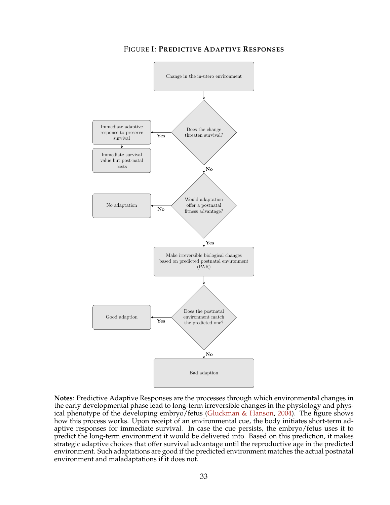

FIGURE I: **PREDICTIVE ADAPTIVE RESPONSES**

**Notes**: Predictive Adaptive Responses are the processes through which environmental changes in the early developmental phase lead to long-term irreversible changes in the physiology and physical phenotype of the developing embryo/fetus (Gluckman & Hanson, 2004). The figure shows how this process works. Upon receipt of an environmental cue, the body initiates short-term adaptive responses for immediate survival. In case the cue persists, the embryo/fetus uses it to predict the long-term environment it would be delivered into. Based on this prediction, it makes strategic adaptive choices that offer survival advantage until the reproductive age in the predicted environment. Such adaptations are good if the predicted environment matches the actual postnatal environment and maladaptations if it does not.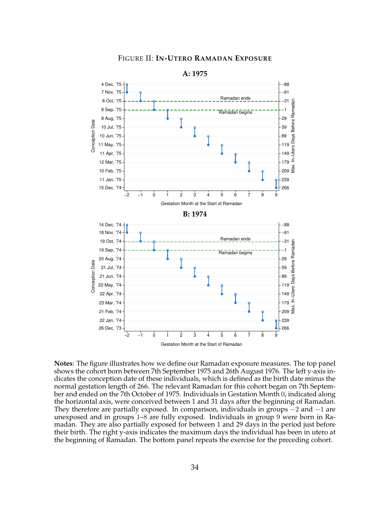



**A: 1975**

**Notes**: The figure illustrates how we define our Ramadan exposure measures. The top panel shows the cohort born between 7th September 1975 and 26th August 1976. The left y-axis indicates the conception date of these individuals, which is defined as the birth date minus the normal gestation length of 266. The relevant Ramadan for this cohort began on 7th September and ended on the 7th October of 1975. Individuals in Gestation Month 0, indicated along the horizontal axis, were conceived between 1 and 31 days after the beginning of Ramadan. They therefore are partially exposed. In comparison, individuals in groups −2 and −1 are unexposed and in groups 1–8 are fully exposed. Individuals in group 9 were born in Ramadan. They are also partially exposed for between 1 and 29 days in the period just before their birth. The right y-axis indicates the maximum days the individual has been in utero at the beginning of Ramadan. The bottom panel repeats the exercise for the preceding cohort.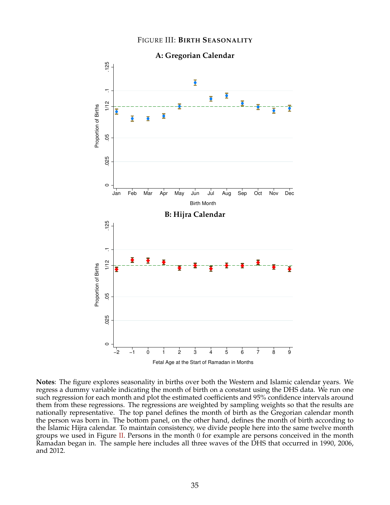

**Notes**: The figure explores seasonality in births over both the Western and Islamic calendar years. We regress a dummy variable indicating the month of birth on a constant using the DHS data. We run one such regression for each month and plot the estimated coefficients and 95% confidence intervals around them from these regressions. The regressions are weighted by sampling weights so that the results are nationally representative. The top panel defines the month of birth as the Gregorian calendar month the person was born in. The bottom panel, on the other hand, defines the month of birth according to the Islamic Hijra calendar. To maintain consistency, we divide people here into the same twelve month groups we used in Figure II. Persons in the month 0 for example are persons conceived in the month Ramadan began in. The sample here includes all three waves of the DHS that occurred in 1990, 2006, and 2012.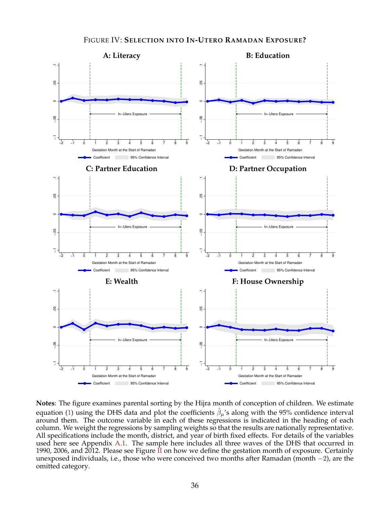

**Notes**: The figure examines parental sorting by the Hijra month of conception of children. We estimate equation (1) using the DHS data and plot the coefficients  $\hat{\beta}_{\mu}$ 's along with the 95% confidence interval around them. The outcome variable in each of these regressions is indicated in the heading of each column. We weight the regressions by sampling weights so that the results are nationally representative. All specifications include the month, district, and year of birth fixed effects. For details of the variables used here see Appendix A.1. The sample here includes all three waves of the DHS that occurred in 1990, 2006, and 2012. Please see Figure  $\overline{I}$  on how we define the gestation month of exposure. Certainly unexposed individuals, i.e., those who were conceived two months after Ramadan (month −2), are the omitted category.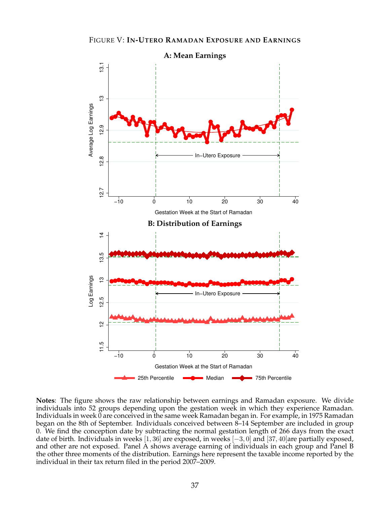

**Notes**: The figure shows the raw relationship between earnings and Ramadan exposure. We divide individuals into 52 groups depending upon the gestation week in which they experience Ramadan. Individuals in week 0 are conceived in the same week Ramadan began in. For example, in 1975 Ramadan began on the 8th of September. Individuals conceived between 8–14 September are included in group 0. We find the conception date by subtracting the normal gestation length of 266 days from the exact date of birth. Individuals in weeks [1, 36] are exposed, in weeks [−3, 0] and [37, 40]are partially exposed, and other are not exposed. Panel A shows average earning of individuals in each group and Panel B the other three moments of the distribution. Earnings here represent the taxable income reported by the individual in their tax return filed in the period 2007–2009.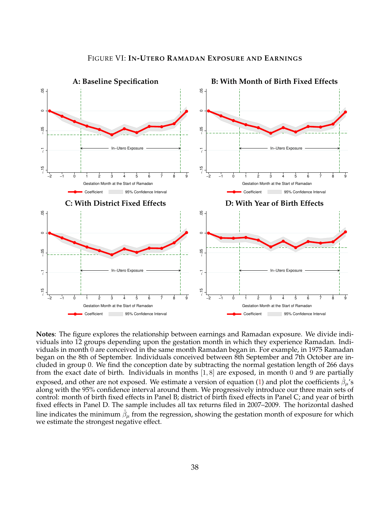

**Notes**: The figure explores the relationship between earnings and Ramadan exposure. We divide individuals into 12 groups depending upon the gestation month in which they experience Ramadan. Individuals in month 0 are conceived in the same month Ramadan began in. For example, in 1975 Ramadan began on the 8th of September. Individuals conceived between 8th September and 7th October are included in group 0. We find the conception date by subtracting the normal gestation length of 266 days from the exact date of birth. Individuals in months [1, 8] are exposed, in month 0 and 9 are partially exposed, and other are not exposed. We estimate a version of equation (1) and plot the coefficients  $\hat{\beta}_{\mu}$ 's along with the 95% confidence interval around them. We progressively introduce our three main sets of control: month of birth fixed effects in Panel B; district of birth fixed effects in Panel C; and year of birth fixed effects in Panel D. The sample includes all tax returns filed in 2007–2009. The horizontal dashed line indicates the minimum  $\hat{\beta}_{\mu}$  from the regression, showing the gestation month of exposure for which we estimate the strongest negative effect.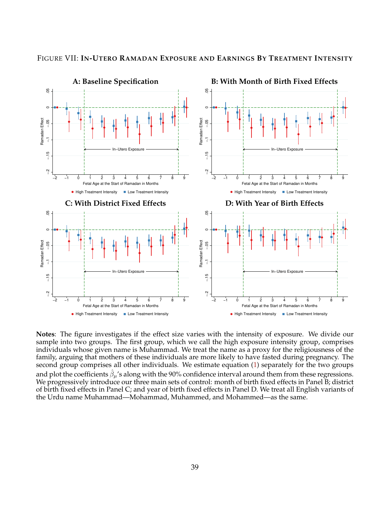

#### FIGURE VII: **IN-UTERO RAMADAN EXPOSURE AND EARNINGS BY TREATMENT INTENSITY**

**Notes**: The figure investigates if the effect size varies with the intensity of exposure. We divide our sample into two groups. The first group, which we call the high exposure intensity group, comprises individuals whose given name is Muhammad. We treat the name as a proxy for the religiousness of the family, arguing that mothers of these individuals are more likely to have fasted during pregnancy. The second group comprises all other individuals. We estimate equation (1) separately for the two groups and plot the coefficients  $\hat{\beta}_{\mu}$ 's along with the 90% confidence interval around them from these regressions. We progressively introduce our three main sets of control: month of birth fixed effects in Panel B; district of birth fixed effects in Panel C; and year of birth fixed effects in Panel D. We treat all English variants of the Urdu name Muhammad—Mohammad, Muhammed, and Mohammed—as the same.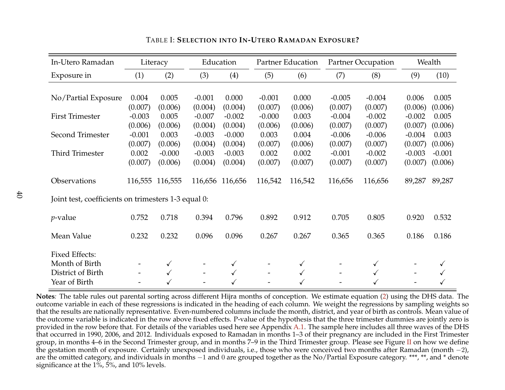| In-Utero Ramadan                                    |          | Literacy |                          | Education |                          | Partner Education |                          | <b>Partner Occupation</b> |          | Wealth   |
|-----------------------------------------------------|----------|----------|--------------------------|-----------|--------------------------|-------------------|--------------------------|---------------------------|----------|----------|
| Exposure in                                         | (1)      | (2)      | (3)                      | (4)       | (5)                      | (6)               | (7)                      | (8)                       | (9)      | (10)     |
|                                                     |          |          |                          |           |                          |                   |                          |                           |          |          |
| No/Partial Exposure                                 | 0.004    | 0.005    | $-0.001$                 | 0.000     | $-0.001$                 | 0.000             | $-0.005$                 | $-0.004$                  | 0.006    | 0.005    |
|                                                     | (0.007)  | (0.006)  | (0.004)                  | (0.004)   | (0.007)                  | (0.006)           | (0.007)                  | (0.007)                   | (0.006)  | (0.006)  |
| <b>First Trimester</b>                              | $-0.003$ | 0.005    | $-0.007$                 | $-0.002$  | $-0.000$                 | 0.003             | $-0.004$                 | $-0.002$                  | $-0.002$ | 0.005    |
|                                                     | (0.006)  | (0.006)  | (0.004)                  | (0.004)   | (0.006)                  | (0.006)           | (0.007)                  | (0.007)                   | (0.007)  | (0.006)  |
| Second Trimester                                    | $-0.001$ | 0.003    | $-0.003$                 | $-0.000$  | 0.003                    | 0.004             | $-0.006$                 | $-0.006$                  | $-0.004$ | 0.003    |
|                                                     | (0.007)  | (0.006)  | (0.004)                  | (0.004)   | (0.007)                  | (0.006)           | (0.007)                  | (0.007)                   | (0.007)  | (0.006)  |
| Third Trimester                                     | 0.002    | $-0.000$ | $-0.003$                 | $-0.003$  | 0.002                    | 0.002             | $-0.001$                 | $-0.002$                  | $-0.003$ | $-0.001$ |
|                                                     | (0.007)  | (0.006)  | (0.004)                  | (0.004)   | (0.007)                  | (0.007)           | (0.007)                  | (0.007)                   | (0.007)  | (0.006)  |
| Observations                                        | 116,555  | 116,555  | 116,656                  | 116,656   | 116,542                  | 116,542           | 116,656                  | 116,656                   | 89,287   | 89,287   |
| Joint test, coefficients on trimesters 1-3 equal 0: |          |          |                          |           |                          |                   |                          |                           |          |          |
| $p$ -value                                          | 0.752    | 0.718    | 0.394                    | 0.796     | 0.892                    | 0.912             | 0.705                    | 0.805                     | 0.920    | 0.532    |
| Mean Value                                          | 0.232    | 0.232    | 0.096                    | 0.096     | 0.267                    | 0.267             | 0.365                    | 0.365                     | 0.186    | 0.186    |
| <b>Fixed Effects:</b>                               |          |          |                          |           |                          |                   |                          |                           |          |          |
| Month of Birth                                      |          | ✓        |                          |           |                          | ✓                 |                          |                           |          |          |
| District of Birth                                   |          |          | $\overline{\phantom{m}}$ |           | $\overline{\phantom{a}}$ | ✓                 | $\overline{\phantom{m}}$ |                           |          |          |
| Year of Birth                                       |          |          |                          |           |                          | ✓                 |                          |                           |          |          |

TABLE I: **SELECTION INTO IN-UTERO RAMADAN EXPOSURE?**

**Notes***:* The table rules out parental sorting across different Hijra months of conception. We estimate equation (2) using the DHS data. The outcome variable in each of these regressions is indicated in the heading of each column. We weight the regressions by sampling weights so that the results are nationally representative. Even-numbered columns include the month, district, and year of birth as controls. Mean value of the outcome variable is indicated in the row above fixed effects. P-value of the hypothesis that the three trimester dummies are jointly zero is provided in the row before that. For details of the variables used here see Appendix A.1. The sample here includes all three waves of the DHS that occurred in 1990, 2006, and 2012. Individuals exposed to Ramadan in months 1–3 of their pregnancy are included in the First Trimester group, in months 4–6 in the Second Trimester group, and in months 7–9 in the Third Trimester group. Please see Figure II on how we define the gestation month of exposure. Certainly unexposed individuals, i.e., those who were conceived two months after Ramadan (month −2), are the omitted category, and individuals in months −1 and 0 are grouped together as the No/Partial Exposure category. \*\*\*, \*\*, and \* denote significance at the 1%, 5%, and 10% levels.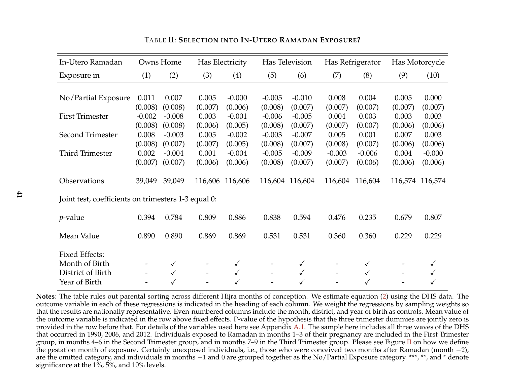| In-Utero Ramadan                                    |          | Owns Home |                          | Has Electricity |                          | Has Television  |          | Has Refrigerator |         | Has Motorcycle  |
|-----------------------------------------------------|----------|-----------|--------------------------|-----------------|--------------------------|-----------------|----------|------------------|---------|-----------------|
| Exposure in                                         | (1)      | (2)       | (3)                      | (4)             | (5)                      | (6)             | (7)      | (8)              | (9)     | (10)            |
|                                                     |          |           |                          |                 |                          |                 |          |                  |         |                 |
| No/Partial Exposure                                 | 0.011    | 0.007     | 0.005                    | $-0.000$        | $-0.005$                 | $-0.010$        | 0.008    | 0.004            | 0.005   | 0.000           |
|                                                     | (0.008)  | (0.008)   | (0.007)                  | (0.006)         | (0.008)                  | (0.007)         | (0.007)  | (0.007)          | (0.007) | (0.007)         |
| <b>First Trimester</b>                              | $-0.002$ | $-0.008$  | 0.003                    | $-0.001$        | $-0.006$                 | $-0.005$        | 0.004    | 0.003            | 0.003   | 0.003           |
|                                                     | (0.008)  | (0.008)   | (0.006)                  | (0.005)         | (0.008)                  | (0.007)         | (0.007)  | (0.007)          | (0.006) | (0.006)         |
| Second Trimester                                    | 0.008    | $-0.003$  | 0.005                    | $-0.002$        | $-0.003$                 | $-0.007$        | 0.005    | 0.001            | 0.007   | 0.003           |
|                                                     | (0.008)  | (0.007)   | (0.007)                  | (0.005)         | (0.008)                  | (0.007)         | (0.008)  | (0.007)          | (0.006) | (0.006)         |
| Third Trimester                                     | 0.002    | $-0.004$  | 0.001                    | $-0.004$        | $-0.005$                 | $-0.009$        | $-0.003$ | $-0.006$         | 0.004   | $-0.000$        |
|                                                     | (0.007)  | (0.007)   | (0.006)                  | (0.006)         | (0.008)                  | (0.007)         | (0.007)  | (0.006)          | (0.006) | (0.006)         |
| Observations                                        | 39,049   | 39,049    |                          | 116,606 116,606 |                          | 116,604 116,604 | 116,604  | 116,604          |         | 116,574 116,574 |
| Joint test, coefficients on trimesters 1-3 equal 0: |          |           |                          |                 |                          |                 |          |                  |         |                 |
| $p$ -value                                          | 0.394    | 0.784     | 0.809                    | 0.886           | 0.838                    | 0.594           | 0.476    | 0.235            | 0.679   | 0.807           |
| Mean Value                                          | 0.890    | 0.890     | 0.869                    | 0.869           | 0.531                    | 0.531           | 0.360    | 0.360            | 0.229   | 0.229           |
| <b>Fixed Effects:</b>                               |          |           |                          |                 |                          |                 |          |                  |         |                 |
| Month of Birth                                      |          | ✓         |                          | ✓               |                          | ✓               |          |                  |         |                 |
| District of Birth                                   |          |           | $\overline{\phantom{m}}$ | ✓               | $\overline{\phantom{a}}$ |                 |          |                  |         |                 |
| Year of Birth                                       |          |           |                          |                 |                          |                 |          |                  |         |                 |

TABLE II: **SELECTION INTO IN-UTERO RAMADAN EXPOSURE?**

**Notes***:* The table rules out parental sorting across different Hijra months of conception. We estimate equation (2) using the DHS data. The outcome variable in each of these regressions is indicated in the heading of each column. We weight the regressions by sampling weights so that the results are nationally representative. Even-numbered columns include the month, district, and year of birth as controls. Mean value of the outcome variable is indicated in the row above fixed effects. P-value of the hypothesis that the three trimester dummies are jointly zero is provided in the row before that. For details of the variables used here see Appendix A.1. The sample here includes all three waves of the DHS that occurred in 1990, 2006, and 2012. Individuals exposed to Ramadan in months 1–3 of their pregnancy are included in the First Trimester group, in months 4–6 in the Second Trimester group, and in months 7–9 in the Third Trimester group. Please see Figure II on how we define the gestation month of exposure. Certainly unexposed individuals, i.e., those who were conceived two months after Ramadan (month −2), are the omitted category, and individuals in months −1 and 0 are grouped together as the No/Partial Exposure category. \*\*\*, \*\*, and \* denote significance at the 1%, 5%, and 10% levels.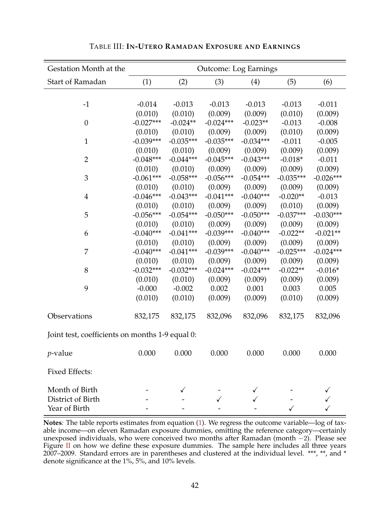| Gestation Month at the                          |             |             |             | <b>Outcome: Log Earnings</b> |             |             |
|-------------------------------------------------|-------------|-------------|-------------|------------------------------|-------------|-------------|
| <b>Start of Ramadan</b>                         | (1)         | (2)         | (3)         | (4)                          | (5)         | (6)         |
|                                                 |             |             |             |                              |             |             |
| $-1$                                            | $-0.014$    | $-0.013$    | $-0.013$    | $-0.013$                     | $-0.013$    | $-0.011$    |
|                                                 | (0.010)     | (0.010)     | (0.009)     | (0.009)                      | (0.010)     | (0.009)     |
| $\boldsymbol{0}$                                | $-0.027***$ | $-0.024**$  | $-0.024***$ | $-0.023**$                   | $-0.013$    | $-0.008$    |
|                                                 | (0.010)     | (0.010)     | (0.009)     | (0.009)                      | (0.010)     | (0.009)     |
| $\mathbf{1}$                                    | $-0.039***$ | $-0.035***$ | $-0.035***$ | $-0.034***$                  | $-0.011$    | $-0.005$    |
|                                                 | (0.010)     | (0.010)     | (0.009)     | (0.009)                      | (0.009)     | (0.009)     |
| $\overline{2}$                                  | $-0.048***$ | $-0.044***$ | $-0.045***$ | $-0.043***$                  | $-0.018*$   | $-0.011$    |
|                                                 | (0.010)     | (0.010)     | (0.009)     | (0.009)                      | (0.009)     | (0.009)     |
| 3                                               | $-0.061***$ | $-0.058***$ | $-0.056***$ | $-0.054***$                  | $-0.035***$ | $-0.026***$ |
|                                                 | (0.010)     | (0.010)     | (0.009)     | (0.009)                      | (0.009)     | (0.009)     |
| $\overline{4}$                                  | $-0.046***$ | $-0.043***$ | $-0.041***$ | $-0.040***$                  | $-0.020**$  | $-0.013$    |
|                                                 | (0.010)     | (0.010)     | (0.009)     | (0.009)                      | (0.010)     | (0.009)     |
| 5                                               | $-0.056***$ | $-0.054***$ | $-0.050***$ | $-0.050***$                  | $-0.037***$ | $-0.030***$ |
|                                                 | (0.010)     | (0.010)     | (0.009)     | (0.009)                      | (0.009)     | (0.009)     |
| 6                                               | $-0.040***$ | $-0.041***$ | $-0.039***$ | $-0.040***$                  | $-0.022**$  | $-0.021**$  |
|                                                 | (0.010)     | (0.010)     | (0.009)     | (0.009)                      | (0.009)     | (0.009)     |
| 7                                               | $-0.040***$ | $-0.041***$ | $-0.039***$ | $-0.040***$                  | $-0.025***$ | $-0.024***$ |
|                                                 | (0.010)     | (0.010)     | (0.009)     | (0.009)                      | (0.009)     | (0.009)     |
| 8                                               | $-0.032***$ | $-0.032***$ | $-0.024***$ | $-0.024***$                  | $-0.022**$  | $-0.016*$   |
|                                                 | (0.010)     | (0.010)     | (0.009)     | (0.009)                      | (0.009)     | (0.009)     |
| 9                                               | $-0.000$    | $-0.002$    | 0.002       | 0.001                        | 0.003       | 0.005       |
|                                                 | (0.010)     | (0.010)     | (0.009)     | (0.009)                      | (0.010)     | (0.009)     |
| Observations                                    | 832,175     | 832,175     | 832,096     | 832,096                      | 832,175     | 832,096     |
| Joint test, coefficients on months 1-9 equal 0: |             |             |             |                              |             |             |
| <i>p</i> -value                                 | 0.000       | 0.000       | 0.000       | 0.000                        | 0.000       | 0.000       |
| <b>Fixed Effects:</b>                           |             |             |             |                              |             |             |
| Month of Birth                                  |             |             |             |                              |             |             |
| District of Birth                               |             |             |             |                              |             |             |
| Year of Birth                                   |             |             |             |                              |             |             |

TABLE III: **IN-UTERO RAMADAN EXPOSURE AND EARNINGS**

**Notes***:* The table reports estimates from equation (1). We regress the outcome variable—log of taxable income—on eleven Ramadan exposure dummies, omitting the reference category—certainly unexposed individuals, who were conceived two months after Ramadan (month −2). Please see Figure II on how we define these exposure dummies. The sample here includes all three years 2007–2009. Standard errors are in parentheses and clustered at the individual level. \*\*\*, \*\*, and \* denote significance at the 1%, 5%, and 10% levels.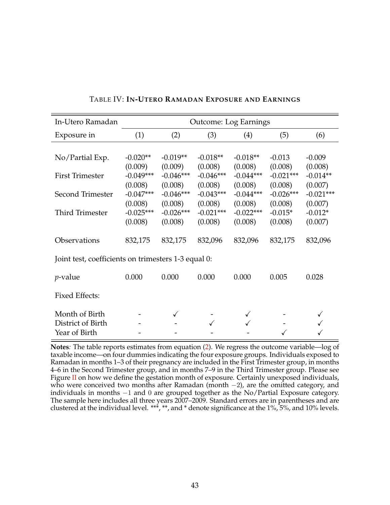| In-Utero Ramadan                                     |                                   |                                   | <b>Outcome: Log Earnings</b>      |                                   |                                   |                                   |
|------------------------------------------------------|-----------------------------------|-----------------------------------|-----------------------------------|-----------------------------------|-----------------------------------|-----------------------------------|
| Exposure in                                          | (1)                               | (2)                               | (3)                               | (4)                               | (5)                               | (6)                               |
| No/Partial Exp.                                      | $-0.020**$                        | $-0.019**$                        | $-0.018**$                        | $-0.018**$                        | $-0.013$                          | $-0.009$                          |
| <b>First Trimester</b>                               | (0.009)<br>$-0.049***$            | (0.009)<br>$-0.046***$            | (0.008)<br>$-0.046***$            | (0.008)<br>$-0.044***$            | (0.008)<br>$-0.021***$            | (0.008)<br>$-0.014**$             |
| Second Trimester                                     | (0.008)<br>$-0.047***$<br>(0.008) | (0.008)<br>$-0.046***$<br>(0.008) | (0.008)<br>$-0.043***$<br>(0.008) | (0.008)<br>$-0.044***$<br>(0.008) | (0.008)<br>$-0.026***$<br>(0.008) | (0.007)<br>$-0.021***$<br>(0.007) |
| <b>Third Trimester</b>                               | $-0.025***$<br>(0.008)            | $-0.026***$<br>(0.008)            | $-0.021***$<br>(0.008)            | $-0.022***$<br>(0.008)            | $-0.015*$<br>(0.008)              | $-0.012*$<br>(0.007)              |
| Observations                                         | 832,175                           | 832,175                           | 832,096                           | 832,096                           | 832,175                           | 832,096                           |
| Joint test, coefficients on trimesters 1-3 equal 0:  |                                   |                                   |                                   |                                   |                                   |                                   |
| <i>p</i> -value                                      | 0.000                             | 0.000                             | 0.000                             | 0.000                             | 0.005                             | 0.028                             |
| <b>Fixed Effects:</b>                                |                                   |                                   |                                   |                                   |                                   |                                   |
| Month of Birth<br>District of Birth<br>Year of Birth |                                   | ✓                                 |                                   |                                   |                                   |                                   |

# TABLE IV: **IN-UTERO RAMADAN EXPOSURE AND EARNINGS**

**Notes***:* The table reports estimates from equation (2). We regress the outcome variable—log of taxable income—on four dummies indicating the four exposure groups. Individuals exposed to Ramadan in months 1–3 of their pregnancy are included in the First Trimester group, in months 4–6 in the Second Trimester group, and in months 7–9 in the Third Trimester group. Please see Figure II on how we define the gestation month of exposure. Certainly unexposed individuals, who were conceived two months after Ramadan (month −2), are the omitted category, and individuals in months −1 and 0 are grouped together as the No/Partial Exposure category. The sample here includes all three years 2007–2009. Standard errors are in parentheses and are clustered at the individual level. \*\*\*, \*\*, and \* denote significance at the 1%, 5%, and 10% levels.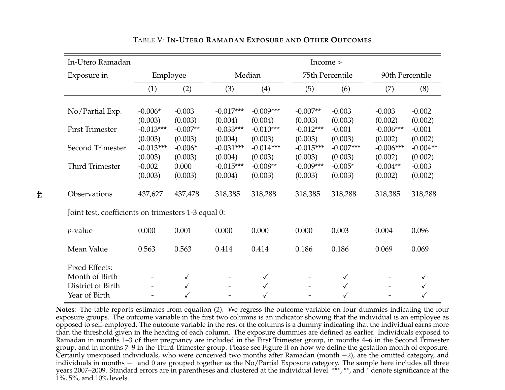| In-Utero Ramadan                                                              |                                   |                                 |                                   |                                   | Income                            |                                   |                                   |                                  |
|-------------------------------------------------------------------------------|-----------------------------------|---------------------------------|-----------------------------------|-----------------------------------|-----------------------------------|-----------------------------------|-----------------------------------|----------------------------------|
| Exposure in                                                                   | Employee                          |                                 |                                   | Median                            |                                   | 75th Percentile                   | 90th Percentile                   |                                  |
|                                                                               | (1)                               | (2)                             | (3)                               | (4)                               | (5)                               | (6)                               | (7)                               | (8)                              |
| No/Partial Exp.                                                               | $-0.006*$<br>(0.003)              | $-0.003$<br>(0.003)             | $-0.017***$<br>(0.004)            | $-0.009***$<br>(0.004)            | $-0.007**$<br>(0.003)             | $-0.003$<br>(0.003)               | $-0.003$<br>(0.002)               | $-0.002$<br>(0.002)              |
| <b>First Trimester</b>                                                        | $-0.013***$                       | $-0.007**$                      | $-0.033***$                       | $-0.010***$                       | $-0.012***$                       | $-0.001$                          | $-0.006***$                       | $-0.001$                         |
| Second Trimester                                                              | (0.003)<br>$-0.013***$<br>(0.003) | (0.003)<br>$-0.006*$<br>(0.003) | (0.004)<br>$-0.031***$<br>(0.004) | (0.003)<br>$-0.014***$<br>(0.003) | (0.003)<br>$-0.015***$<br>(0.003) | (0.003)<br>$-0.007***$<br>(0.003) | (0.002)<br>$-0.006***$<br>(0.002) | (0.002)<br>$-0.004**$<br>(0.002) |
| <b>Third Trimester</b>                                                        | $-0.002$<br>(0.003)               | 0.000<br>(0.003)                | $-0.015***$<br>(0.004)            | $-0.008**$<br>(0.003)             | $-0.009***$<br>(0.003)            | $-0.005*$<br>(0.003)              | $-0.004**$<br>(0.002)             | $-0.003$<br>(0.002)              |
| Observations                                                                  | 437,627                           | 437,478                         | 318,385                           | 318,288                           | 318,385                           | 318,288                           | 318,385                           | 318,288                          |
| Joint test, coefficients on trimesters 1-3 equal 0:                           |                                   |                                 |                                   |                                   |                                   |                                   |                                   |                                  |
| <i>p</i> -value                                                               | 0.000                             | 0.001                           | 0.000                             | 0.000                             | 0.000                             | 0.003                             | 0.004                             | 0.096                            |
| Mean Value                                                                    | 0.563                             | 0.563                           | 0.414                             | 0.414                             | 0.186                             | 0.186                             | 0.069                             | 0.069                            |
| <b>Fixed Effects:</b><br>Month of Birth<br>District of Birth<br>Year of Birth |                                   | $\checkmark$<br>$\checkmark$    |                                   | $\checkmark$<br>$\checkmark$      |                                   | $\checkmark$<br>$\checkmark$      |                                   |                                  |

## TABLE V: **IN-UTERO RAMADAN EXPOSURE AND OTHER OUTCOMES**

**Notes***:* The table reports estimates from equation (2). We regress the outcome variable on four dummies indicating the four exposure groups. The outcome variable in the first two columns is an indicator showing that the individual is an employee as opposed to self-employed. The outcome variable in the rest of the columns is a dummy indicating that the individual earns more than the threshold given in the heading of each column. The exposure dummies are defined as earlier. Individuals exposed to Ramadan in months 1–3 of their pregnancy are included in the First Trimester group, in months 4–6 in the Second Trimester group, and in months 7–9 in the Third Trimester group. Please see Figure II on how we define the gestation month of exposure. Certainly unexposed individuals, who were conceived two months after Ramadan (month −2), are the omitted category, and individuals in months −1 and 0 are grouped together as the No/Partial Exposure category. The sample here includes all three years 2007–2009. Standard errors are in parentheses and clustered at the individual level. \*\*\*, \*\*, and \* denote significance at the 1%, 5%, and 10% levels.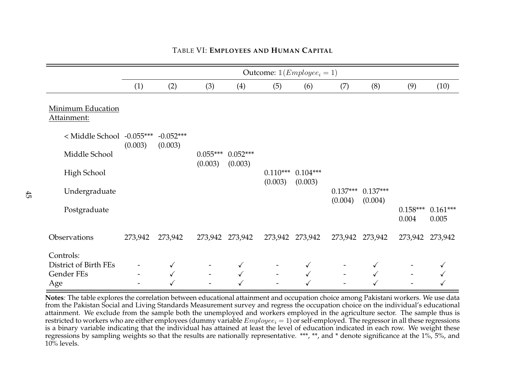|                                  |         | Outcome: $\mathbb{1}(Employee_i = 1)$ |                          |                       |            |                 |                       |                       |                     |                     |  |  |
|----------------------------------|---------|---------------------------------------|--------------------------|-----------------------|------------|-----------------|-----------------------|-----------------------|---------------------|---------------------|--|--|
|                                  | (1)     | (2)                                   | (3)                      | (4)                   | (5)        | (6)             | (7)                   | (8)                   | (9)                 | (10)                |  |  |
| Minimum Education<br>Attainment: |         |                                       |                          |                       |            |                 |                       |                       |                     |                     |  |  |
| < Middle School -0.055***        |         | $-0.052***$                           |                          |                       |            |                 |                       |                       |                     |                     |  |  |
| Middle School                    | (0.003) | (0.003)                               | $0.055***$<br>(0.003)    | $0.052***$<br>(0.003) |            |                 |                       |                       |                     |                     |  |  |
| High School                      |         |                                       |                          |                       | $0.110***$ | $0.104***$      |                       |                       |                     |                     |  |  |
| Undergraduate                    |         |                                       |                          |                       | (0.003)    | (0.003)         | $0.137***$<br>(0.004) | $0.137***$<br>(0.004) |                     |                     |  |  |
| Postgraduate                     |         |                                       |                          |                       |            |                 |                       |                       | $0.158***$<br>0.004 | $0.161***$<br>0.005 |  |  |
| Observations                     | 273,942 | 273,942                               |                          | 273,942 273,942       |            | 273,942 273,942 |                       | 273,942 273,942       | 273,942 273,942     |                     |  |  |
| Controls:                        |         |                                       |                          |                       |            |                 |                       |                       |                     |                     |  |  |
| District of Birth FEs            |         | $\checkmark$                          |                          |                       |            | ✓               |                       | √                     |                     |                     |  |  |
| Gender FEs<br>Age                |         | $\checkmark$                          | $\overline{\phantom{a}}$ |                       |            |                 |                       |                       |                     |                     |  |  |

# TABLE VI: **EMPLOYEES AND HUMAN CAPITAL**

**Notes***:* The table explores the correlation between educational attainment and occupation choice among Pakistani workers. We use data from the Pakistan Social and Living Standards Measurement survey and regress the occupation choice on the individual's educational attainment. We exclude from the sample both the unemployed and workers employed in the agriculture sector. The sample thus is restricted to workers who are either employees (dummy variable  $Employee_i = 1$ ) or self-employed. The regressor in all these regressions is a binary variable indicating that the individual has attained at least the level of education indicated in each row. We weight these regressions by sampling weights so that the results are nationally representative. \*\*\*, \*\*, and \* denote significance at the 1%, 5%, and  $10\%$  levels.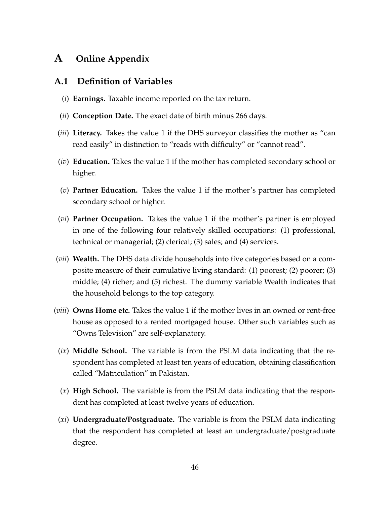# **A Online Appendix**

# **A.1 Definition of Variables**

- (*i*) **Earnings.** Taxable income reported on the tax return.
- (*ii*) **Conception Date.** The exact date of birth minus 266 days.
- (*iii*) **Literacy.** Takes the value 1 if the DHS surveyor classifies the mother as "can read easily" in distinction to "reads with difficulty" or "cannot read".
- (*iv*) **Education.** Takes the value 1 if the mother has completed secondary school or higher.
- (*v*) **Partner Education.** Takes the value 1 if the mother's partner has completed secondary school or higher.
- (*vi*) **Partner Occupation.** Takes the value 1 if the mother's partner is employed in one of the following four relatively skilled occupations: (1) professional, technical or managerial; (2) clerical; (3) sales; and (4) services.
- (*vii*) **Wealth.** The DHS data divide households into five categories based on a composite measure of their cumulative living standard: (1) poorest; (2) poorer; (3) middle; (4) richer; and (5) richest. The dummy variable Wealth indicates that the household belongs to the top category.
- (*viii*) **Owns Home etc.** Takes the value 1 if the mother lives in an owned or rent-free house as opposed to a rented mortgaged house. Other such variables such as "Owns Television" are self-explanatory.
	- (*ix*) **Middle School.** The variable is from the PSLM data indicating that the respondent has completed at least ten years of education, obtaining classification called "Matriculation" in Pakistan.
	- (*x*) **High School.** The variable is from the PSLM data indicating that the respondent has completed at least twelve years of education.
	- (*xi*) **Undergraduate/Postgraduate.** The variable is from the PSLM data indicating that the respondent has completed at least an undergraduate/postgraduate degree.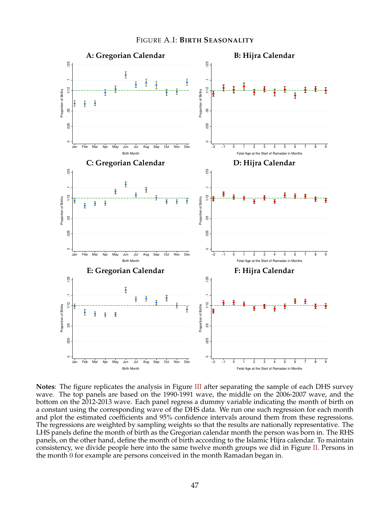



**Notes**: The figure replicates the analysis in Figure III after separating the sample of each DHS survey wave. The top panels are based on the 1990-1991 wave, the middle on the 2006-2007 wave, and the bottom on the 2012-2013 wave. Each panel regress a dummy variable indicating the month of birth on a constant using the corresponding wave of the DHS data. We run one such regression for each month and plot the estimated coefficients and 95% confidence intervals around them from these regressions. The regressions are weighted by sampling weights so that the results are nationally representative. The LHS panels define the month of birth as the Gregorian calendar month the person was born in. The RHS panels, on the other hand, define the month of birth according to the Islamic Hijra calendar. To maintain consistency, we divide people here into the same twelve month groups we did in Figure II. Persons in the month 0 for example are persons conceived in the month Ramadan began in.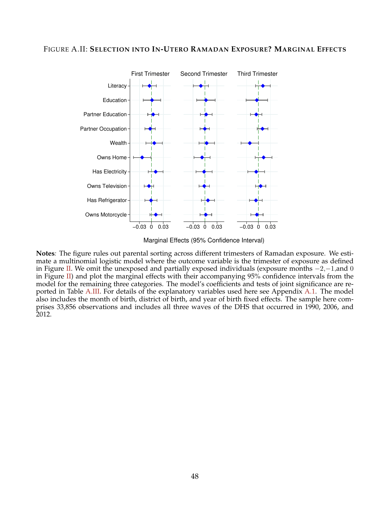#### FIGURE A.II: **SELECTION INTO IN-UTERO RAMADAN EXPOSURE? MARGINAL EFFECTS**



Marginal Effects (95% Confidence Interval)

**Notes***:* The figure rules out parental sorting across different trimesters of Ramadan exposure. We estimate a multinomial logistic model where the outcome variable is the trimester of exposure as defined in Figure II. We omit the unexposed and partially exposed individuals (exposure months  $-2$ , $-1$ ,and 0 in Figure II) and plot the marginal effects with their accompanying  $95%$  confidence intervals from the model for the remaining three categories. The model's coefficients and tests of joint significance are reported in Table A.III. For details of the explanatory variables used here see Appendix A.1. The model also includes the month of birth, district of birth, and year of birth fixed effects. The sample here comprises 33,856 observations and includes all three waves of the DHS that occurred in 1990, 2006, and 2012.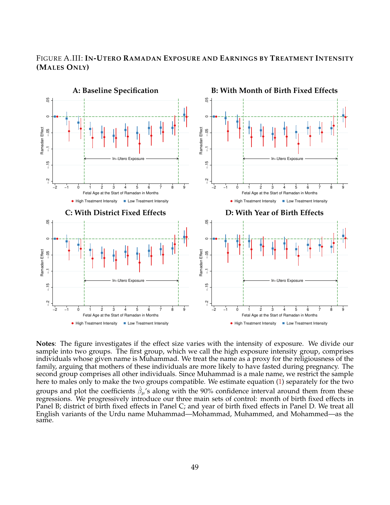# FIGURE A.III: **IN-UTERO RAMADAN EXPOSURE AND EARNINGS BY TREATMENT INTENSITY (MALES ONLY)**



**Notes**: The figure investigates if the effect size varies with the intensity of exposure. We divide our sample into two groups. The first group, which we call the high exposure intensity group, comprises individuals whose given name is Muhammad. We treat the name as a proxy for the religiousness of the family, arguing that mothers of these individuals are more likely to have fasted during pregnancy. The second group comprises all other individuals. Since Muhammad is a male name, we restrict the sample here to males only to make the two groups compatible. We estimate equation (1) separately for the two groups and plot the coefficients  $\hat{\beta}_{\mu}$ 's along with the 90% confidence interval around them from these regressions. We progressively introduce our three main sets of control: month of birth fixed effects in Panel B; district of birth fixed effects in Panel C; and year of birth fixed effects in Panel D. We treat all English variants of the Urdu name Muhammad—Mohammad, Muhammed, and Mohammed—as the same.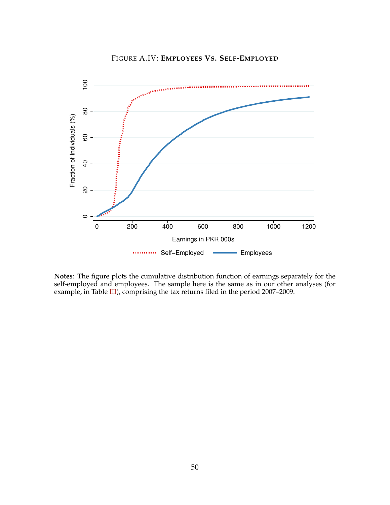



**Notes**: The figure plots the cumulative distribution function of earnings separately for the self-employed and employees. The sample here is the same as in our other analyses (for example, in Table III), comprising the tax returns filed in the period 2007–2009.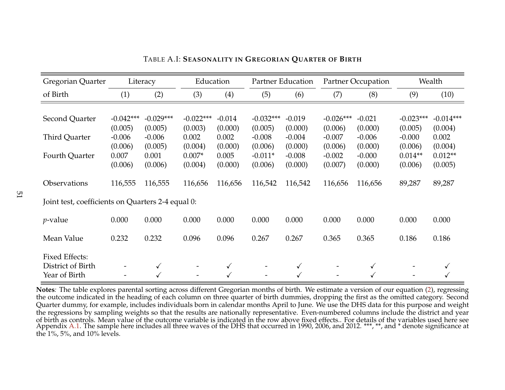| Gregorian Quarter                                 |                     | Literacy            | Education        |                  |                     | Partner Education   |                     | <b>Partner Occupation</b> | Wealth              |                  |
|---------------------------------------------------|---------------------|---------------------|------------------|------------------|---------------------|---------------------|---------------------|---------------------------|---------------------|------------------|
| of Birth                                          | (1)                 | (2)                 | (3)              | (4)              | (5)                 | (6)                 | (7)                 | (8)                       | (9)                 | (10)             |
|                                                   |                     |                     |                  |                  |                     |                     |                     |                           |                     |                  |
| Second Quarter                                    | $-0.042***$         | $-0.029***$         | $-0.022***$      | $-0.014$         | $-0.032***$         | $-0.019$            | $-0.026***$         | $-0.021$                  | $-0.023***$         | $-0.014***$      |
| <b>Third Quarter</b>                              | (0.005)<br>$-0.006$ | (0.005)<br>$-0.006$ | (0.003)<br>0.002 | (0.000)<br>0.002 | (0.005)<br>$-0.008$ | (0.000)<br>$-0.004$ | (0.006)<br>$-0.007$ | (0.000)<br>$-0.006$       | (0.005)<br>$-0.000$ | (0.004)<br>0.002 |
|                                                   | (0.006)             | (0.005)             | (0.004)          | (0.000)          | (0.006)             | (0.000)             | (0.006)             | (0.000)                   | (0.006)             | (0.004)          |
| Fourth Quarter                                    | 0.007               | 0.001               | $0.007*$         | 0.005            | $-0.011*$           | $-0.008$            | $-0.002$            | $-0.000$                  | $0.014**$           | $0.012**$        |
|                                                   | (0.006)             | (0.006)             | (0.004)          | (0.000)          | (0.006)             | (0.000)             | (0.007)             | (0.000)                   | (0.006)             | (0.005)          |
| Observations                                      | 116,555             | 116,555             | 116,656          | 116,656          | 116,542             | 116,542             | 116,656             | 116,656                   | 89,287              | 89,287           |
| Joint test, coefficients on Quarters 2-4 equal 0: |                     |                     |                  |                  |                     |                     |                     |                           |                     |                  |
| $p$ -value                                        | 0.000               | 0.000               | 0.000            | 0.000            | 0.000               | 0.000               | 0.000               | 0.000                     | 0.000               | 0.000            |
| Mean Value                                        | 0.232               | 0.232               | 0.096            | 0.096            | 0.267               | 0.267               | 0.365               | 0.365                     | 0.186               | 0.186            |
| <b>Fixed Effects:</b><br>District of Birth        |                     | $\checkmark$        |                  |                  |                     |                     |                     | √                         |                     |                  |
| Year of Birth                                     |                     |                     |                  |                  |                     |                     |                     |                           |                     |                  |

TABLE A.I: **SEASONALITY IN GREGORIAN QUARTER OF BIRTH**

**Notes***:* The table explores parental sorting across different Gregorian months of birth. We estimate a version of our equation (2), regressing the outcome indicated in the heading of each column on three quarter of birth dummies, dropping the first as the omitted category. Second Quarter dummy, for example, includes individuals born in calendar months April to June. We use the DHS data for this purpose and weight the regressions by sampling weights so that the results are nationally representative. Even-numbered columns include the district and year of birth as controls. Mean value of the outcome variable is indicated in the row above fixed effects.. For details of the variables used here see Appendix A.1. The sample here includes all three waves of the DHS that occurred in 1990, 2006, and 2012. \*\*\*, \*\*, and \* denote significance at the 1%, 5%, and 10% levels.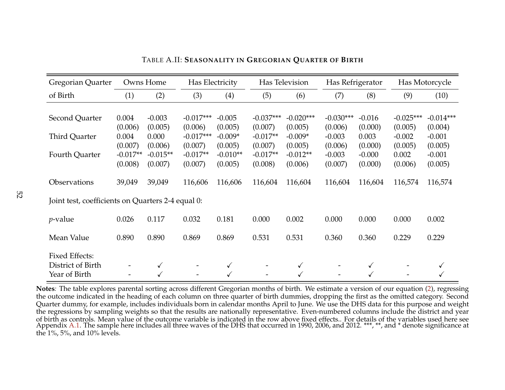| Gregorian Quarter                                           |                             | Owns Home                   | Has Electricity                   |                                 |                                  | Has Television                  | Has Refrigerator               |                             | Has Motorcycle                 |                                |
|-------------------------------------------------------------|-----------------------------|-----------------------------|-----------------------------------|---------------------------------|----------------------------------|---------------------------------|--------------------------------|-----------------------------|--------------------------------|--------------------------------|
| of Birth                                                    | (1)                         | (2)                         | (3)                               | (4)                             | (5)                              | (6)                             | (7)                            | (8)                         | (9)                            | (10)                           |
|                                                             |                             |                             |                                   |                                 |                                  |                                 |                                |                             |                                |                                |
| Second Quarter                                              | 0.004                       | $-0.003$                    | $-0.017***$                       | $-0.005$                        | $-0.037***$                      | $-0.020***$                     | $-0.030***$                    | $-0.016$                    | $-0.025***$                    | $-0.014***$                    |
| Third Quarter                                               | (0.006)<br>0.004<br>(0.007) | (0.005)<br>0.000<br>(0.006) | (0.006)<br>$-0.017***$<br>(0.007) | (0.005)<br>$-0.009*$<br>(0.005) | (0.007)<br>$-0.017**$<br>(0.007) | (0.005)<br>$-0.009*$<br>(0.005) | (0.006)<br>$-0.003$<br>(0.006) | (0.000)<br>0.003<br>(0.000) | (0.005)<br>$-0.002$<br>(0.005) | (0.004)<br>$-0.001$<br>(0.005) |
| Fourth Quarter                                              | $-0.017**$<br>(0.008)       | $-0.015**$<br>(0.007)       | $-0.017**$<br>(0.007)             | $-0.010**$<br>(0.005)           | $-0.017**$<br>(0.008)            | $-0.012**$<br>(0.006)           | $-0.003$<br>(0.007)            | $-0.000$<br>(0.000)         | 0.002<br>(0.006)               | $-0.001$<br>(0.005)            |
| Observations                                                | 39,049                      | 39,049                      | 116,606                           | 116,606                         | 116,604                          | 116,604                         | 116,604                        | 116,604                     | 116,574                        | 116,574                        |
| Joint test, coefficients on Quarters 2-4 equal 0:           |                             |                             |                                   |                                 |                                  |                                 |                                |                             |                                |                                |
| $p$ -value                                                  | 0.026                       | 0.117                       | 0.032                             | 0.181                           | 0.000                            | 0.002                           | 0.000                          | 0.000                       | 0.000                          | 0.002                          |
| Mean Value                                                  | 0.890                       | 0.890                       | 0.869                             | 0.869                           | 0.531                            | 0.531                           | 0.360                          | 0.360                       | 0.229                          | 0.229                          |
| <b>Fixed Effects:</b><br>District of Birth<br>Year of Birth |                             |                             |                                   |                                 |                                  |                                 |                                |                             |                                |                                |

TABLE A.II: **SEASONALITY IN GREGORIAN QUARTER OF BIRTH**

**Notes***:* The table explores parental sorting across different Gregorian months of birth. We estimate a version of our equation (2), regressing the outcome indicated in the heading of each column on three quarter of birth dummies, dropping the first as the omitted category. Second Quarter dummy, for example, includes individuals born in calendar months April to June. We use the DHS data for this purpose and weight the regressions by sampling weights so that the results are nationally representative. Even-numbered columns include the district and year of birth as controls. Mean value of the outcome variable is indicated in the row above fixed effects.. For details of the variables used here see Appendix A.1. The sample here includes all three waves of the DHS that occurred in 1990, 2006, and 2012. \*\*\*, \*\*, and \* denote significance at the 1%, 5%, and 10% levels.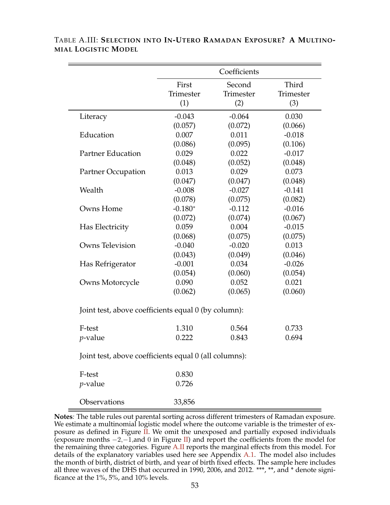|                                                       |           | Coefficients |           |
|-------------------------------------------------------|-----------|--------------|-----------|
|                                                       | First     | Second       | Third     |
|                                                       | Trimester | Trimester    | Trimester |
|                                                       | (1)       | (2)          | (3)       |
| Literacy                                              | $-0.043$  | $-0.064$     | 0.030     |
|                                                       | (0.057)   | (0.072)      | (0.066)   |
| Education                                             | 0.007     | 0.011        | $-0.018$  |
|                                                       | (0.086)   | (0.095)      | (0.106)   |
| <b>Partner Education</b>                              | 0.029     | 0.022        | $-0.017$  |
|                                                       | (0.048)   | (0.052)      | (0.048)   |
| <b>Partner Occupation</b>                             | 0.013     | 0.029        | 0.073     |
|                                                       | (0.047)   | (0.047)      | (0.048)   |
| Wealth                                                | $-0.008$  | $-0.027$     | $-0.141$  |
|                                                       | (0.078)   | (0.075)      | (0.082)   |
| Owns Home                                             | $-0.180*$ | $-0.112$     | $-0.016$  |
|                                                       | (0.072)   | (0.074)      | (0.067)   |
| Has Electricity                                       | 0.059     | 0.004        | $-0.015$  |
|                                                       | (0.068)   | (0.075)      | (0.075)   |
| Owns Television                                       | $-0.040$  | $-0.020$     | 0.013     |
|                                                       | (0.043)   | (0.049)      | (0.046)   |
| Has Refrigerator                                      | $-0.001$  | 0.034        | $-0.026$  |
|                                                       | (0.054)   | (0.060)      | (0.054)   |
| Owns Motorcycle                                       | 0.090     | 0.052        | 0.021     |
|                                                       | (0.062)   | (0.065)      | (0.060)   |
| Joint test, above coefficients equal 0 (by column):   |           |              |           |
| F-test                                                | 1.310     | 0.564        | 0.733     |
| <i>p</i> -value                                       | 0.222     | 0.843        | 0.694     |
| Joint test, above coefficients equal 0 (all columns): |           |              |           |
| F-test                                                | 0.830     |              |           |
| <i>p</i> -value                                       | 0.726     |              |           |
|                                                       |           |              |           |

TABLE A.III: **SELECTION INTO IN-UTERO RAMADAN EXPOSURE? A MULTINO-MIAL LOGISTIC MODEL**

Observations 33,856

**Notes***:* The table rules out parental sorting across different trimesters of Ramadan exposure. We estimate a multinomial logistic model where the outcome variable is the trimester of exposure as defined in Figure  $\overline{II}$ . We omit the unexposed and partially exposed individuals (exposure months  $-2$ , $-1$ ,and 0 in Figure II) and report the coefficients from the model for the remaining three categories. Figure A.II reports the marginal effects from this model. For details of the explanatory variables used here see Appendix A.1. The model also includes the month of birth, district of birth, and year of birth fixed effects. The sample here includes all three waves of the DHS that occurred in 1990, 2006, and 2012. \*\*\*, \*\*, and \* denote significance at the 1%, 5%, and 10% levels.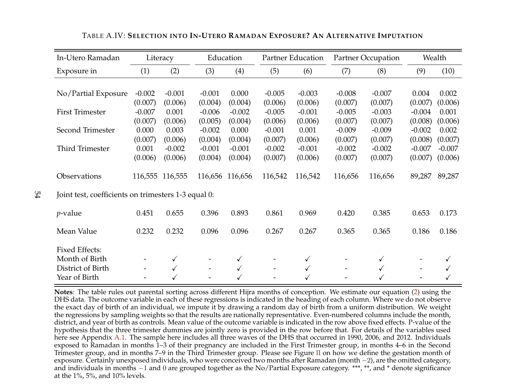| In-Utero Ramadan                                    |          | Literacy     |          | Education    |          | Partner Education |          | <b>Partner Occupation</b> | Wealth   |          |
|-----------------------------------------------------|----------|--------------|----------|--------------|----------|-------------------|----------|---------------------------|----------|----------|
| Exposure in                                         | (1)      | (2)          | (3)      | (4)          | (5)      | (6)               | (7)      | (8)                       | (9)      | (10)     |
|                                                     |          |              |          |              |          |                   |          |                           |          |          |
| No/Partial Exposure                                 | $-0.002$ | $-0.001$     | $-0.001$ | 0.000        | $-0.005$ | $-0.003$          | $-0.008$ | $-0.007$                  | 0.004    | 0.002    |
|                                                     | (0.007)  | (0.006)      | (0.004)  | (0.004)      | (0.006)  | (0.006)           | (0.007)  | (0.007)                   | (0.007)  | (0.006)  |
| <b>First Trimester</b>                              | $-0.007$ | 0.001        | $-0.006$ | $-0.002$     | $-0.005$ | $-0.001$          | $-0.005$ | $-0.003$                  | $-0.004$ | 0.001    |
|                                                     | (0.007)  | (0.006)      | (0.005)  | (0.004)      | (0.006)  | (0.006)           | (0.007)  | (0.007)                   | (0.008)  | (0.006)  |
| Second Trimester                                    | 0.000    | 0.003        | $-0.002$ | 0.000        | $-0.001$ | 0.001             | $-0.009$ | $-0.009$                  | $-0.002$ | 0.002    |
|                                                     | (0.007)  | (0.006)      | (0.004)  | (0.004)      | (0.007)  | (0.006)           | (0.007)  | (0.007)                   | (0.008)  | (0.007)  |
| Third Trimester                                     | 0.001    | $-0.002$     | $-0.001$ | $-0.001$     | $-0.002$ | $-0.001$          | $-0.002$ | $-0.002$                  | $-0.007$ | $-0.007$ |
|                                                     | (0.006)  | (0.006)      | (0.004)  | (0.004)      | (0.007)  | (0.006)           | (0.007)  | (0.007)                   | (0.007)  | (0.006)  |
| Observations                                        | 116,555  | 116,555      | 116,656  | 116,656      | 116,542  | 116,542           | 116,656  | 116,656                   | 89,287   | 89,287   |
| Joint test, coefficients on trimesters 1-3 equal 0: |          |              |          |              |          |                   |          |                           |          |          |
| <i>p</i> -value                                     | 0.451    | 0.655        | 0.396    | 0.893        | 0.861    | 0.969             | 0.420    | 0.385                     | 0.653    | 0.173    |
| Mean Value                                          | 0.232    | 0.232        | 0.096    | 0.096        | 0.267    | 0.267             | 0.365    | 0.365                     | 0.186    | 0.186    |
| <b>Fixed Effects:</b>                               |          |              |          |              |          |                   |          |                           |          |          |
| Month of Birth                                      |          | $\checkmark$ |          | ✓            |          | $\checkmark$      |          | $\checkmark$              |          | ✓        |
| District of Birth                                   |          | $\checkmark$ |          | $\checkmark$ |          | $\checkmark$      |          | $\checkmark$              |          |          |
| Year of Birth                                       |          |              |          |              |          |                   |          |                           |          |          |

54

TABLE A.IV: **SELECTION INTO IN-UTERO RAMADAN EXPOSURE? AN ALTERNATIVE IMPUTATION**

**Notes***:* The table rules out parental sorting across different Hijra months of conception. We estimate our equation (2) using the DHS data. The outcome variable in each of these regressions is indicated in the heading of each column. Where we do not observe the exact day of birth of an individual, we impute it by drawing a random day of birth from a uniform distribution. We weight the regressions by sampling weights so that the results are nationally representative. Even-numbered columns include the month, district, and year of birth as controls. Mean value of the outcome variable is indicated in the row above fixed effects. P-value of the hypothesis that the three trimester dummies are jointly zero is provided in the row before that. For details of the variables used here see Appendix A.1. The sample here includes all three waves of the DHS that occurred in 1990, 2006, and 2012. Individuals exposed to Ramadan in months 1–3 of their pregnancy are included in the First Trimester group, in months 4–6 in the Second Trimester group, and in months 7–9 in the Third Trimester group. Please see Figure II on how we define the gestation month of exposure. Certainly unexposed individuals, who were conceived two months after Ramadan (month −2), are the omitted category, and individuals in months −1 and 0 are grouped together as the No/Partial Exposure category. \*\*\*, \*\*, and \* denote significance at the 1%, 5%, and 10% levels.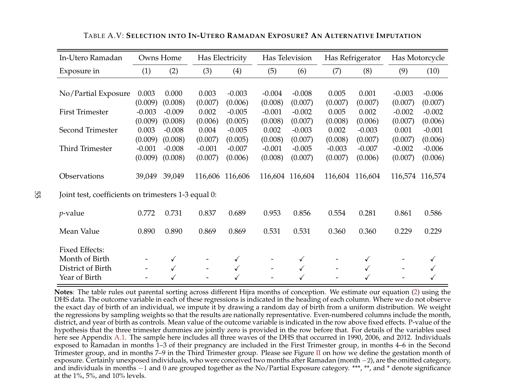| In-Utero Ramadan                                    |          | Owns Home    |          | Has Electricity |                          | Has Television  |          | Has Refrigerator | Has Motorcycle |                 |
|-----------------------------------------------------|----------|--------------|----------|-----------------|--------------------------|-----------------|----------|------------------|----------------|-----------------|
| Exposure in                                         | (1)      | (2)          | (3)      | (4)             | (5)                      | (6)             | (7)      | (8)              | (9)            | (10)            |
|                                                     |          |              |          |                 |                          |                 |          |                  |                |                 |
| No/Partial Exposure                                 | 0.003    | 0.000        | 0.003    | $-0.003$        | $-0.004$                 | $-0.008$        | 0.005    | 0.001            | $-0.003$       | $-0.006$        |
|                                                     | (0.009)  | (0.008)      | (0.007)  | (0.006)         | (0.008)                  | (0.007)         | (0.007)  | (0.007)          | (0.007)        | (0.007)         |
| <b>First Trimester</b>                              | $-0.003$ | $-0.009$     | 0.002    | $-0.005$        | $-0.001$                 | $-0.002$        | 0.005    | 0.002            | $-0.002$       | $-0.002$        |
|                                                     | (0.009)  | (0.008)      | (0.006)  | (0.005)         | (0.008)                  | (0.007)         | (0.008)  | (0.006)          | (0.007)        | (0.006)         |
| Second Trimester                                    | 0.003    | $-0.008$     | 0.004    | $-0.005$        | 0.002                    | $-0.003$        | 0.002    | $-0.003$         | 0.001          | $-0.001$        |
|                                                     | (0.009)  | (0.008)      | (0.007)  | (0.005)         | (0.008)                  | (0.007)         | (0.008)  | (0.007)          | (0.007)        | (0.006)         |
| Third Trimester                                     | $-0.001$ | $-0.008$     | $-0.001$ | $-0.007$        | $-0.001$                 | $-0.005$        | $-0.003$ | $-0.007$         | $-0.002$       | $-0.006$        |
|                                                     | (0.009)  | (0.008)      | (0.007)  | (0.006)         | (0.008)                  | (0.007)         | (0.007)  | (0.006)          | (0.007)        | (0.006)         |
| Observations                                        | 39,049   | 39,049       | 116,606  | 116,606         |                          | 116,604 116,604 | 116,604  | 116,604          |                | 116,574 116,574 |
| Joint test, coefficients on trimesters 1-3 equal 0: |          |              |          |                 |                          |                 |          |                  |                |                 |
| $p$ -value                                          | 0.772    | 0.731        | 0.837    | 0.689           | 0.953                    | 0.856           | 0.554    | 0.281            | 0.861          | 0.586           |
| Mean Value                                          | 0.890    | 0.890        | 0.869    | 0.869           | 0.531                    | 0.531           | 0.360    | 0.360            | 0.229          | 0.229           |
| <b>Fixed Effects:</b>                               |          |              |          |                 |                          |                 |          |                  |                |                 |
| Month of Birth                                      |          | $\checkmark$ |          | $\checkmark$    |                          | $\checkmark$    |          | $\checkmark$     |                | $\checkmark$    |
| District of Birth                                   |          | $\checkmark$ |          | $\checkmark$    | $\overline{\phantom{a}}$ | $\checkmark$    |          | $\checkmark$     |                | $\checkmark$    |
| Year of Birth                                       |          |              |          |                 |                          |                 |          |                  |                |                 |

TABLE A.V: **SELECTION INTO IN-UTERO RAMADAN EXPOSURE? AN ALTERNATIVE IMPUTATION**

**Notes***:* The table rules out parental sorting across different Hijra months of conception. We estimate our equation (2) using the DHS data. The outcome variable in each of these regressions is indicated in the heading of each column. Where we do not observe the exact day of birth of an individual, we impute it by drawing a random day of birth from a uniform distribution. We weight the regressions by sampling weights so that the results are nationally representative. Even-numbered columns include the month, district, and year of birth as controls. Mean value of the outcome variable is indicated in the row above fixed effects. P-value of the hypothesis that the three trimester dummies are jointly zero is provided in the row before that. For details of the variables used here see Appendix A.1. The sample here includes all three waves of the DHS that occurred in 1990, 2006, and 2012. Individuals exposed to Ramadan in months 1–3 of their pregnancy are included in the First Trimester group, in months 4–6 in the Second Trimester group, and in months 7–9 in the Third Trimester group. Please see Figure II on how we define the gestation month of exposure. Certainly unexposed individuals, who were conceived two months after Ramadan (month −2), are the omitted category, and individuals in months −1 and 0 are grouped together as the No/Partial Exposure category. \*\*\*, \*\*, and \* denote significance at the 1%, 5%, and 10% levels.

55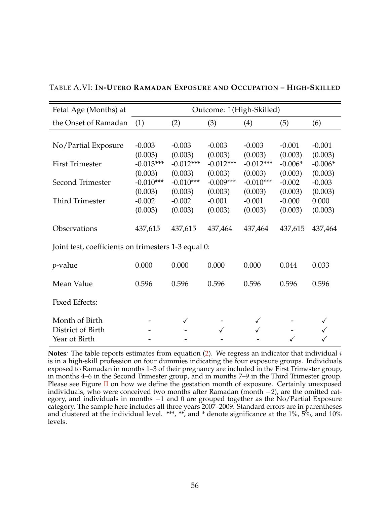| Fetal Age (Months) at                               |             |             | Outcome: 1(High-Skilled) |             |           |           |
|-----------------------------------------------------|-------------|-------------|--------------------------|-------------|-----------|-----------|
| the Onset of Ramadan                                | (1)         | (2)         | (3)                      | (4)         | (5)       | (6)       |
|                                                     |             |             |                          |             |           |           |
| No/Partial Exposure                                 | $-0.003$    | $-0.003$    | $-0.003$                 | $-0.003$    | $-0.001$  | $-0.001$  |
|                                                     | (0.003)     | (0.003)     | (0.003)                  | (0.003)     | (0.003)   | (0.003)   |
| <b>First Trimester</b>                              | $-0.013***$ | $-0.012***$ | $-0.012***$              | $-0.012***$ | $-0.006*$ | $-0.006*$ |
|                                                     | (0.003)     | (0.003)     | (0.003)                  | (0.003)     | (0.003)   | (0.003)   |
| Second Trimester                                    | $-0.010***$ | $-0.010***$ | $-0.009***$              | $-0.010***$ | $-0.002$  | $-0.003$  |
|                                                     | (0.003)     | (0.003)     | (0.003)                  | (0.003)     | (0.003)   | (0.003)   |
| Third Trimester                                     | $-0.002$    | $-0.002$    | $-0.001$                 | $-0.001$    | $-0.000$  | 0.000     |
|                                                     | (0.003)     | (0.003)     | (0.003)                  | (0.003)     | (0.003)   | (0.003)   |
| Observations                                        | 437,615     | 437,615     | 437,464                  | 437,464     | 437,615   | 437,464   |
| Joint test, coefficients on trimesters 1-3 equal 0: |             |             |                          |             |           |           |
| <i>p</i> -value                                     | 0.000       | 0.000       | 0.000                    | 0.000       | 0.044     | 0.033     |
| Mean Value                                          | 0.596       | 0.596       | 0.596                    | 0.596       | 0.596     | 0.596     |
| <b>Fixed Effects:</b>                               |             |             |                          |             |           |           |
| Month of Birth                                      |             |             |                          |             |           |           |
| District of Birth                                   |             |             |                          |             |           |           |
| Year of Birth                                       |             |             |                          |             |           |           |

TABLE A.VI: **IN-UTERO RAMADAN EXPOSURE AND OCCUPATION – HIGH-SKILLED**

**Notes***:* The table reports estimates from equation (2). We regress an indicator that individual i is in a high-skill profession on four dummies indicating the four exposure groups. Individuals exposed to Ramadan in months 1–3 of their pregnancy are included in the First Trimester group, in months 4–6 in the Second Trimester group, and in months 7–9 in the Third Trimester group. Please see Figure II on how we define the gestation month of exposure. Certainly unexposed individuals, who were conceived two months after Ramadan (month −2), are the omitted category, and individuals in months −1 and 0 are grouped together as the No/Partial Exposure category. The sample here includes all three years 2007–2009. Standard errors are in parentheses and clustered at the individual level. \*\*\*, \*\*, and \* denote significance at the 1%, 5%, and 10% levels.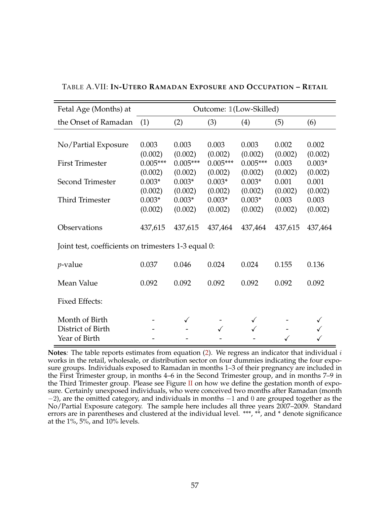| Fetal Age (Months) at                                |                                  | Outcome: 1(Low-Skilled)          |                                  |                                  |                             |                                |  |  |
|------------------------------------------------------|----------------------------------|----------------------------------|----------------------------------|----------------------------------|-----------------------------|--------------------------------|--|--|
| the Onset of Ramadan                                 | (1)                              | (2)                              | (3)                              | (4)                              | (5)                         | (6)                            |  |  |
|                                                      |                                  |                                  |                                  |                                  |                             |                                |  |  |
| No/Partial Exposure                                  | 0.003                            | 0.003                            | 0.003                            | 0.003                            | 0.002                       | 0.002                          |  |  |
| <b>First Trimester</b>                               | (0.002)<br>$0.005***$<br>(0.002) | (0.002)<br>$0.005***$<br>(0.002) | (0.002)<br>$0.005***$<br>(0.002) | (0.002)<br>$0.005***$<br>(0.002) | (0.002)<br>0.003<br>(0.002) | (0.002)<br>$0.003*$<br>(0.002) |  |  |
| Second Trimester                                     | $0.003*$                         | $0.003*$                         | $0.003*$                         | $0.003*$                         | 0.001                       | 0.001                          |  |  |
| <b>Third Trimester</b>                               | (0.002)<br>$0.003*$<br>(0.002)   | (0.002)<br>$0.003*$<br>(0.002)   | (0.002)<br>$0.003*$<br>(0.002)   | (0.002)<br>$0.003*$<br>(0.002)   | (0.002)<br>0.003<br>(0.002) | (0.002)<br>0.003<br>(0.002)    |  |  |
| Observations                                         | 437,615                          | 437,615                          | 437,464                          | 437,464                          | 437,615                     | 437,464                        |  |  |
| Joint test, coefficients on trimesters 1-3 equal 0:  |                                  |                                  |                                  |                                  |                             |                                |  |  |
| $p$ -value                                           | 0.037                            | 0.046                            | 0.024                            | 0.024                            | 0.155                       | 0.136                          |  |  |
| Mean Value                                           | 0.092                            | 0.092                            | 0.092                            | 0.092                            | 0.092                       | 0.092                          |  |  |
| <b>Fixed Effects:</b>                                |                                  |                                  |                                  |                                  |                             |                                |  |  |
| Month of Birth<br>District of Birth<br>Year of Birth |                                  | $\checkmark$                     |                                  |                                  |                             |                                |  |  |

| TABLE A.VII: IN-UTERO RAMADAN EXPOSURE AND OCCUPATION - RETAIL |  |
|----------------------------------------------------------------|--|
|----------------------------------------------------------------|--|

**Notes***:* The table reports estimates from equation (2). We regress an indicator that individual i works in the retail, wholesale, or distribution sector on four dummies indicating the four exposure groups. Individuals exposed to Ramadan in months 1–3 of their pregnancy are included in the First Trimester group, in months 4–6 in the Second Trimester group, and in months 7–9 in the Third Trimester group. Please see Figure II on how we define the gestation month of exposure. Certainly unexposed individuals, who were conceived two months after Ramadan (month  $-2$ ), are the omitted category, and individuals in months  $-1$  and 0 are grouped together as the No/Partial Exposure category. The sample here includes all three years 2007–2009. Standard errors are in parentheses and clustered at the individual level. \*\*\*, \*\*, and \* denote significance at the  $1\%$ ,  $5\%$ , and  $10\%$  levels.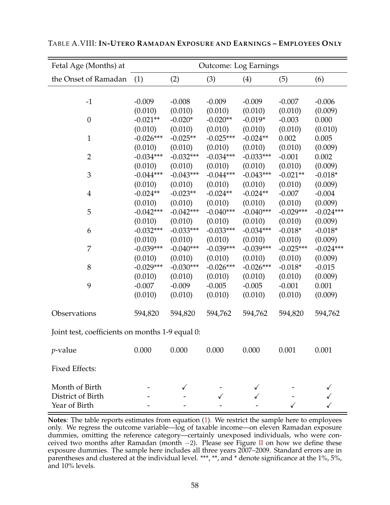| Fetal Age (Months) at                           | <b>Outcome: Log Earnings</b> |             |             |             |             |             |  |  |
|-------------------------------------------------|------------------------------|-------------|-------------|-------------|-------------|-------------|--|--|
| the Onset of Ramadan                            | (1)                          | (2)         | (3)         | (4)         | (5)         | (6)         |  |  |
|                                                 |                              |             |             |             |             |             |  |  |
| $-1$                                            | $-0.009$                     | $-0.008$    | $-0.009$    | $-0.009$    | $-0.007$    | $-0.006$    |  |  |
|                                                 | (0.010)                      | (0.010)     | (0.010)     | (0.010)     | (0.010)     | (0.009)     |  |  |
| $\boldsymbol{0}$                                | $-0.021**$                   | $-0.020*$   | $-0.020**$  | $-0.019*$   | $-0.003$    | 0.000       |  |  |
|                                                 | (0.010)                      | (0.010)     | (0.010)     | (0.010)     | (0.010)     | (0.010)     |  |  |
| $\mathbf{1}$                                    | $-0.026***$                  | $-0.025**$  | $-0.025***$ | $-0.024**$  | 0.002       | 0.005       |  |  |
|                                                 | (0.010)                      | (0.010)     | (0.010)     | (0.010)     | (0.010)     | (0.009)     |  |  |
| $\overline{2}$                                  | $-0.034***$                  | $-0.032***$ | $-0.034***$ | $-0.033***$ | $-0.001$    | 0.002       |  |  |
|                                                 | (0.010)                      | (0.010)     | (0.010)     | (0.010)     | (0.010)     | (0.009)     |  |  |
| 3                                               | $-0.044***$                  | $-0.043***$ | $-0.044***$ | $-0.043***$ | $-0.021**$  | $-0.018*$   |  |  |
|                                                 | (0.010)                      | (0.010)     | (0.010)     | (0.010)     | (0.010)     | (0.009)     |  |  |
| $\overline{4}$                                  | $-0.024**$                   | $-0.023**$  | $-0.024**$  | $-0.024**$  | $-0.007$    | $-0.004$    |  |  |
|                                                 | (0.010)                      | (0.010)     | (0.010)     | (0.010)     | (0.010)     | (0.009)     |  |  |
| 5                                               | $-0.042***$                  | $-0.042***$ | $-0.040***$ | $-0.040***$ | $-0.029***$ | $-0.024***$ |  |  |
|                                                 | (0.010)                      | (0.010)     | (0.010)     | (0.010)     | (0.010)     | (0.009)     |  |  |
| 6                                               | $-0.032***$                  | $-0.033***$ | $-0.033***$ | $-0.034***$ | $-0.018*$   | $-0.018*$   |  |  |
|                                                 | (0.010)                      | (0.010)     | (0.010)     | (0.010)     | (0.010)     | (0.009)     |  |  |
| 7                                               | $-0.039***$                  | $-0.040***$ | $-0.039***$ | $-0.039***$ | $-0.025***$ | $-0.024***$ |  |  |
|                                                 | (0.010)                      | (0.010)     | (0.010)     | (0.010)     | (0.010)     | (0.009)     |  |  |
| 8                                               | $-0.029***$                  | $-0.030***$ | $-0.026***$ | $-0.026***$ | $-0.018*$   | $-0.015$    |  |  |
|                                                 | (0.010)                      | (0.010)     | (0.010)     | (0.010)     | (0.010)     | (0.009)     |  |  |
| 9                                               | $-0.007$                     | $-0.009$    | $-0.005$    | $-0.005$    | $-0.001$    | 0.001       |  |  |
|                                                 | (0.010)                      | (0.010)     | (0.010)     | (0.010)     | (0.010)     | (0.009)     |  |  |
| Observations                                    | 594,820                      | 594,820     | 594,762     | 594,762     | 594,820     | 594,762     |  |  |
| Joint test, coefficients on months 1-9 equal 0: |                              |             |             |             |             |             |  |  |
| $p$ -value                                      | 0.000                        | 0.000       | 0.000       | 0.000       | 0.001       | 0.001       |  |  |
| <b>Fixed Effects:</b>                           |                              |             |             |             |             |             |  |  |
| Month of Birth                                  |                              |             |             |             |             |             |  |  |
| District of Birth                               |                              |             |             |             |             |             |  |  |
| Year of Birth                                   |                              |             |             |             |             |             |  |  |

TABLE A.VIII: **IN-UTERO RAMADAN EXPOSURE AND EARNINGS – EMPLOYEES ONLY**

**Notes***:* The table reports estimates from equation (1). We restrict the sample here to employees only. We regress the outcome variable—log of taxable income—on eleven Ramadan exposure dummies, omitting the reference category—certainly unexposed individuals, who were conceived two months after Ramadan (month  $-2$ ). Please see Figure II on how we define these exposure dummies. The sample here includes all three years 2007–2009. Standard errors are in parentheses and clustered at the individual level. \*\*\*, \*\*, and \* denote significance at the 1%, 5%, and 10% levels.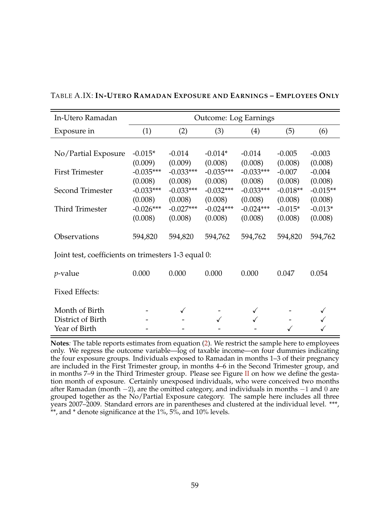| In-Utero Ramadan                                    |                        | <b>Outcome: Log Earnings</b> |                        |                        |                     |                       |  |  |  |
|-----------------------------------------------------|------------------------|------------------------------|------------------------|------------------------|---------------------|-----------------------|--|--|--|
| Exposure in                                         | (1)                    | (2)                          | (3)                    | (4)                    | (5)                 | (6)                   |  |  |  |
|                                                     |                        |                              |                        |                        |                     |                       |  |  |  |
| No/Partial Exposure                                 | $-0.015*$              | $-0.014$                     | $-0.014*$              | $-0.014$               | $-0.005$            | $-0.003$              |  |  |  |
|                                                     | (0.009)                | (0.009)                      | (0.008)                | (0.008)                | (0.008)             | (0.008)               |  |  |  |
| <b>First Trimester</b>                              | $-0.035***$            | $-0.033***$                  | $-0.035***$            | $-0.033***$            | $-0.007$<br>(0.008) | $-0.004$              |  |  |  |
| Second Trimester                                    | (0.008)<br>$-0.033***$ | (0.008)<br>$-0.033***$       | (0.008)<br>$-0.032***$ | (0.008)<br>$-0.033***$ | $-0.018**$          | (0.008)<br>$-0.015**$ |  |  |  |
|                                                     | (0.008)                | (0.008)                      | (0.008)                | (0.008)                | (0.008)             | (0.008)               |  |  |  |
| <b>Third Trimester</b>                              | $-0.026***$            | $-0.027***$                  | $-0.024***$            | $-0.024***$            | $-0.015*$           | $-0.013*$             |  |  |  |
|                                                     | (0.008)                | (0.008)                      | (0.008)                | (0.008)                | (0.008)             | (0.008)               |  |  |  |
| Observations                                        | 594,820                | 594,820                      | 594,762                | 594,762                | 594,820             | 594,762               |  |  |  |
| Joint test, coefficients on trimesters 1-3 equal 0: |                        |                              |                        |                        |                     |                       |  |  |  |
| $p$ -value                                          | 0.000                  | 0.000                        | 0.000                  | 0.000                  | 0.047               | 0.054                 |  |  |  |
| <b>Fixed Effects:</b>                               |                        |                              |                        |                        |                     |                       |  |  |  |
| Month of Birth                                      |                        | ✓                            |                        |                        |                     |                       |  |  |  |
| District of Birth                                   |                        |                              | ✓                      |                        |                     |                       |  |  |  |
| Year of Birth                                       |                        |                              |                        |                        |                     |                       |  |  |  |

TABLE A.IX: **IN-UTERO RAMADAN EXPOSURE AND EARNINGS – EMPLOYEES ONLY**

**Notes***:* The table reports estimates from equation (2). We restrict the sample here to employees only. We regress the outcome variable—log of taxable income—on four dummies indicating the four exposure groups. Individuals exposed to Ramadan in months 1–3 of their pregnancy are included in the First Trimester group, in months 4–6 in the Second Trimester group, and in months 7–9 in the Third Trimester group. Please see Figure II on how we define the gestation month of exposure. Certainly unexposed individuals, who were conceived two months after Ramadan (month −2), are the omitted category, and individuals in months −1 and 0 are grouped together as the No/Partial Exposure category. The sample here includes all three years 2007–2009. Standard errors are in parentheses and clustered at the individual level. \*\*\*,  $**$ , and  $*$  denote significance at the 1%,  $5\%$ , and 10% levels.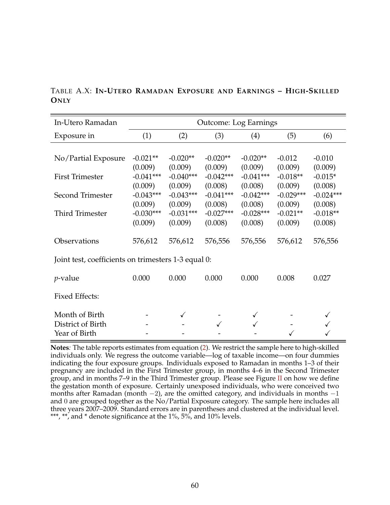|             |  |  |  | TABLE A.X: IN-UTERO RAMADAN EXPOSURE AND EARNINGS - HIGH-SKILLED |
|-------------|--|--|--|------------------------------------------------------------------|
| <b>ONLY</b> |  |  |  |                                                                  |

| In-Utero Ramadan                                    |                        | <b>Outcome: Log Earnings</b> |                        |                        |                       |                       |  |  |  |  |
|-----------------------------------------------------|------------------------|------------------------------|------------------------|------------------------|-----------------------|-----------------------|--|--|--|--|
| Exposure in                                         | (1)                    | (2)                          | (3)                    | (4)                    | (5)                   | (6)                   |  |  |  |  |
|                                                     |                        |                              |                        |                        |                       |                       |  |  |  |  |
| No/Partial Exposure                                 | $-0.021**$             | $-0.020**$                   | $-0.020**$             | $-0.020**$             | $-0.012$              | $-0.010$              |  |  |  |  |
| <b>First Trimester</b>                              | (0.009)<br>$-0.041***$ | (0.009)<br>$-0.040***$       | (0.009)<br>$-0.042***$ | (0.009)<br>$-0.041***$ | (0.009)<br>$-0.018**$ | (0.009)<br>$-0.015*$  |  |  |  |  |
|                                                     | (0.009)                | (0.009)                      | (0.008)                | (0.008)                | (0.009)               | (0.008)               |  |  |  |  |
| Second Trimester                                    | $-0.043***$            | $-0.043***$                  | $-0.041***$            | $-0.042***$            | $-0.029***$           | $-0.024***$           |  |  |  |  |
|                                                     | (0.009)                | (0.009)                      | (0.008)                | (0.008)                | (0.009)               | (0.008)               |  |  |  |  |
| Third Trimester                                     | $-0.030***$<br>(0.009) | $-0.031***$<br>(0.009)       | $-0.027***$<br>(0.008) | $-0.028***$<br>(0.008) | $-0.021**$<br>(0.009) | $-0.018**$<br>(0.008) |  |  |  |  |
|                                                     |                        |                              |                        |                        |                       |                       |  |  |  |  |
| Observations                                        | 576,612                | 576,612                      | 576,556                | 576,556                | 576,612               | 576,556               |  |  |  |  |
| Joint test, coefficients on trimesters 1-3 equal 0: |                        |                              |                        |                        |                       |                       |  |  |  |  |
|                                                     |                        |                              |                        |                        |                       |                       |  |  |  |  |
| <i>p</i> -value                                     | 0.000                  | 0.000                        | 0.000                  | 0.000                  | 0.008                 | 0.027                 |  |  |  |  |
|                                                     |                        |                              |                        |                        |                       |                       |  |  |  |  |
| <b>Fixed Effects:</b>                               |                        |                              |                        |                        |                       |                       |  |  |  |  |
| Month of Birth                                      |                        |                              |                        |                        |                       |                       |  |  |  |  |
| District of Birth                                   |                        |                              |                        |                        |                       |                       |  |  |  |  |
| Year of Birth                                       |                        |                              |                        |                        |                       |                       |  |  |  |  |

**Notes***:* The table reports estimates from equation (2). We restrict the sample here to high-skilled individuals only. We regress the outcome variable—log of taxable income—on four dummies indicating the four exposure groups. Individuals exposed to Ramadan in months 1–3 of their pregnancy are included in the First Trimester group, in months 4–6 in the Second Trimester group, and in months 7-9 in the Third Trimester group. Please see Figure  $II$  on how we define the gestation month of exposure. Certainly unexposed individuals, who were conceived two months after Ramadan (month  $-2$ ), are the omitted category, and individuals in months  $-1$ and 0 are grouped together as the No/Partial Exposure category. The sample here includes all three years 2007–2009. Standard errors are in parentheses and clustered at the individual level. \*\*\*, \*\*, and \* denote significance at the 1%, 5%, and 10% levels.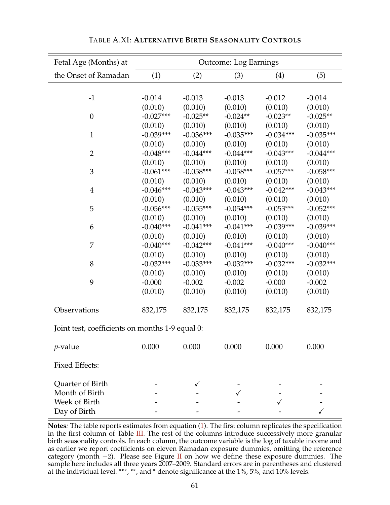| Fetal Age (Months) at                           | <b>Outcome: Log Earnings</b> |             |             |             |             |  |  |  |  |
|-------------------------------------------------|------------------------------|-------------|-------------|-------------|-------------|--|--|--|--|
| the Onset of Ramadan                            | (1)                          | (2)         | (3)         | (4)         | (5)         |  |  |  |  |
|                                                 |                              |             |             |             |             |  |  |  |  |
| $-1$                                            | $-0.014$                     | $-0.013$    | $-0.013$    | $-0.012$    | $-0.014$    |  |  |  |  |
|                                                 | (0.010)                      | (0.010)     | (0.010)     | (0.010)     | (0.010)     |  |  |  |  |
| $\boldsymbol{0}$                                | $-0.027***$                  | $-0.025**$  | $-0.024**$  | $-0.023**$  | $-0.025**$  |  |  |  |  |
|                                                 | (0.010)                      | (0.010)     | (0.010)     | (0.010)     | (0.010)     |  |  |  |  |
| $\mathbf{1}$                                    | $-0.039***$                  | $-0.036***$ | $-0.035***$ | $-0.034***$ | $-0.035***$ |  |  |  |  |
|                                                 | (0.010)                      | (0.010)     | (0.010)     | (0.010)     | (0.010)     |  |  |  |  |
| $\overline{2}$                                  | $-0.048***$                  | $-0.044***$ | $-0.044***$ | $-0.043***$ | $-0.044***$ |  |  |  |  |
|                                                 | (0.010)                      | (0.010)     | (0.010)     | (0.010)     | (0.010)     |  |  |  |  |
| 3                                               | $-0.061***$                  | $-0.058***$ | $-0.058***$ | $-0.057***$ | $-0.058***$ |  |  |  |  |
|                                                 | (0.010)                      | (0.010)     | (0.010)     | (0.010)     | (0.010)     |  |  |  |  |
| $\overline{4}$                                  | $-0.046***$                  | $-0.043***$ | $-0.043***$ | $-0.042***$ | $-0.043***$ |  |  |  |  |
|                                                 | (0.010)                      | (0.010)     | (0.010)     | (0.010)     | (0.010)     |  |  |  |  |
| 5                                               | $-0.056***$                  | $-0.055***$ | $-0.054***$ | $-0.053***$ | $-0.052***$ |  |  |  |  |
|                                                 | (0.010)                      | (0.010)     | (0.010)     | (0.010)     | (0.010)     |  |  |  |  |
| 6                                               | $-0.040***$                  | $-0.041***$ | $-0.041***$ | $-0.039***$ | $-0.039***$ |  |  |  |  |
|                                                 | (0.010)                      | (0.010)     | (0.010)     | (0.010)     | (0.010)     |  |  |  |  |
| 7                                               | $-0.040***$                  | $-0.042***$ | $-0.041***$ | $-0.040***$ | $-0.040***$ |  |  |  |  |
|                                                 | (0.010)                      | (0.010)     | (0.010)     | (0.010)     | (0.010)     |  |  |  |  |
| 8                                               | $-0.032***$                  | $-0.033***$ | $-0.032***$ | $-0.032***$ | $-0.032***$ |  |  |  |  |
|                                                 | (0.010)                      | (0.010)     | (0.010)     | (0.010)     | (0.010)     |  |  |  |  |
| 9                                               | $-0.000$                     | $-0.002$    | $-0.002$    | $-0.000$    | $-0.002$    |  |  |  |  |
|                                                 | (0.010)                      | (0.010)     | (0.010)     | (0.010)     | (0.010)     |  |  |  |  |
| Observations                                    | 832,175                      | 832,175     | 832,175     | 832,175     | 832,175     |  |  |  |  |
| Joint test, coefficients on months 1-9 equal 0: |                              |             |             |             |             |  |  |  |  |
| <i>p</i> -value                                 | 0.000                        | 0.000       | 0.000       | 0.000       | 0.000       |  |  |  |  |
| <b>Fixed Effects:</b>                           |                              |             |             |             |             |  |  |  |  |
| <b>Quarter of Birth</b>                         |                              |             |             |             |             |  |  |  |  |
| Month of Birth                                  |                              |             |             |             |             |  |  |  |  |
| Week of Birth                                   |                              |             |             |             |             |  |  |  |  |
| Day of Birth                                    |                              |             |             |             |             |  |  |  |  |

| TABLE A.XI: ALTERNATIVE BIRTH SEASONALITY CONTROLS |  |
|----------------------------------------------------|--|
|----------------------------------------------------|--|

**Notes***:* The table reports estimates from equation (1). The first column replicates the specification in the first column of Table III. The rest of the columns introduce successively more granular birth seasonality controls. In each column, the outcome variable is the log of taxable income and as earlier we report coefficients on eleven Ramadan exposure dummies, omitting the reference category (month  $-2$ ). Please see Figure II on how we define these exposure dummies. The sample here includes all three years 2007–2009. Standard errors are in parentheses and clustered at the individual level. \*\*\*, \*\*, and \* denote significance at the 1%, 5%, and 10% levels.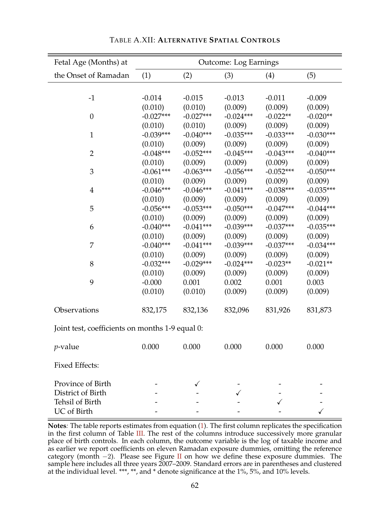| Fetal Age (Months) at                           | <b>Outcome: Log Earnings</b> |             |             |             |             |  |  |  |
|-------------------------------------------------|------------------------------|-------------|-------------|-------------|-------------|--|--|--|
| the Onset of Ramadan                            | (1)                          | (2)         | (3)         | (4)         | (5)         |  |  |  |
|                                                 |                              |             |             |             |             |  |  |  |
| $-1$                                            | $-0.014$                     | $-0.015$    | $-0.013$    | $-0.011$    | $-0.009$    |  |  |  |
|                                                 | (0.010)                      | (0.010)     | (0.009)     | (0.009)     | (0.009)     |  |  |  |
| $\boldsymbol{0}$                                | $-0.027***$                  | $-0.027***$ | $-0.024***$ | $-0.022**$  | $-0.020**$  |  |  |  |
|                                                 | (0.010)                      | (0.010)     | (0.009)     | (0.009)     | (0.009)     |  |  |  |
| $\mathbf{1}$                                    | $-0.039***$                  | $-0.040***$ | $-0.035***$ | $-0.033***$ | $-0.030***$ |  |  |  |
|                                                 | (0.010)                      | (0.009)     | (0.009)     | (0.009)     | (0.009)     |  |  |  |
| $\overline{2}$                                  | $-0.048***$                  | $-0.052***$ | $-0.045***$ | $-0.043***$ | $-0.040***$ |  |  |  |
|                                                 | (0.010)                      | (0.009)     | (0.009)     | (0.009)     | (0.009)     |  |  |  |
| 3                                               | $-0.061***$                  | $-0.063***$ | $-0.056***$ | $-0.052***$ | $-0.050***$ |  |  |  |
|                                                 | (0.010)                      | (0.009)     | (0.009)     | (0.009)     | (0.009)     |  |  |  |
| $\overline{4}$                                  | $-0.046***$                  | $-0.046***$ | $-0.041***$ | $-0.038***$ | $-0.035***$ |  |  |  |
|                                                 | (0.010)                      | (0.009)     | (0.009)     | (0.009)     | (0.009)     |  |  |  |
| 5                                               | $-0.056***$                  | $-0.053***$ | $-0.050***$ | $-0.047***$ | $-0.044***$ |  |  |  |
|                                                 | (0.010)                      | (0.009)     | (0.009)     | (0.009)     | (0.009)     |  |  |  |
| 6                                               | $-0.040***$                  | $-0.041***$ | $-0.039***$ | $-0.037***$ | $-0.035***$ |  |  |  |
|                                                 | (0.010)                      | (0.009)     | (0.009)     | (0.009)     | (0.009)     |  |  |  |
| 7                                               | $-0.040***$                  | $-0.041***$ | $-0.039***$ | $-0.037***$ | $-0.034***$ |  |  |  |
|                                                 | (0.010)                      | (0.009)     | (0.009)     | (0.009)     | (0.009)     |  |  |  |
| 8                                               | $-0.032***$                  | $-0.029***$ | $-0.024***$ | $-0.023**$  | $-0.021**$  |  |  |  |
|                                                 | (0.010)                      | (0.009)     | (0.009)     | (0.009)     | (0.009)     |  |  |  |
| 9                                               | $-0.000$                     | 0.001       | 0.002       | 0.001       | 0.003       |  |  |  |
|                                                 | (0.010)                      | (0.010)     | (0.009)     | (0.009)     | (0.009)     |  |  |  |
| Observations                                    | 832,175                      | 832,136     | 832,096     | 831,926     | 831,873     |  |  |  |
| Joint test, coefficients on months 1-9 equal 0: |                              |             |             |             |             |  |  |  |
| $p$ -value                                      | 0.000                        | 0.000       | 0.000       | 0.000       | 0.000       |  |  |  |
| <b>Fixed Effects:</b>                           |                              |             |             |             |             |  |  |  |
| Province of Birth                               |                              |             |             |             |             |  |  |  |
| District of Birth                               |                              |             |             |             |             |  |  |  |
| Tehsil of Birth                                 |                              |             |             |             |             |  |  |  |
| UC of Birth                                     |                              |             |             |             |             |  |  |  |

| TABLE A.XII: ALTERNATIVE SPATIAL CONTROLS |
|-------------------------------------------|
|-------------------------------------------|

**Notes***:* The table reports estimates from equation (1). The first column replicates the specification in the first column of Table III. The rest of the columns introduce successively more granular place of birth controls. In each column, the outcome variable is the log of taxable income and as earlier we report coefficients on eleven Ramadan exposure dummies, omitting the reference category (month −2). Please see Figure II on how we define these exposure dummies. The sample here includes all three years 2007–2009. Standard errors are in parentheses and clustered at the individual level. \*\*\*, \*\*, and \* denote significance at the 1%, 5%, and 10% levels.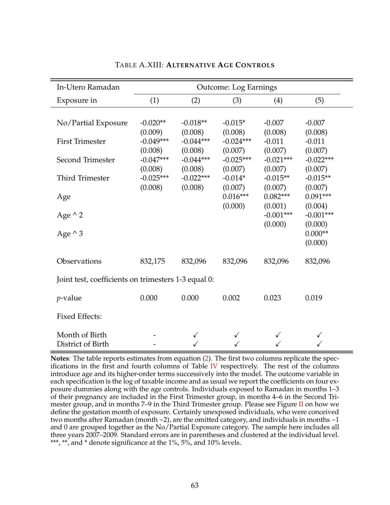| In-Utero Ramadan                                    | <b>Outcome: Log Earnings</b> |                        |                        |                        |                                 |  |  |  |
|-----------------------------------------------------|------------------------------|------------------------|------------------------|------------------------|---------------------------------|--|--|--|
| Exposure in                                         | (1)                          | (2)                    | (3)                    | (4)                    | (5)                             |  |  |  |
|                                                     |                              |                        |                        |                        |                                 |  |  |  |
| No/Partial Exposure                                 | $-0.020**$<br>(0.009)        | $-0.018**$<br>(0.008)  | $-0.015*$<br>(0.008)   | $-0.007$<br>(0.008)    | $-0.007$<br>(0.008)             |  |  |  |
| <b>First Trimester</b>                              | $-0.049***$<br>(0.008)       | $-0.044***$<br>(0.008) | $-0.024***$<br>(0.007) | $-0.011$<br>(0.007)    | $-0.011$<br>(0.007)             |  |  |  |
| Second Trimester                                    | $-0.047***$                  | $-0.044***$            | $-0.025***$            | $-0.021***$            | $-0.022***$                     |  |  |  |
| <b>Third Trimester</b>                              | (0.008)<br>$-0.025***$       | (0.008)<br>$-0.022***$ | (0.007)<br>$-0.014*$   | (0.007)<br>$-0.015**$  | (0.007)<br>$-0.015**$           |  |  |  |
| Age                                                 | (0.008)                      | (0.008)                | (0.007)<br>$0.016***$  | (0.007)<br>$0.082***$  | (0.007)<br>$0.091***$           |  |  |  |
| Age $\wedge$ 2                                      |                              |                        | (0.000)                | (0.001)<br>$-0.001***$ | (0.004)<br>$-0.001***$          |  |  |  |
| Age $\wedge$ 3                                      |                              |                        |                        | (0.000)                | (0.000)<br>$0.000**$<br>(0.000) |  |  |  |
| Observations                                        | 832,175                      | 832,096                | 832,096                | 832,096                | 832,096                         |  |  |  |
| Joint test, coefficients on trimesters 1-3 equal 0: |                              |                        |                        |                        |                                 |  |  |  |
| <i>p</i> -value                                     | 0.000                        | 0.000                  | 0.002                  | 0.023                  | 0.019                           |  |  |  |
| <b>Fixed Effects:</b>                               |                              |                        |                        |                        |                                 |  |  |  |
| Month of Birth<br>District of Birth                 |                              |                        |                        |                        |                                 |  |  |  |

## TABLE A.XIII: **ALTERNATIVE AGE CONTROLS**

**Notes***:* The table reports estimates from equation (2). The first two columns replicate the specifications in the first and fourth columns of Table  $IV$  respectively. The rest of the columns introduce age and its higher-order terms successively into the model. The outcome variable in each specification is the log of taxable income and as usual we report the coefficients on four exposure dummies along with the age controls. Individuals exposed to Ramadan in months 1–3 of their pregnancy are included in the First Trimester group, in months 4–6 in the Second Trimester group, and in months 7–9 in the Third Trimester group. Please see Figure  $\Pi$  on how we define the gestation month of exposure. Certainly unexposed individuals, who were conceived two months after Ramadan (month −2), are the omitted category, and individuals in months −1 and 0 are grouped together as the No/Partial Exposure category. The sample here includes all three years 2007–2009. Standard errors are in parentheses and clustered at the individual level. \*\*\*, \*\*, and \* denote significance at the 1%, 5%, and 10% levels.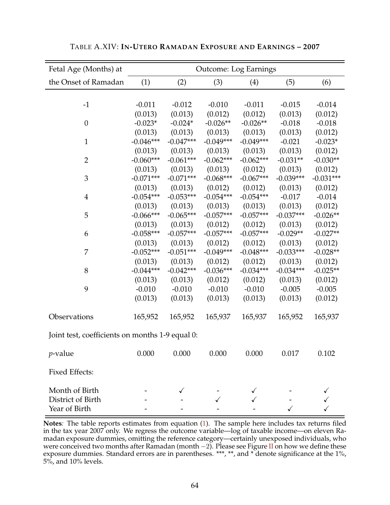| Fetal Age (Months) at                           |             |             |             | <b>Outcome: Log Earnings</b> |             |             |
|-------------------------------------------------|-------------|-------------|-------------|------------------------------|-------------|-------------|
| the Onset of Ramadan                            | (1)         | (2)         | (3)         | (4)                          | (5)         | (6)         |
|                                                 |             |             |             |                              |             |             |
| $-1$                                            | $-0.011$    | $-0.012$    | $-0.010$    | $-0.011$                     | $-0.015$    | $-0.014$    |
|                                                 | (0.013)     | (0.013)     | (0.012)     | (0.012)                      | (0.013)     | (0.012)     |
| $\boldsymbol{0}$                                | $-0.023*$   | $-0.024*$   | $-0.026**$  | $-0.026**$                   | $-0.018$    | $-0.018$    |
|                                                 | (0.013)     | (0.013)     | (0.013)     | (0.013)                      | (0.013)     | (0.012)     |
| $\mathbf{1}$                                    | $-0.046***$ | $-0.047***$ | $-0.049***$ | $-0.049***$                  | $-0.021$    | $-0.023*$   |
|                                                 | (0.013)     | (0.013)     | (0.013)     | (0.013)                      | (0.013)     | (0.012)     |
| $\overline{2}$                                  | $-0.060***$ | $-0.061***$ | $-0.062***$ | $-0.062***$                  | $-0.031**$  | $-0.030**$  |
|                                                 | (0.013)     | (0.013)     | (0.013)     | (0.012)                      | (0.013)     | (0.012)     |
| 3                                               | $-0.071***$ | $-0.071***$ | $-0.068***$ | $-0.067***$                  | $-0.039***$ | $-0.031***$ |
|                                                 | (0.013)     | (0.013)     | (0.012)     | (0.012)                      | (0.013)     | (0.012)     |
| $\overline{4}$                                  | $-0.054***$ | $-0.053***$ | $-0.054***$ | $-0.054***$                  | $-0.017$    | $-0.014$    |
|                                                 | (0.013)     | (0.013)     | (0.013)     | (0.013)                      | (0.013)     | (0.012)     |
| 5                                               | $-0.066***$ | $-0.065***$ | $-0.057***$ | $-0.057***$                  | $-0.037***$ | $-0.026**$  |
|                                                 | (0.013)     | (0.013)     | (0.012)     | (0.012)                      | (0.013)     | (0.012)     |
| 6                                               | $-0.058***$ | $-0.057***$ | $-0.057***$ | $-0.057***$                  | $-0.029**$  | $-0.027**$  |
|                                                 | (0.013)     | (0.013)     | (0.012)     | (0.012)                      | (0.013)     | (0.012)     |
| $\overline{7}$                                  | $-0.052***$ | $-0.051***$ | $-0.049***$ | $-0.048***$                  | $-0.033***$ | $-0.028**$  |
|                                                 | (0.013)     | (0.013)     | (0.012)     | (0.012)                      | (0.013)     | (0.012)     |
| 8                                               | $-0.044***$ | $-0.042***$ | $-0.036***$ | $-0.034***$                  | $-0.034***$ | $-0.025**$  |
|                                                 | (0.013)     | (0.013)     | (0.012)     | (0.012)                      | (0.013)     | (0.012)     |
| 9                                               | $-0.010$    | $-0.010$    | $-0.010$    | $-0.010$                     | $-0.005$    | $-0.005$    |
|                                                 | (0.013)     | (0.013)     | (0.013)     | (0.013)                      | (0.013)     | (0.012)     |
| Observations                                    | 165,952     | 165,952     | 165,937     | 165,937                      | 165,952     | 165,937     |
| Joint test, coefficients on months 1-9 equal 0: |             |             |             |                              |             |             |
| $p$ -value                                      | 0.000       | 0.000       | 0.000       | 0.000                        | 0.017       | 0.102       |
| <b>Fixed Effects:</b>                           |             |             |             |                              |             |             |
| Month of Birth                                  |             |             |             |                              |             |             |
| District of Birth                               |             |             |             |                              |             |             |
| Year of Birth                                   |             |             |             |                              |             |             |

TABLE A.XIV: **IN-UTERO RAMADAN EXPOSURE AND EARNINGS – 2007**

**Notes***:* The table reports estimates from equation (1). The sample here includes tax returns filed in the tax year 2007 only. We regress the outcome variable—log of taxable income—on eleven Ramadan exposure dummies, omitting the reference category—certainly unexposed individuals, who were conceived two months after Ramadan (month  $-2$ ). Please see Figure II on how we define these exposure dummies. Standard errors are in parentheses. \*\*\*, \*\*, and \* denote significance at the 1%, 5%, and 10% levels.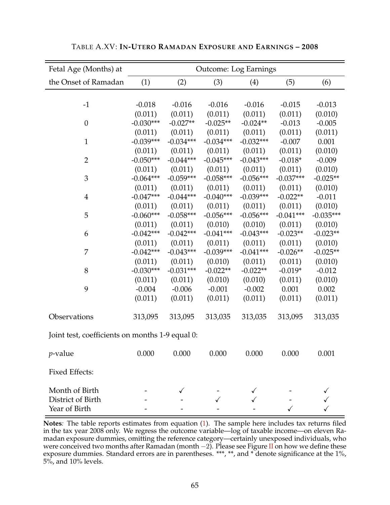| Fetal Age (Months) at                           | <b>Outcome: Log Earnings</b> |             |             |             |             |             |  |
|-------------------------------------------------|------------------------------|-------------|-------------|-------------|-------------|-------------|--|
| the Onset of Ramadan                            | (1)                          | (2)         | (3)         | (4)         | (5)         | (6)         |  |
|                                                 |                              |             |             |             |             |             |  |
| $-1$                                            | $-0.018$                     | $-0.016$    | $-0.016$    | $-0.016$    | $-0.015$    | $-0.013$    |  |
|                                                 | (0.011)                      | (0.011)     | (0.011)     | (0.011)     | (0.011)     | (0.010)     |  |
| $\boldsymbol{0}$                                | $-0.030***$                  | $-0.027**$  | $-0.025**$  | $-0.024**$  | $-0.013$    | $-0.005$    |  |
|                                                 | (0.011)                      | (0.011)     | (0.011)     | (0.011)     | (0.011)     | (0.011)     |  |
| $\mathbf{1}$                                    | $-0.039***$                  | $-0.034***$ | $-0.034***$ | $-0.032***$ | $-0.007$    | 0.001       |  |
|                                                 | (0.011)                      | (0.011)     | (0.011)     | (0.011)     | (0.011)     | (0.010)     |  |
| $\overline{2}$                                  | $-0.050***$                  | $-0.044***$ | $-0.045***$ | $-0.043***$ | $-0.018*$   | $-0.009$    |  |
|                                                 | (0.011)                      | (0.011)     | (0.011)     | (0.011)     | (0.011)     | (0.010)     |  |
| 3                                               | $-0.064***$                  | $-0.059***$ | $-0.058***$ | $-0.056***$ | $-0.037***$ | $-0.025**$  |  |
|                                                 | (0.011)                      | (0.011)     | (0.011)     | (0.011)     | (0.011)     | (0.010)     |  |
| $\overline{4}$                                  | $-0.047***$                  | $-0.044***$ | $-0.040***$ | $-0.039***$ | $-0.022**$  | $-0.011$    |  |
|                                                 | (0.011)                      | (0.011)     | (0.011)     | (0.011)     | (0.011)     | (0.010)     |  |
| 5                                               | $-0.060***$                  | $-0.058***$ | $-0.056***$ | $-0.056***$ | $-0.041***$ | $-0.035***$ |  |
|                                                 | (0.011)                      | (0.011)     | (0.010)     | (0.010)     | (0.011)     | (0.010)     |  |
| 6                                               | $-0.042***$                  | $-0.042***$ | $-0.041***$ | $-0.043***$ | $-0.023**$  | $-0.023**$  |  |
|                                                 | (0.011)                      | (0.011)     | (0.011)     | (0.011)     | (0.011)     | (0.010)     |  |
| 7                                               | $-0.042***$                  | $-0.043***$ | $-0.039***$ | $-0.041***$ | $-0.026**$  | $-0.025**$  |  |
|                                                 | (0.011)                      | (0.011)     | (0.010)     | (0.011)     | (0.011)     | (0.010)     |  |
| 8                                               | $-0.030***$                  | $-0.031***$ | $-0.022**$  | $-0.022**$  | $-0.019*$   | $-0.012$    |  |
|                                                 | (0.011)                      | (0.011)     | (0.010)     | (0.010)     | (0.011)     | (0.010)     |  |
| 9                                               | $-0.004$                     | $-0.006$    | $-0.001$    | $-0.002$    | 0.001       | 0.002       |  |
|                                                 | (0.011)                      | (0.011)     | (0.011)     | (0.011)     | (0.011)     | (0.011)     |  |
| Observations                                    | 313,095                      | 313,095     | 313,035     | 313,035     | 313,095     | 313,035     |  |
| Joint test, coefficients on months 1-9 equal 0: |                              |             |             |             |             |             |  |
| $p$ -value                                      | 0.000                        | 0.000       | 0.000       | 0.000       | 0.000       | 0.001       |  |
| <b>Fixed Effects:</b>                           |                              |             |             |             |             |             |  |
| Month of Birth                                  |                              |             |             |             |             |             |  |
| District of Birth                               |                              |             |             |             |             |             |  |
| Year of Birth                                   |                              |             |             |             |             |             |  |

TABLE A.XV: **IN-UTERO RAMADAN EXPOSURE AND EARNINGS – 2008**

**Notes***:* The table reports estimates from equation (1). The sample here includes tax returns filed in the tax year 2008 only. We regress the outcome variable—log of taxable income—on eleven Ramadan exposure dummies, omitting the reference category—certainly unexposed individuals, who were conceived two months after Ramadan (month  $-2$ ). Please see Figure II on how we define these exposure dummies. Standard errors are in parentheses. \*\*\*, \*\*, and \* denote significance at the 1%, 5%, and 10% levels.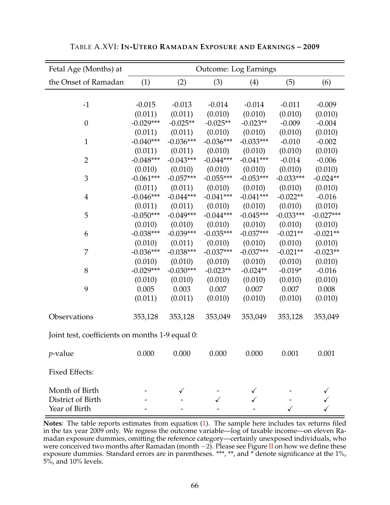| Fetal Age (Months) at                           | <b>Outcome: Log Earnings</b> |             |             |             |             |             |  |
|-------------------------------------------------|------------------------------|-------------|-------------|-------------|-------------|-------------|--|
| the Onset of Ramadan                            | (1)                          | (2)         | (3)         | (4)         | (5)         | (6)         |  |
|                                                 |                              |             |             |             |             |             |  |
| $-1$                                            | $-0.015$                     | $-0.013$    | $-0.014$    | $-0.014$    | $-0.011$    | $-0.009$    |  |
|                                                 | (0.011)                      | (0.011)     | (0.010)     | (0.010)     | (0.010)     | (0.010)     |  |
| $\boldsymbol{0}$                                | $-0.029***$                  | $-0.025**$  | $-0.025**$  | $-0.023**$  | $-0.009$    | $-0.004$    |  |
|                                                 | (0.011)                      | (0.011)     | (0.010)     | (0.010)     | (0.010)     | (0.010)     |  |
| $\mathbf{1}$                                    | $-0.040***$                  | $-0.036***$ | $-0.036***$ | $-0.033***$ | $-0.010$    | $-0.002$    |  |
|                                                 | (0.011)                      | (0.011)     | (0.010)     | (0.010)     | (0.010)     | (0.010)     |  |
| $\overline{2}$                                  | $-0.048***$                  | $-0.043***$ | $-0.044***$ | $-0.041***$ | $-0.014$    | $-0.006$    |  |
|                                                 | (0.010)                      | (0.010)     | (0.010)     | (0.010)     | (0.010)     | (0.010)     |  |
| 3                                               | $-0.061***$                  | $-0.057***$ | $-0.055***$ | $-0.053***$ | $-0.033***$ | $-0.024**$  |  |
|                                                 | (0.011)                      | (0.011)     | (0.010)     | (0.010)     | (0.010)     | (0.010)     |  |
| $\overline{4}$                                  | $-0.046***$                  | $-0.044***$ | $-0.041***$ | $-0.041***$ | $-0.022**$  | $-0.016$    |  |
|                                                 | (0.011)                      | (0.011)     | (0.010)     | (0.010)     | (0.010)     | (0.010)     |  |
| 5                                               | $-0.050***$                  | $-0.049***$ | $-0.044***$ | $-0.045***$ | $-0.033***$ | $-0.027***$ |  |
|                                                 | (0.010)                      | (0.010)     | (0.010)     | (0.010)     | (0.010)     | (0.010)     |  |
| 6                                               | $-0.038***$                  | $-0.039***$ | $-0.035***$ | $-0.037***$ | $-0.021**$  | $-0.021**$  |  |
|                                                 | (0.010)                      | (0.011)     | (0.010)     | (0.010)     | (0.010)     | (0.010)     |  |
| 7                                               | $-0.036***$                  | $-0.038***$ | $-0.037***$ | $-0.037***$ | $-0.021**$  | $-0.023**$  |  |
|                                                 | (0.010)                      | (0.010)     | (0.010)     | (0.010)     | (0.010)     | (0.010)     |  |
| 8                                               | $-0.029***$                  | $-0.030***$ | $-0.023**$  | $-0.024**$  | $-0.019*$   | $-0.016$    |  |
|                                                 | (0.010)                      | (0.010)     | (0.010)     | (0.010)     | (0.010)     | (0.010)     |  |
| 9                                               | 0.005                        | 0.003       | 0.007       | 0.007       | 0.007       | 0.008       |  |
|                                                 | (0.011)                      | (0.011)     | (0.010)     | (0.010)     | (0.010)     | (0.010)     |  |
| Observations                                    | 353,128                      | 353,128     | 353,049     | 353,049     | 353,128     | 353,049     |  |
| Joint test, coefficients on months 1-9 equal 0: |                              |             |             |             |             |             |  |
| $p$ -value                                      | 0.000                        | 0.000       | 0.000       | 0.000       | 0.001       | 0.001       |  |
| <b>Fixed Effects:</b>                           |                              |             |             |             |             |             |  |
| Month of Birth                                  |                              |             |             |             |             |             |  |
| District of Birth                               |                              |             |             |             |             |             |  |
| Year of Birth                                   |                              |             |             |             |             |             |  |

TABLE A.XVI: **IN-UTERO RAMADAN EXPOSURE AND EARNINGS – 2009**

**Notes***:* The table reports estimates from equation (1). The sample here includes tax returns filed in the tax year 2009 only. We regress the outcome variable—log of taxable income—on eleven Ramadan exposure dummies, omitting the reference category—certainly unexposed individuals, who were conceived two months after Ramadan (month  $-2$ ). Please see Figure II on how we define these exposure dummies. Standard errors are in parentheses. \*\*\*, \*\*, and \* denote significance at the 1%, 5%, and 10% levels.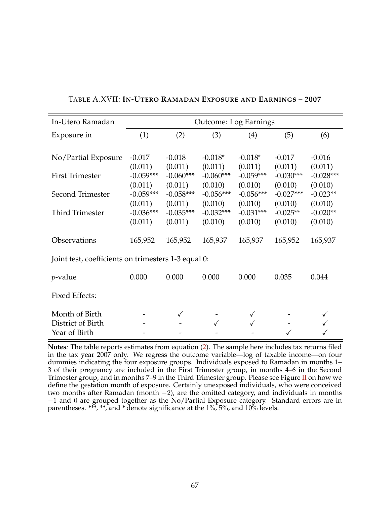| In-Utero Ramadan                                     |                                   | <b>Outcome: Log Earnings</b>      |                                   |                                   |                                   |                                  |  |
|------------------------------------------------------|-----------------------------------|-----------------------------------|-----------------------------------|-----------------------------------|-----------------------------------|----------------------------------|--|
| Exposure in                                          | (1)                               | (2)                               | (3)                               | (4)                               | (5)                               | (6)                              |  |
| No/Partial Exposure                                  | $-0.017$                          | $-0.018$                          | $-0.018*$                         | $-0.018*$                         | $-0.017$                          | $-0.016$                         |  |
| <b>First Trimester</b>                               | (0.011)<br>$-0.059***$            | (0.011)<br>$-0.060***$            | (0.011)<br>$-0.060***$            | (0.011)<br>$-0.059***$            | (0.011)<br>$-0.030***$            | (0.011)<br>$-0.028***$           |  |
| Second Trimester                                     | (0.011)<br>$-0.059***$<br>(0.011) | (0.011)<br>$-0.058***$<br>(0.011) | (0.010)<br>$-0.056***$<br>(0.010) | (0.010)<br>$-0.056***$<br>(0.010) | (0.010)<br>$-0.027***$<br>(0.010) | (0.010)<br>$-0.023**$<br>(0.010) |  |
| Third Trimester                                      | $-0.036***$<br>(0.011)            | $-0.035***$<br>(0.011)            | $-0.032***$<br>(0.010)            | $-0.031***$<br>(0.010)            | $-0.025**$<br>(0.010)             | $-0.020**$<br>(0.010)            |  |
| Observations                                         | 165,952                           | 165,952                           | 165,937                           | 165,937                           | 165,952                           | 165,937                          |  |
| Joint test, coefficients on trimesters 1-3 equal 0:  |                                   |                                   |                                   |                                   |                                   |                                  |  |
| <i>p</i> -value                                      | 0.000                             | 0.000                             | 0.000                             | 0.000                             | 0.035                             | 0.044                            |  |
| <b>Fixed Effects:</b>                                |                                   |                                   |                                   |                                   |                                   |                                  |  |
| Month of Birth<br>District of Birth<br>Year of Birth |                                   |                                   |                                   |                                   |                                   |                                  |  |

# TABLE A.XVII: **IN-UTERO RAMADAN EXPOSURE AND EARNINGS – 2007**

**Notes***:* The table reports estimates from equation (2). The sample here includes tax returns filed in the tax year 2007 only. We regress the outcome variable—log of taxable income—on four dummies indicating the four exposure groups. Individuals exposed to Ramadan in months 1– 3 of their pregnancy are included in the First Trimester group, in months 4–6 in the Second Trimester group, and in months 7–9 in the Third Trimester group. Please see Figure II on how we define the gestation month of exposure. Certainly unexposed individuals, who were conceived two months after Ramadan (month −2), are the omitted category, and individuals in months −1 and 0 are grouped together as the No/Partial Exposure category. Standard errors are in parentheses. \*\*\*, \*\*, and \* denote significance at the 1%, 5%, and 10% levels.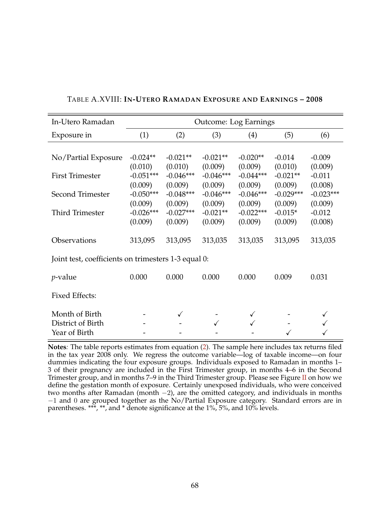| In-Utero Ramadan                                    | <b>Outcome: Log Earnings</b> |                        |                        |                        |                       |                     |  |
|-----------------------------------------------------|------------------------------|------------------------|------------------------|------------------------|-----------------------|---------------------|--|
| Exposure in                                         | (1)                          | (2)                    | (3)                    | (4)                    | (5)                   | (6)                 |  |
|                                                     |                              |                        |                        |                        |                       |                     |  |
| No/Partial Exposure                                 | $-0.024**$                   | $-0.021**$             | $-0.021**$             | $-0.020**$             | $-0.014$              | $-0.009$            |  |
| <b>First Trimester</b>                              | (0.010)<br>$-0.051***$       | (0.010)<br>$-0.046***$ | (0.009)<br>$-0.046***$ | (0.009)<br>$-0.044***$ | (0.010)<br>$-0.021**$ | (0.009)<br>$-0.011$ |  |
|                                                     | (0.009)                      | (0.009)                | (0.009)                | (0.009)                | (0.009)               | (0.008)             |  |
| Second Trimester                                    | $-0.050***$                  | $-0.048***$            | $-0.046***$            | $-0.046***$            | $-0.029***$           | $-0.023***$         |  |
|                                                     | (0.009)                      | (0.009)                | (0.009)                | (0.009)                | (0.009)               | (0.009)             |  |
| Third Trimester                                     | $-0.026***$                  | $-0.027***$            | $-0.021**$             | $-0.022***$            | $-0.015*$             | $-0.012$            |  |
|                                                     | (0.009)                      | (0.009)                | (0.009)                | (0.009)                | (0.009)               | (0.008)             |  |
| Observations                                        | 313,095                      | 313,095                | 313,035                | 313,035                | 313,095               | 313,035             |  |
| Joint test, coefficients on trimesters 1-3 equal 0: |                              |                        |                        |                        |                       |                     |  |
| <i>p</i> -value                                     | 0.000                        | 0.000                  | 0.000                  | 0.000                  | 0.009                 | 0.031               |  |
| <b>Fixed Effects:</b>                               |                              |                        |                        |                        |                       |                     |  |
| Month of Birth                                      |                              |                        |                        |                        |                       |                     |  |
| District of Birth                                   |                              |                        |                        |                        |                       |                     |  |
| Year of Birth                                       |                              |                        |                        |                        |                       |                     |  |

# TABLE A.XVIII: **IN-UTERO RAMADAN EXPOSURE AND EARNINGS – 2008**

**Notes***:* The table reports estimates from equation (2). The sample here includes tax returns filed in the tax year 2008 only. We regress the outcome variable—log of taxable income—on four dummies indicating the four exposure groups. Individuals exposed to Ramadan in months 1– 3 of their pregnancy are included in the First Trimester group, in months 4–6 in the Second Trimester group, and in months 7–9 in the Third Trimester group. Please see Figure II on how we define the gestation month of exposure. Certainly unexposed individuals, who were conceived two months after Ramadan (month −2), are the omitted category, and individuals in months −1 and 0 are grouped together as the No/Partial Exposure category. Standard errors are in parentheses. \*\*\*, \*\*, and \* denote significance at the 1%, 5%, and 10% levels.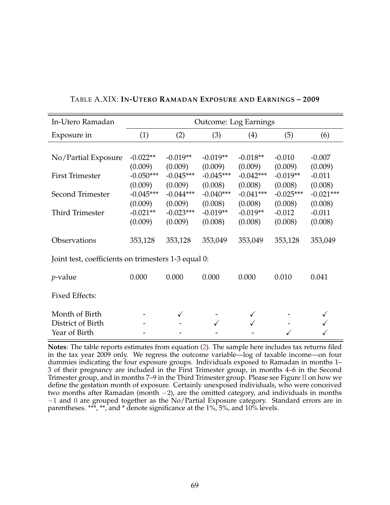| In-Utero Ramadan                                    | <b>Outcome: Log Earnings</b> |                        |                        |                        |                       |                     |  |
|-----------------------------------------------------|------------------------------|------------------------|------------------------|------------------------|-----------------------|---------------------|--|
| Exposure in                                         | (1)                          | (2)                    | (3)                    | (4)                    | (5)                   | (6)                 |  |
|                                                     |                              |                        |                        |                        |                       |                     |  |
| No/Partial Exposure                                 | $-0.022**$                   | $-0.019**$             | $-0.019**$             | $-0.018**$             | $-0.010$              | $-0.007$            |  |
| <b>First Trimester</b>                              | (0.009)<br>$-0.050***$       | (0.009)<br>$-0.045***$ | (0.009)<br>$-0.045***$ | (0.009)<br>$-0.042***$ | (0.009)<br>$-0.019**$ | (0.009)<br>$-0.011$ |  |
|                                                     | (0.009)                      | (0.009)                | (0.008)                | (0.008)                | (0.008)               | (0.008)             |  |
| Second Trimester                                    | $-0.045***$                  | $-0.044***$            | $-0.040***$            | $-0.041***$            | $-0.025***$           | $-0.021***$         |  |
|                                                     | (0.009)                      | (0.009)                | (0.008)                | (0.008)                | (0.008)               | (0.008)             |  |
| Third Trimester                                     | $-0.021**$                   | $-0.023***$            | $-0.019**$             | $-0.019**$             | $-0.012$              | $-0.011$            |  |
|                                                     | (0.009)                      | (0.009)                | (0.008)                | (0.008)                | (0.008)               | (0.008)             |  |
| Observations                                        | 353,128                      | 353,128                | 353,049                | 353,049                | 353,128               | 353,049             |  |
| Joint test, coefficients on trimesters 1-3 equal 0: |                              |                        |                        |                        |                       |                     |  |
| <i>p</i> -value                                     | 0.000                        | 0.000                  | 0.000                  | 0.000                  | 0.010                 | 0.041               |  |
| <b>Fixed Effects:</b>                               |                              |                        |                        |                        |                       |                     |  |
| Month of Birth                                      |                              |                        |                        |                        |                       |                     |  |
| District of Birth                                   |                              |                        |                        |                        |                       |                     |  |
| Year of Birth                                       |                              |                        |                        |                        |                       |                     |  |

# TABLE A.XIX: **IN-UTERO RAMADAN EXPOSURE AND EARNINGS – 2009**

**Notes***:* The table reports estimates from equation (2). The sample here includes tax returns filed in the tax year 2009 only. We regress the outcome variable—log of taxable income—on four dummies indicating the four exposure groups. Individuals exposed to Ramadan in months 1– 3 of their pregnancy are included in the First Trimester group, in months 4–6 in the Second Trimester group, and in months 7–9 in the Third Trimester group. Please see Figure II on how we define the gestation month of exposure. Certainly unexposed individuals, who were conceived two months after Ramadan (month −2), are the omitted category, and individuals in months −1 and 0 are grouped together as the No/Partial Exposure category. Standard errors are in parentheses. \*\*\*, \*\*, and \* denote significance at the 1%, 5%, and 10% levels.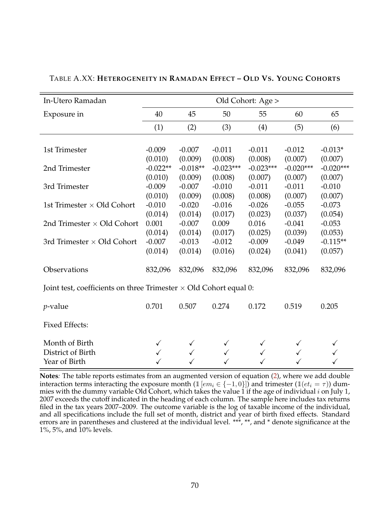| In-Utero Ramadan                                                         | Old Cohort: Age >     |                       |                        |                        |                        |                        |
|--------------------------------------------------------------------------|-----------------------|-----------------------|------------------------|------------------------|------------------------|------------------------|
| Exposure in                                                              | 40                    | 45                    | 50                     | 55                     | 60                     | 65                     |
|                                                                          | (1)                   | (2)                   | (3)                    | (4)                    | (5)                    | (6)                    |
|                                                                          |                       |                       |                        |                        |                        |                        |
| 1st Trimester                                                            | $-0.009$              | $-0.007$              | $-0.011$               | $-0.011$               | $-0.012$               | $-0.013*$              |
|                                                                          | (0.010)               | (0.009)               | (0.008)<br>$-0.023***$ | (0.008)                | (0.007)                | (0.007)                |
| 2nd Trimester                                                            | $-0.022**$<br>(0.010) | $-0.018**$<br>(0.009) | (0.008)                | $-0.023***$<br>(0.007) | $-0.020***$<br>(0.007) | $-0.020***$<br>(0.007) |
| 3rd Trimester                                                            | $-0.009$              | $-0.007$              | $-0.010$               | $-0.011$               | $-0.011$               | $-0.010$               |
|                                                                          | (0.010)               | (0.009)               | (0.008)                | (0.008)                | (0.007)                | (0.007)                |
| 1st Trimester $\times$ Old Cohort                                        | $-0.010$              | $-0.020$              | $-0.016$               | $-0.026$               | $-0.055$               | $-0.073$               |
|                                                                          | (0.014)               | (0.014)               | (0.017)                | (0.023)                | (0.037)                | (0.054)                |
| 2nd Trimester $\times$ Old Cohort                                        | 0.001                 | $-0.007$              | 0.009                  | 0.016                  | $-0.041$               | $-0.053$               |
|                                                                          | (0.014)               | (0.014)               | (0.017)                | (0.025)                | (0.039)                | (0.053)                |
| 3rd Trimester $\times$ Old Cohort                                        | $-0.007$              | $-0.013$              | $-0.012$               | $-0.009$               | $-0.049$               | $-0.115**$             |
|                                                                          | (0.014)               | (0.014)               | (0.016)                | (0.024)                | (0.041)                | (0.057)                |
| Observations                                                             | 832,096               | 832,096               | 832,096                | 832,096                | 832,096                | 832,096                |
| Joint test, coefficients on three Trimester $\times$ Old Cohort equal 0: |                       |                       |                        |                        |                        |                        |
| $p$ -value                                                               | 0.701                 | 0.507                 | 0.274                  | 0.172                  | 0.519                  | 0.205                  |
| <b>Fixed Effects:</b>                                                    |                       |                       |                        |                        |                        |                        |
| Month of Birth                                                           | $\checkmark$          |                       |                        |                        |                        |                        |
| District of Birth                                                        |                       | $\checkmark$          |                        |                        |                        |                        |
| Year of Birth                                                            |                       |                       |                        |                        |                        |                        |

TABLE A.XX: **HETEROGENEITY IN RAMADAN EFFECT – OLD VS. YOUNG COHORTS**

**Notes***:* The table reports estimates from an augmented version of equation (2), where we add double interaction terms interacting the exposure month  $(1 [em_i \in \{-1, 0\}])$  and trimester  $(1 (et_i = \tau))$  dummies with the dummy variable Old Cohort, which takes the value 1 if the age of individual  $i$  on July 1, 2007 exceeds the cutoff indicated in the heading of each column. The sample here includes tax returns filed in the tax years 2007–2009. The outcome variable is the log of taxable income of the individual, and all specifications include the full set of month, district and year of birth fixed effects. Standard errors are in parentheses and clustered at the individual level. \*\*\*, \*\*, and \* denote significance at the 1%, 5%, and 10% levels.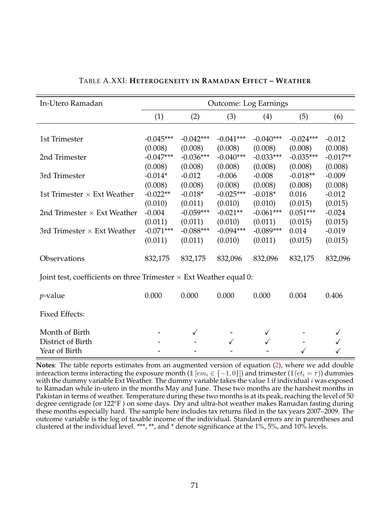| In-Utero Ramadan                                                          | <b>Outcome: Log Earnings</b> |              |             |              |             |            |
|---------------------------------------------------------------------------|------------------------------|--------------|-------------|--------------|-------------|------------|
|                                                                           | (1)                          | (2)          | (3)         | (4)          | (5)         | (6)        |
|                                                                           |                              |              |             |              |             |            |
| 1st Trimester                                                             | $-0.045***$                  | $-0.042***$  | $-0.041***$ | $-0.040***$  | $-0.024***$ | $-0.012$   |
|                                                                           | (0.008)                      | (0.008)      | (0.008)     | (0.008)      | (0.008)     | (0.008)    |
| 2nd Trimester                                                             | $-0.047***$                  | $-0.036***$  | $-0.040***$ | $-0.033***$  | $-0.035***$ | $-0.017**$ |
|                                                                           | (0.008)                      | (0.008)      | (0.008)     | (0.008)      | (0.008)     | (0.008)    |
| 3rd Trimester                                                             | $-0.014*$                    | $-0.012$     | $-0.006$    | $-0.008$     | $-0.018**$  | $-0.009$   |
|                                                                           | (0.008)                      | (0.008)      | (0.008)     | (0.008)      | (0.008)     | (0.008)    |
| 1st Trimester $\times$ Ext Weather                                        | $-0.022**$                   | $-0.018*$    | $-0.025***$ | $-0.018*$    | 0.016       | $-0.012$   |
|                                                                           | (0.010)                      | (0.011)      | (0.010)     | (0.010)      | (0.015)     | (0.015)    |
| 2nd Trimester $\times$ Ext Weather                                        | $-0.004$                     | $-0.059***$  | $-0.021**$  | $-0.061***$  | $0.051***$  | $-0.024$   |
|                                                                           | (0.011)                      | (0.011)      | (0.010)     | (0.011)      | (0.015)     | (0.015)    |
| 3rd Trimester $\times$ Ext Weather                                        | $-0.071***$                  | $-0.088***$  | $-0.094***$ | $-0.089***$  | 0.014       | $-0.019$   |
|                                                                           | (0.011)                      | (0.011)      | (0.010)     | (0.011)      | (0.015)     | (0.015)    |
| Observations                                                              | 832,175                      | 832,175      | 832,096     | 832,096      | 832,175     | 832,096    |
| Joint test, coefficients on three Trimester $\times$ Ext Weather equal 0: |                              |              |             |              |             |            |
| $p$ -value                                                                | 0.000                        | 0.000        | 0.000       | 0.000        | 0.004       | 0.406      |
| <b>Fixed Effects:</b>                                                     |                              |              |             |              |             |            |
| Month of Birth                                                            |                              | $\checkmark$ |             | $\checkmark$ |             |            |
| District of Birth                                                         |                              |              |             |              |             |            |
| Year of Birth                                                             |                              |              |             |              |             |            |

## TABLE A.XXI: **HETEROGENEITY IN RAMADAN EFFECT – WEATHER**

**Notes***:* The table reports estimates from an augmented version of equation (2), where we add double interaction terms interacting the exposure month (1  $[em_i \in \{-1,0\}]$ ) and trimester (1 $[et_i = \tau$ )) dummies with the dummy variable Ext Weather. The dummy variable takes the value 1 if individual  $i$  was exposed to Ramadan while in-utero in the months May and June. These two months are the harshest months in Pakistan in terms of weather. Temperature during these two months is at its peak, reaching the level of 50 degree centigrade (or 122°F ) on some days. Dry and ultra-hot weather makes Ramadan fasting during these months especially hard. The sample here includes tax returns filed in the tax years 2007–2009. The outcome variable is the log of taxable income of the individual. Standard errors are in parentheses and clustered at the individual level. \*\*\*, \*\*, and \* denote significance at the 1%, 5%, and 10% levels.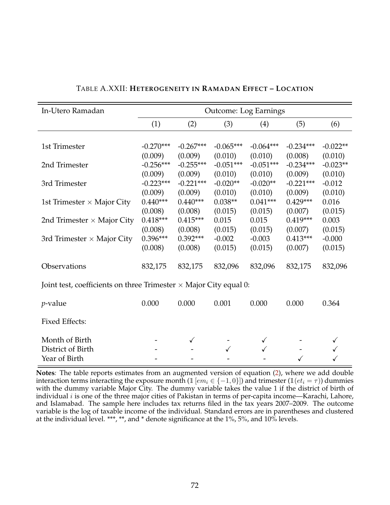| In-Utero Ramadan                                                         | <b>Outcome: Log Earnings</b> |             |             |             |             |            |
|--------------------------------------------------------------------------|------------------------------|-------------|-------------|-------------|-------------|------------|
|                                                                          | (1)                          | (2)         | (3)         | (4)         | (5)         | (6)        |
|                                                                          |                              |             |             |             |             |            |
| 1st Trimester                                                            | $-0.270***$                  | $-0.267***$ | $-0.065***$ | $-0.064***$ | $-0.234***$ | $-0.022**$ |
|                                                                          | (0.009)                      | (0.009)     | (0.010)     | (0.010)     | (0.008)     | (0.010)    |
| 2nd Trimester                                                            | $-0.256***$                  | $-0.255***$ | $-0.051***$ | $-0.051***$ | $-0.234***$ | $-0.023**$ |
|                                                                          | (0.009)                      | (0.009)     | (0.010)     | (0.010)     | (0.009)     | (0.010)    |
| 3rd Trimester                                                            | $-0.223***$                  | $-0.221***$ | $-0.020**$  | $-0.020**$  | $-0.221***$ | $-0.012$   |
|                                                                          | (0.009)                      | (0.009)     | (0.010)     | (0.010)     | (0.009)     | (0.010)    |
| 1st Trimester $\times$ Major City                                        | $0.440***$                   | $0.440***$  | $0.038**$   | $0.041***$  | $0.429***$  | 0.016      |
|                                                                          | (0.008)                      | (0.008)     | (0.015)     | (0.015)     | (0.007)     | (0.015)    |
| 2nd Trimester $\times$ Major City                                        | $0.418***$                   | $0.415***$  | 0.015       | 0.015       | $0.419***$  | 0.003      |
|                                                                          | (0.008)                      | (0.008)     | (0.015)     | (0.015)     | (0.007)     | (0.015)    |
| 3rd Trimester $\times$ Major City                                        | $0.396***$                   | $0.392***$  | $-0.002$    | $-0.003$    | $0.413***$  | $-0.000$   |
|                                                                          | (0.008)                      | (0.008)     | (0.015)     | (0.015)     | (0.007)     | (0.015)    |
| Observations                                                             | 832,175                      | 832,175     | 832,096     | 832,096     | 832,175     | 832,096    |
|                                                                          |                              |             |             |             |             |            |
| Joint test, coefficients on three Trimester $\times$ Major City equal 0: |                              |             |             |             |             |            |
| $p$ -value                                                               | 0.000                        | 0.000       | 0.001       | 0.000       | 0.000       | 0.364      |
| <b>Fixed Effects:</b>                                                    |                              |             |             |             |             |            |
| Month of Birth                                                           |                              | ✓           |             |             |             |            |
| District of Birth                                                        |                              |             |             |             |             |            |
| Year of Birth                                                            |                              |             |             |             |             |            |

TABLE A.XXII: **HETEROGENEITY IN RAMADAN EFFECT – LOCATION**

**Notes***:* The table reports estimates from an augmented version of equation (2), where we add double interaction terms interacting the exposure month (1  $[em_i \in \{-1,0\}]$ ) and trimester (1 $[et_i = \tau$ )) dummies with the dummy variable Major City. The dummy variable takes the value 1 if the district of birth of individual  $i$  is one of the three major cities of Pakistan in terms of per-capita income—Karachi, Lahore, and Islamabad. The sample here includes tax returns filed in the tax years 2007–2009. The outcome variable is the log of taxable income of the individual. Standard errors are in parentheses and clustered at the individual level. \*\*\*, \*\*, and \* denote significance at the 1%, 5%, and 10% levels.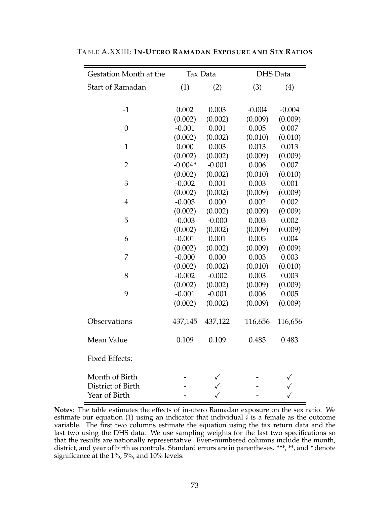| Gestation Month at the | Tax Data  |          |          | <b>DHS</b> Data |
|------------------------|-----------|----------|----------|-----------------|
| Start of Ramadan       | (1)       | (2)      | (3)      | (4)             |
|                        |           |          |          |                 |
| $-1$                   | 0.002     | 0.003    | $-0.004$ | $-0.004$        |
|                        | (0.002)   | (0.002)  | (0.009)  | (0.009)         |
| $\boldsymbol{0}$       | $-0.001$  | 0.001    | 0.005    | 0.007           |
|                        | (0.002)   | (0.002)  | (0.010)  | (0.010)         |
| $\mathbf{1}$           | 0.000     | 0.003    | 0.013    | 0.013           |
|                        | (0.002)   | (0.002)  | (0.009)  | (0.009)         |
| $\overline{2}$         | $-0.004*$ | $-0.001$ | 0.006    | 0.007           |
|                        | (0.002)   | (0.002)  | (0.010)  | (0.010)         |
| 3                      | $-0.002$  | 0.001    | 0.003    | 0.001           |
|                        | (0.002)   | (0.002)  | (0.009)  | (0.009)         |
| $\overline{4}$         | $-0.003$  | 0.000    | 0.002    | 0.002           |
|                        | (0.002)   | (0.002)  | (0.009)  | (0.009)         |
| 5                      | $-0.003$  | $-0.000$ | 0.003    | 0.002           |
|                        | (0.002)   | (0.002)  | (0.009)  | (0.009)         |
| 6                      | $-0.001$  | 0.001    | 0.005    | 0.004           |
|                        | (0.002)   | (0.002)  | (0.009)  | (0.009)         |
| 7                      | $-0.000$  | 0.000    | 0.003    | 0.003           |
|                        | (0.002)   | (0.002)  | (0.010)  | (0.010)         |
| 8                      | $-0.002$  | $-0.002$ | 0.003    | 0.003           |
|                        | (0.002)   | (0.002)  | (0.009)  | (0.009)         |
| 9                      | $-0.001$  | $-0.001$ | 0.006    | 0.005           |
|                        | (0.002)   | (0.002)  | (0.009)  | (0.009)         |
| Observations           | 437,145   | 437,122  | 116,656  | 116,656         |
| Mean Value             | 0.109     | 0.109    | 0.483    | 0.483           |
| <b>Fixed Effects:</b>  |           |          |          |                 |
| Month of Birth         |           |          |          |                 |
| District of Birth      |           |          |          |                 |
| Year of Birth          |           |          |          |                 |

TABLE A.XXIII: **IN-UTERO RAMADAN EXPOSURE AND SEX RATIOS**

**Notes***:* The table estimates the effects of in-utero Ramadan exposure on the sex ratio. We estimate our equation (1) using an indicator that individual  $\hat{i}$  is a female as the outcome variable. The first two columns estimate the equation using the tax return data and the last two using the DHS data. We use sampling weights for the last two specifications so that the results are nationally representative. Even-numbered columns include the month, district, and year of birth as controls. Standard errors are in parentheses. \*\*\*, \*\*, and \* denote significance at the 1%, 5%, and 10% levels.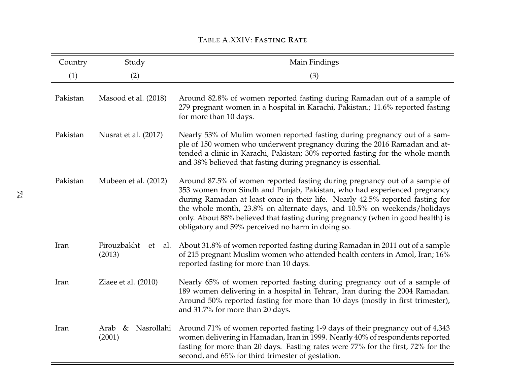## TABLE A.XXIV: **FASTING RATE**

| Country  | Study                              | Main Findings                                                                                                                                                                                                                                                                                                                                                                                                                                               |
|----------|------------------------------------|-------------------------------------------------------------------------------------------------------------------------------------------------------------------------------------------------------------------------------------------------------------------------------------------------------------------------------------------------------------------------------------------------------------------------------------------------------------|
| (1)      | (2)                                | (3)                                                                                                                                                                                                                                                                                                                                                                                                                                                         |
| Pakistan | Masood et al. (2018)               | Around 82.8% of women reported fasting during Ramadan out of a sample of<br>279 pregnant women in a hospital in Karachi, Pakistan.; 11.6% reported fasting<br>for more than 10 days.                                                                                                                                                                                                                                                                        |
| Pakistan | Nusrat et al. (2017)               | Nearly 53% of Mulim women reported fasting during pregnancy out of a sam-<br>ple of 150 women who underwent pregnancy during the 2016 Ramadan and at-<br>tended a clinic in Karachi, Pakistan; 30% reported fasting for the whole month<br>and 38% believed that fasting during pregnancy is essential.                                                                                                                                                     |
| Pakistan | Mubeen et al. (2012)               | Around 87.5% of women reported fasting during pregnancy out of a sample of<br>353 women from Sindh and Punjab, Pakistan, who had experienced pregnancy<br>during Ramadan at least once in their life. Nearly 42.5% reported fasting for<br>the whole month, 23.8% on alternate days, and 10.5% on weekends/holidays<br>only. About 88% believed that fasting during pregnancy (when in good health) is<br>obligatory and 59% perceived no harm in doing so. |
| Iran     | Firouzbakht<br>et<br>al.<br>(2013) | About 31.8% of women reported fasting during Ramadan in 2011 out of a sample<br>of 215 pregnant Muslim women who attended health centers in Amol, Iran; 16%<br>reported fasting for more than 10 days.                                                                                                                                                                                                                                                      |
| Iran     | Ziaee et al. (2010)                | Nearly 65% of women reported fasting during pregnancy out of a sample of<br>189 women delivering in a hospital in Tehran, Iran during the 2004 Ramadan.<br>Around 50% reported fasting for more than 10 days (mostly in first trimester),<br>and 31.7% for more than 20 days.                                                                                                                                                                               |
| Iran     | Nasrollahi<br>&<br>Arab<br>(2001)  | Around 71% of women reported fasting 1-9 days of their pregnancy out of 4,343<br>women delivering in Hamadan, Iran in 1999. Nearly 40% of respondents reported<br>fasting for more than 20 days. Fasting rates were 77% for the first, 72% for the<br>second, and 65% for third trimester of gestation.                                                                                                                                                     |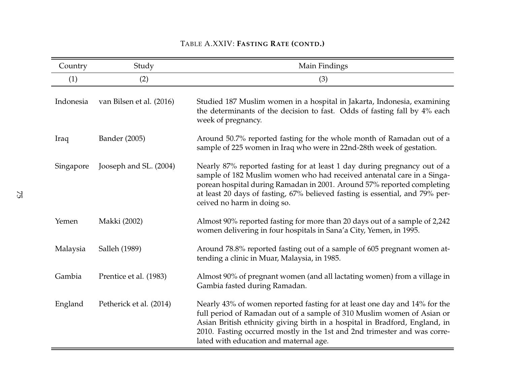## TABLE A.XXIV: **FASTING RATE (CONTD.)**

| Country   | Study                    | Main Findings                                                                                                                                                                                                                                                                                                                                             |
|-----------|--------------------------|-----------------------------------------------------------------------------------------------------------------------------------------------------------------------------------------------------------------------------------------------------------------------------------------------------------------------------------------------------------|
| (1)       | (2)                      | (3)                                                                                                                                                                                                                                                                                                                                                       |
| Indonesia | van Bilsen et al. (2016) | Studied 187 Muslim women in a hospital in Jakarta, Indonesia, examining<br>the determinants of the decision to fast. Odds of fasting fall by 4% each<br>week of pregnancy.                                                                                                                                                                                |
| Iraq      | Bander (2005)            | Around 50.7% reported fasting for the whole month of Ramadan out of a<br>sample of 225 women in Iraq who were in 22nd-28th week of gestation.                                                                                                                                                                                                             |
| Singapore | Jooseph and SL. (2004)   | Nearly 87% reported fasting for at least 1 day during pregnancy out of a<br>sample of 182 Muslim women who had received antenatal care in a Singa-<br>porean hospital during Ramadan in 2001. Around 57% reported completing<br>at least 20 days of fasting, 67% believed fasting is essential, and 79% per-<br>ceived no harm in doing so.               |
| Yemen     | Makki (2002)             | Almost 90% reported fasting for more than 20 days out of a sample of 2,242<br>women delivering in four hospitals in Sana'a City, Yemen, in 1995.                                                                                                                                                                                                          |
| Malaysia  | Salleh (1989)            | Around 78.8% reported fasting out of a sample of 605 pregnant women at-<br>tending a clinic in Muar, Malaysia, in 1985.                                                                                                                                                                                                                                   |
| Gambia    | Prentice et al. (1983)   | Almost 90% of pregnant women (and all lactating women) from a village in<br>Gambia fasted during Ramadan.                                                                                                                                                                                                                                                 |
| England   | Petherick et al. (2014)  | Nearly 43% of women reported fasting for at least one day and 14% for the<br>full period of Ramadan out of a sample of 310 Muslim women of Asian or<br>Asian British ethnicity giving birth in a hospital in Bradford, England, in<br>2010. Fasting occurred mostly in the 1st and 2nd trimester and was corre-<br>lated with education and maternal age. |

÷